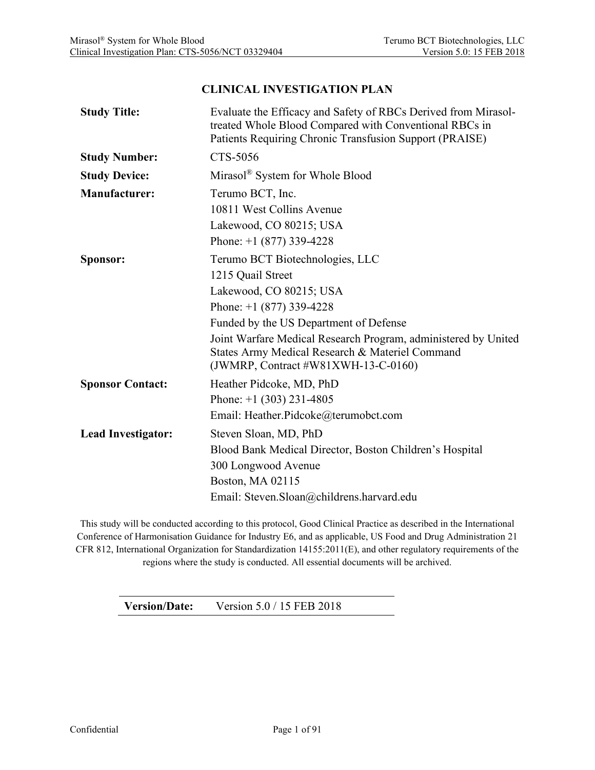#### **CLINICAL INVESTIGATION PLAN**

| <b>Study Title:</b>       | Evaluate the Efficacy and Safety of RBCs Derived from Mirasol-<br>treated Whole Blood Compared with Conventional RBCs in<br>Patients Requiring Chronic Transfusion Support (PRAISE) |
|---------------------------|-------------------------------------------------------------------------------------------------------------------------------------------------------------------------------------|
| <b>Study Number:</b>      | CTS-5056                                                                                                                                                                            |
| <b>Study Device:</b>      | Mirasol® System for Whole Blood                                                                                                                                                     |
| <b>Manufacturer:</b>      | Terumo BCT, Inc.                                                                                                                                                                    |
|                           | 10811 West Collins Avenue                                                                                                                                                           |
|                           | Lakewood, CO 80215; USA                                                                                                                                                             |
|                           | Phone: $+1$ (877) 339-4228                                                                                                                                                          |
| Sponsor:                  | Terumo BCT Biotechnologies, LLC                                                                                                                                                     |
|                           | 1215 Quail Street                                                                                                                                                                   |
|                           | Lakewood, CO 80215; USA                                                                                                                                                             |
|                           | Phone: $+1$ (877) 339-4228                                                                                                                                                          |
|                           | Funded by the US Department of Defense                                                                                                                                              |
|                           | Joint Warfare Medical Research Program, administered by United<br>States Army Medical Research & Materiel Command<br>(JWMRP, Contract #W81XWH-13-C-0160)                            |
| <b>Sponsor Contact:</b>   | Heather Pidcoke, MD, PhD                                                                                                                                                            |
|                           | Phone: $+1$ (303) 231-4805                                                                                                                                                          |
|                           | Email: Heather.Pidcoke@terumobct.com                                                                                                                                                |
| <b>Lead Investigator:</b> | Steven Sloan, MD, PhD                                                                                                                                                               |
|                           | Blood Bank Medical Director, Boston Children's Hospital                                                                                                                             |
|                           | 300 Longwood Avenue                                                                                                                                                                 |
|                           | Boston, MA 02115                                                                                                                                                                    |
|                           | Email: Steven.Sloan@childrens.harvard.edu                                                                                                                                           |

This study will be conducted according to this protocol, Good Clinical Practice as described in the International Conference of Harmonisation Guidance for Industry E6, and as applicable, US Food and Drug Administration 21 CFR 812, International Organization for Standardization 14155:2011(E), and other regulatory requirements of the regions where the study is conducted. All essential documents will be archived.

**Version/Date:** Version 5.0 / 15 FEB 2018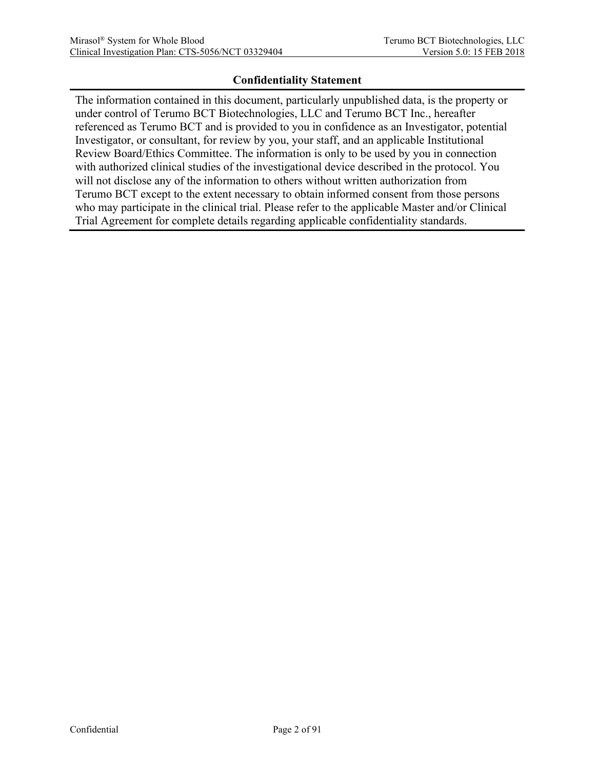#### **Confidentiality Statement**

The information contained in this document, particularly unpublished data, is the property or under control of Terumo BCT Biotechnologies, LLC and Terumo BCT Inc., hereafter referenced as Terumo BCT and is provided to you in confidence as an Investigator, potential Investigator, or consultant, for review by you, your staff, and an applicable Institutional Review Board/Ethics Committee. The information is only to be used by you in connection with authorized clinical studies of the investigational device described in the protocol. You will not disclose any of the information to others without written authorization from Terumo BCT except to the extent necessary to obtain informed consent from those persons who may participate in the clinical trial. Please refer to the applicable Master and/or Clinical Trial Agreement for complete details regarding applicable confidentiality standards.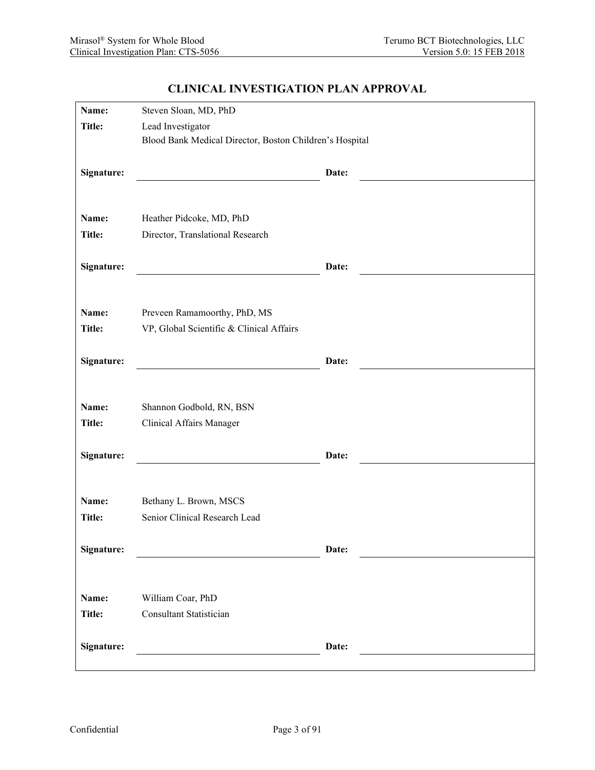| Name:         | Steven Sloan, MD, PhD                                   |       |  |
|---------------|---------------------------------------------------------|-------|--|
| <b>Title:</b> | Lead Investigator                                       |       |  |
|               | Blood Bank Medical Director, Boston Children's Hospital |       |  |
|               |                                                         |       |  |
| Signature:    |                                                         | Date: |  |
|               |                                                         |       |  |
|               |                                                         |       |  |
| Name:         | Heather Pidcoke, MD, PhD                                |       |  |
| Title:        | Director, Translational Research                        |       |  |
|               |                                                         |       |  |
| Signature:    |                                                         | Date: |  |
|               |                                                         |       |  |
| Name:         | Preveen Ramamoorthy, PhD, MS                            |       |  |
| <b>Title:</b> | VP, Global Scientific & Clinical Affairs                |       |  |
|               |                                                         |       |  |
| Signature:    |                                                         | Date: |  |
|               |                                                         |       |  |
|               |                                                         |       |  |
| Name:         | Shannon Godbold, RN, BSN                                |       |  |
| Title:        | <b>Clinical Affairs Manager</b>                         |       |  |
|               |                                                         |       |  |
| Signature:    |                                                         | Date: |  |
|               |                                                         |       |  |
|               |                                                         |       |  |
| Name:         | Bethany L. Brown, MSCS                                  |       |  |
| <b>Title:</b> | Senior Clinical Research Lead                           |       |  |
| Signature:    |                                                         | Date: |  |
|               |                                                         |       |  |
|               |                                                         |       |  |
| Name:         | William Coar, PhD                                       |       |  |
| <b>Title:</b> | <b>Consultant Statistician</b>                          |       |  |
|               |                                                         |       |  |
| Signature:    |                                                         | Date: |  |
|               |                                                         |       |  |

#### **CLINICAL INVESTIGATION PLAN APPROVAL**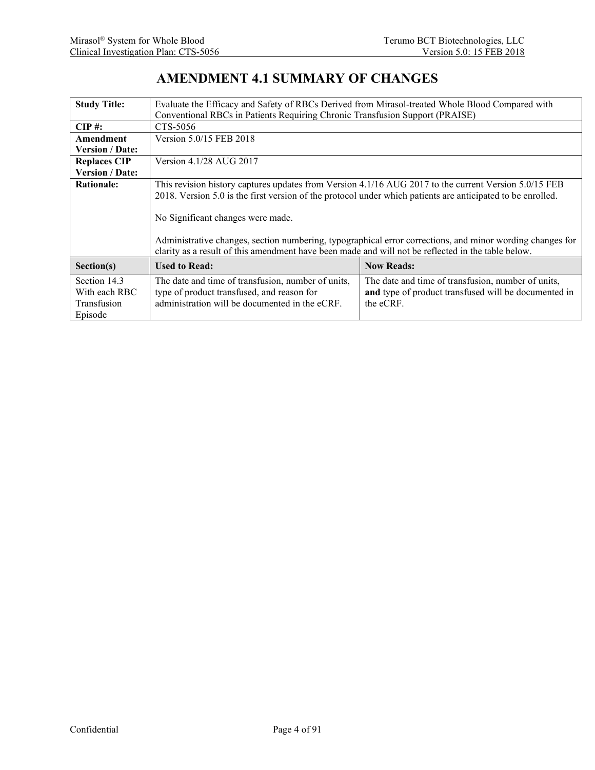## **AMENDMENT 4.1 SUMMARY OF CHANGES**

| <b>Study Title:</b>    | Evaluate the Efficacy and Safety of RBCs Derived from Mirasol-treated Whole Blood Compared with             |                                                    |  |  |  |
|------------------------|-------------------------------------------------------------------------------------------------------------|----------------------------------------------------|--|--|--|
|                        | Conventional RBCs in Patients Requiring Chronic Transfusion Support (PRAISE)                                |                                                    |  |  |  |
| $CIP \#$ :             | CTS-5056                                                                                                    |                                                    |  |  |  |
| Amendment              | Version 5.0/15 FEB 2018                                                                                     |                                                    |  |  |  |
| <b>Version / Date:</b> |                                                                                                             |                                                    |  |  |  |
| <b>Replaces CIP</b>    | Version 4.1/28 AUG 2017                                                                                     |                                                    |  |  |  |
| <b>Version / Date:</b> |                                                                                                             |                                                    |  |  |  |
| <b>Rationale:</b>      | This revision history captures updates from Version 4.1/16 AUG 2017 to the current Version 5.0/15 FEB       |                                                    |  |  |  |
|                        | 2018. Version 5.0 is the first version of the protocol under which patients are anticipated to be enrolled. |                                                    |  |  |  |
|                        |                                                                                                             |                                                    |  |  |  |
|                        | No Significant changes were made.                                                                           |                                                    |  |  |  |
|                        |                                                                                                             |                                                    |  |  |  |
|                        | Administrative changes, section numbering, typographical error corrections, and minor wording changes for   |                                                    |  |  |  |
|                        | clarity as a result of this amendment have been made and will not be reflected in the table below.          |                                                    |  |  |  |
| Section(s)             | <b>Used to Read:</b><br><b>Now Reads:</b>                                                                   |                                                    |  |  |  |
| Section 14.3           | The date and time of transfusion, number of units,                                                          | The date and time of transfusion, number of units, |  |  |  |
| With each RBC          | and type of product transfused will be documented in<br>type of product transfused, and reason for          |                                                    |  |  |  |
| Transfusion            | administration will be documented in the eCRF.<br>the eCRF.                                                 |                                                    |  |  |  |
| Episode                |                                                                                                             |                                                    |  |  |  |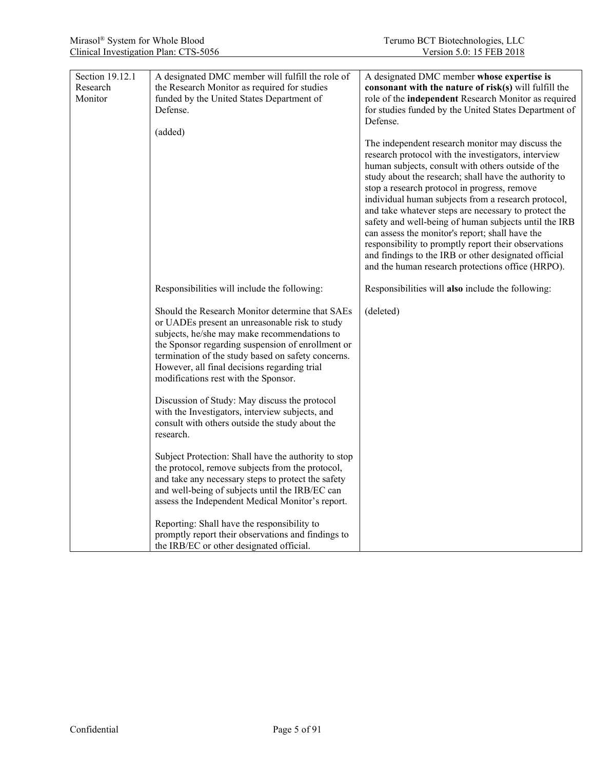| Section 19.12.1<br>Research<br>Monitor | A designated DMC member will fulfill the role of<br>the Research Monitor as required for studies<br>funded by the United States Department of<br>Defense.<br>(added)                                                                                                                                                                                 | A designated DMC member whose expertise is<br>consonant with the nature of risk(s) will fulfill the<br>role of the independent Research Monitor as required<br>for studies funded by the United States Department of<br>Defense.                                                                                                                                                                                                                                                                                                                                                                                                                                       |
|----------------------------------------|------------------------------------------------------------------------------------------------------------------------------------------------------------------------------------------------------------------------------------------------------------------------------------------------------------------------------------------------------|------------------------------------------------------------------------------------------------------------------------------------------------------------------------------------------------------------------------------------------------------------------------------------------------------------------------------------------------------------------------------------------------------------------------------------------------------------------------------------------------------------------------------------------------------------------------------------------------------------------------------------------------------------------------|
|                                        |                                                                                                                                                                                                                                                                                                                                                      | The independent research monitor may discuss the<br>research protocol with the investigators, interview<br>human subjects, consult with others outside of the<br>study about the research; shall have the authority to<br>stop a research protocol in progress, remove<br>individual human subjects from a research protocol,<br>and take whatever steps are necessary to protect the<br>safety and well-being of human subjects until the IRB<br>can assess the monitor's report; shall have the<br>responsibility to promptly report their observations<br>and findings to the IRB or other designated official<br>and the human research protections office (HRPO). |
|                                        | Responsibilities will include the following:                                                                                                                                                                                                                                                                                                         | Responsibilities will also include the following:                                                                                                                                                                                                                                                                                                                                                                                                                                                                                                                                                                                                                      |
|                                        | Should the Research Monitor determine that SAEs<br>or UADEs present an unreasonable risk to study<br>subjects, he/she may make recommendations to<br>the Sponsor regarding suspension of enrollment or<br>termination of the study based on safety concerns.<br>However, all final decisions regarding trial<br>modifications rest with the Sponsor. | (deleted)                                                                                                                                                                                                                                                                                                                                                                                                                                                                                                                                                                                                                                                              |
|                                        | Discussion of Study: May discuss the protocol<br>with the Investigators, interview subjects, and<br>consult with others outside the study about the<br>research.                                                                                                                                                                                     |                                                                                                                                                                                                                                                                                                                                                                                                                                                                                                                                                                                                                                                                        |
|                                        | Subject Protection: Shall have the authority to stop<br>the protocol, remove subjects from the protocol,<br>and take any necessary steps to protect the safety<br>and well-being of subjects until the IRB/EC can<br>assess the Independent Medical Monitor's report.                                                                                |                                                                                                                                                                                                                                                                                                                                                                                                                                                                                                                                                                                                                                                                        |
|                                        | Reporting: Shall have the responsibility to<br>promptly report their observations and findings to<br>the IRB/EC or other designated official.                                                                                                                                                                                                        |                                                                                                                                                                                                                                                                                                                                                                                                                                                                                                                                                                                                                                                                        |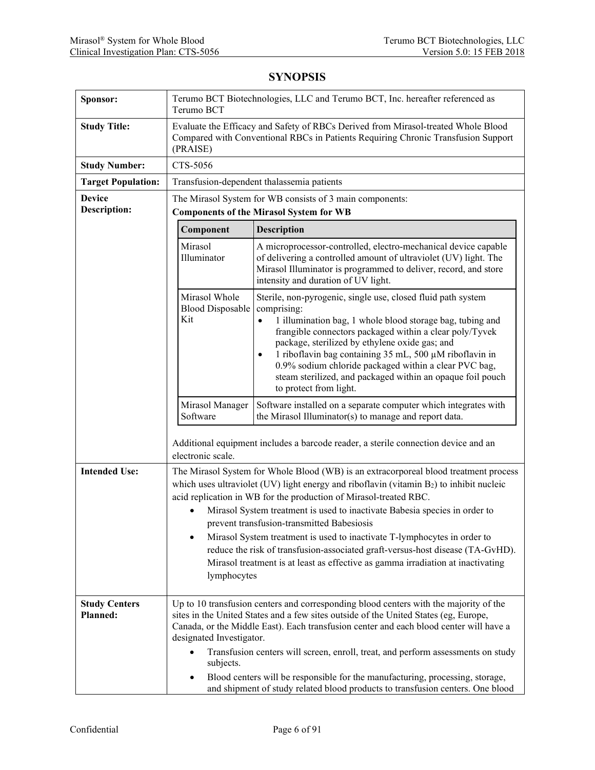| Sponsor:                         | Terumo BCT Biotechnologies, LLC and Terumo BCT, Inc. hereafter referenced as<br>Terumo BCT                                                                                                                                                                                                                                                                                                                                                                                                                                                                                                                                                                        |  |  |  |
|----------------------------------|-------------------------------------------------------------------------------------------------------------------------------------------------------------------------------------------------------------------------------------------------------------------------------------------------------------------------------------------------------------------------------------------------------------------------------------------------------------------------------------------------------------------------------------------------------------------------------------------------------------------------------------------------------------------|--|--|--|
| <b>Study Title:</b>              | Evaluate the Efficacy and Safety of RBCs Derived from Mirasol-treated Whole Blood<br>Compared with Conventional RBCs in Patients Requiring Chronic Transfusion Support<br>(PRAISE)                                                                                                                                                                                                                                                                                                                                                                                                                                                                                |  |  |  |
| <b>Study Number:</b>             | CTS-5056                                                                                                                                                                                                                                                                                                                                                                                                                                                                                                                                                                                                                                                          |  |  |  |
| <b>Target Population:</b>        | Transfusion-dependent thalassemia patients                                                                                                                                                                                                                                                                                                                                                                                                                                                                                                                                                                                                                        |  |  |  |
| <b>Device</b>                    | The Mirasol System for WB consists of 3 main components:                                                                                                                                                                                                                                                                                                                                                                                                                                                                                                                                                                                                          |  |  |  |
| <b>Description:</b>              | <b>Components of the Mirasol System for WB</b>                                                                                                                                                                                                                                                                                                                                                                                                                                                                                                                                                                                                                    |  |  |  |
|                                  | Component<br>Description                                                                                                                                                                                                                                                                                                                                                                                                                                                                                                                                                                                                                                          |  |  |  |
|                                  | Mirasol<br>A microprocessor-controlled, electro-mechanical device capable<br>Illuminator<br>of delivering a controlled amount of ultraviolet (UV) light. The<br>Mirasol Illuminator is programmed to deliver, record, and store<br>intensity and duration of UV light.                                                                                                                                                                                                                                                                                                                                                                                            |  |  |  |
|                                  | Mirasol Whole<br>Sterile, non-pyrogenic, single use, closed fluid path system<br><b>Blood Disposable</b><br>comprising:<br>Kit<br>1 illumination bag, 1 whole blood storage bag, tubing and<br>$\bullet$<br>frangible connectors packaged within a clear poly/Tyvek<br>package, sterilized by ethylene oxide gas; and<br>1 riboflavin bag containing 35 mL, 500 µM riboflavin in<br>0.9% sodium chloride packaged within a clear PVC bag,<br>steam sterilized, and packaged within an opaque foil pouch<br>to protect from light.                                                                                                                                 |  |  |  |
|                                  | Mirasol Manager<br>Software installed on a separate computer which integrates with<br>Software<br>the Mirasol Illuminator(s) to manage and report data.                                                                                                                                                                                                                                                                                                                                                                                                                                                                                                           |  |  |  |
|                                  | Additional equipment includes a barcode reader, a sterile connection device and an<br>electronic scale.                                                                                                                                                                                                                                                                                                                                                                                                                                                                                                                                                           |  |  |  |
| <b>Intended Use:</b>             | The Mirasol System for Whole Blood (WB) is an extracorporeal blood treatment process<br>which uses ultraviolet (UV) light energy and riboflavin (vitamin $B_2$ ) to inhibit nucleic<br>acid replication in WB for the production of Mirasol-treated RBC.<br>Mirasol System treatment is used to inactivate Babesia species in order to<br>prevent transfusion-transmitted Babesiosis<br>Mirasol System treatment is used to inactivate T-lymphocytes in order to<br>$\bullet$<br>reduce the risk of transfusion-associated graft-versus-host disease (TA-GvHD).<br>Mirasol treatment is at least as effective as gamma irradiation at inactivating<br>lymphocytes |  |  |  |
| <b>Study Centers</b><br>Planned: | Up to 10 transfusion centers and corresponding blood centers with the majority of the<br>sites in the United States and a few sites outside of the United States (eg, Europe,<br>Canada, or the Middle East). Each transfusion center and each blood center will have a<br>designated Investigator.<br>Transfusion centers will screen, enroll, treat, and perform assessments on study<br>$\bullet$<br>subjects.<br>Blood centers will be responsible for the manufacturing, processing, storage,                                                                                                                                                                |  |  |  |
|                                  | and shipment of study related blood products to transfusion centers. One blood                                                                                                                                                                                                                                                                                                                                                                                                                                                                                                                                                                                    |  |  |  |

### **SYNOPSIS**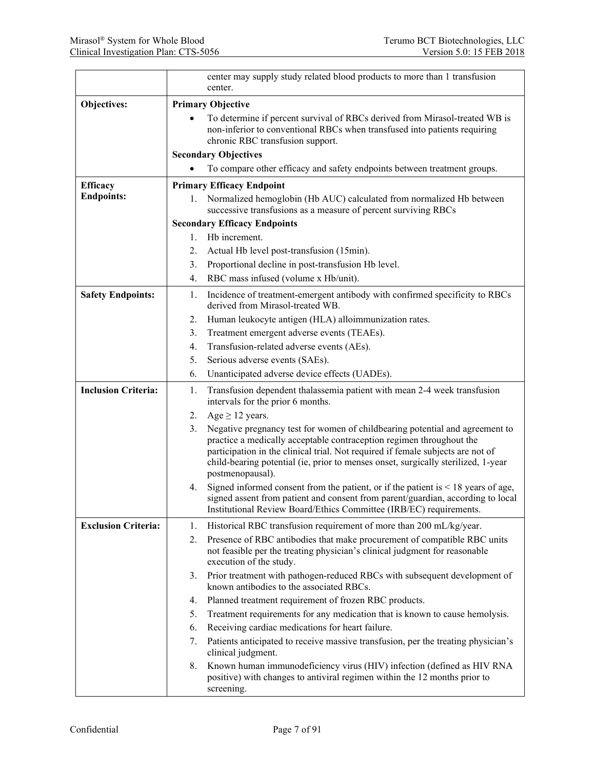|                            | center may supply study related blood products to more than 1 transfusion<br>center.                                                                                                                                                                                                                                                                   |  |  |  |
|----------------------------|--------------------------------------------------------------------------------------------------------------------------------------------------------------------------------------------------------------------------------------------------------------------------------------------------------------------------------------------------------|--|--|--|
| Objectives:                | <b>Primary Objective</b>                                                                                                                                                                                                                                                                                                                               |  |  |  |
|                            | To determine if percent survival of RBCs derived from Mirasol-treated WB is<br>non-inferior to conventional RBCs when transfused into patients requiring<br>chronic RBC transfusion support.                                                                                                                                                           |  |  |  |
|                            | <b>Secondary Objectives</b>                                                                                                                                                                                                                                                                                                                            |  |  |  |
|                            | To compare other efficacy and safety endpoints between treatment groups.                                                                                                                                                                                                                                                                               |  |  |  |
| <b>Efficacy</b>            | <b>Primary Efficacy Endpoint</b>                                                                                                                                                                                                                                                                                                                       |  |  |  |
| <b>Endpoints:</b>          | Normalized hemoglobin (Hb AUC) calculated from normalized Hb between<br>1.<br>successive transfusions as a measure of percent surviving RBCs                                                                                                                                                                                                           |  |  |  |
|                            | <b>Secondary Efficacy Endpoints</b>                                                                                                                                                                                                                                                                                                                    |  |  |  |
|                            | Hb increment.<br>$1_{-}$                                                                                                                                                                                                                                                                                                                               |  |  |  |
|                            | Actual Hb level post-transfusion (15min).<br>2.                                                                                                                                                                                                                                                                                                        |  |  |  |
|                            | Proportional decline in post-transfusion Hb level.<br>3.                                                                                                                                                                                                                                                                                               |  |  |  |
|                            | RBC mass infused (volume x Hb/unit).<br>$\overline{4}$ .                                                                                                                                                                                                                                                                                               |  |  |  |
| <b>Safety Endpoints:</b>   | Incidence of treatment-emergent antibody with confirmed specificity to RBCs<br>1.<br>derived from Mirasol-treated WB.                                                                                                                                                                                                                                  |  |  |  |
|                            | Human leukocyte antigen (HLA) alloimmunization rates.<br>2.                                                                                                                                                                                                                                                                                            |  |  |  |
|                            | 3.<br>Treatment emergent adverse events (TEAEs).                                                                                                                                                                                                                                                                                                       |  |  |  |
|                            | Transfusion-related adverse events (AEs).<br>4.                                                                                                                                                                                                                                                                                                        |  |  |  |
|                            | 5.<br>Serious adverse events (SAEs).                                                                                                                                                                                                                                                                                                                   |  |  |  |
|                            | Unanticipated adverse device effects (UADEs).<br>6.                                                                                                                                                                                                                                                                                                    |  |  |  |
| <b>Inclusion Criteria:</b> | Transfusion dependent thalassemia patient with mean 2-4 week transfusion<br>1.<br>intervals for the prior 6 months.                                                                                                                                                                                                                                    |  |  |  |
|                            | Age $\geq$ 12 years.<br>2.                                                                                                                                                                                                                                                                                                                             |  |  |  |
|                            | Negative pregnancy test for women of childbearing potential and agreement to<br>3.<br>practice a medically acceptable contraception regimen throughout the<br>participation in the clinical trial. Not required if female subjects are not of<br>child-bearing potential (ie, prior to menses onset, surgically sterilized, 1-year<br>postmenopausal). |  |  |  |
|                            | Signed informed consent from the patient, or if the patient is $\leq 18$ years of age,<br>4.<br>signed assent from patient and consent from parent/guardian, according to local<br>Institutional Review Board/Ethics Committee (IRB/EC) requirements.                                                                                                  |  |  |  |
| <b>Exclusion Criteria:</b> | Historical RBC transfusion requirement of more than 200 mL/kg/year.<br>1.                                                                                                                                                                                                                                                                              |  |  |  |
|                            | Presence of RBC antibodies that make procurement of compatible RBC units<br>2.<br>not feasible per the treating physician's clinical judgment for reasonable<br>execution of the study.                                                                                                                                                                |  |  |  |
|                            | Prior treatment with pathogen-reduced RBCs with subsequent development of<br>3.<br>known antibodies to the associated RBCs.                                                                                                                                                                                                                            |  |  |  |
|                            | Planned treatment requirement of frozen RBC products.<br>4.                                                                                                                                                                                                                                                                                            |  |  |  |
|                            | 5.<br>Treatment requirements for any medication that is known to cause hemolysis.                                                                                                                                                                                                                                                                      |  |  |  |
|                            | Receiving cardiac medications for heart failure.<br>6.                                                                                                                                                                                                                                                                                                 |  |  |  |
|                            | Patients anticipated to receive massive transfusion, per the treating physician's<br>7.<br>clinical judgment.                                                                                                                                                                                                                                          |  |  |  |
|                            | Known human immunodeficiency virus (HIV) infection (defined as HIV RNA<br>8.<br>positive) with changes to antiviral regimen within the 12 months prior to<br>screening.                                                                                                                                                                                |  |  |  |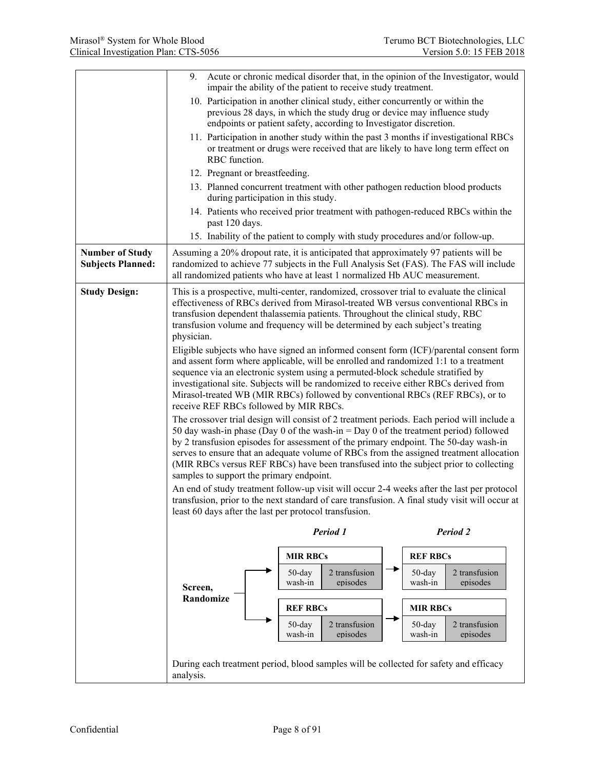|                                                    | 9.                                                                                                                                                                                                                                                                                                                                                                                                                                                                                                        | Acute or chronic medical disorder that, in the opinion of the Investigator, would<br>impair the ability of the patient to receive study treatment.                                                                              |  |                      |                           |
|----------------------------------------------------|-----------------------------------------------------------------------------------------------------------------------------------------------------------------------------------------------------------------------------------------------------------------------------------------------------------------------------------------------------------------------------------------------------------------------------------------------------------------------------------------------------------|---------------------------------------------------------------------------------------------------------------------------------------------------------------------------------------------------------------------------------|--|----------------------|---------------------------|
|                                                    |                                                                                                                                                                                                                                                                                                                                                                                                                                                                                                           | 10. Participation in another clinical study, either concurrently or within the<br>previous 28 days, in which the study drug or device may influence study<br>endpoints or patient safety, according to Investigator discretion. |  |                      |                           |
|                                                    | RBC function.                                                                                                                                                                                                                                                                                                                                                                                                                                                                                             | 11. Participation in another study within the past 3 months if investigational RBCs<br>or treatment or drugs were received that are likely to have long term effect on                                                          |  |                      |                           |
|                                                    | 12. Pregnant or breastfeeding.                                                                                                                                                                                                                                                                                                                                                                                                                                                                            |                                                                                                                                                                                                                                 |  |                      |                           |
|                                                    | during participation in this study.                                                                                                                                                                                                                                                                                                                                                                                                                                                                       | 13. Planned concurrent treatment with other pathogen reduction blood products                                                                                                                                                   |  |                      |                           |
|                                                    | past 120 days.                                                                                                                                                                                                                                                                                                                                                                                                                                                                                            | 14. Patients who received prior treatment with pathogen-reduced RBCs within the                                                                                                                                                 |  |                      |                           |
|                                                    |                                                                                                                                                                                                                                                                                                                                                                                                                                                                                                           | 15. Inability of the patient to comply with study procedures and/or follow-up.                                                                                                                                                  |  |                      |                           |
| <b>Number of Study</b><br><b>Subjects Planned:</b> | Assuming a 20% dropout rate, it is anticipated that approximately 97 patients will be<br>randomized to achieve 77 subjects in the Full Analysis Set (FAS). The FAS will include<br>all randomized patients who have at least 1 normalized Hb AUC measurement.                                                                                                                                                                                                                                             |                                                                                                                                                                                                                                 |  |                      |                           |
| <b>Study Design:</b>                               | This is a prospective, multi-center, randomized, crossover trial to evaluate the clinical<br>effectiveness of RBCs derived from Mirasol-treated WB versus conventional RBCs in<br>transfusion dependent thalassemia patients. Throughout the clinical study, RBC<br>transfusion volume and frequency will be determined by each subject's treating<br>physician.                                                                                                                                          |                                                                                                                                                                                                                                 |  |                      |                           |
|                                                    | Eligible subjects who have signed an informed consent form (ICF)/parental consent form<br>and assent form where applicable, will be enrolled and randomized 1:1 to a treatment<br>sequence via an electronic system using a permuted-block schedule stratified by<br>investigational site. Subjects will be randomized to receive either RBCs derived from<br>Mirasol-treated WB (MIR RBCs) followed by conventional RBCs (REF RBCs), or to<br>receive REF RBCs followed by MIR RBCs.                     |                                                                                                                                                                                                                                 |  |                      |                           |
|                                                    | The crossover trial design will consist of 2 treatment periods. Each period will include a<br>50 day wash-in phase (Day 0 of the wash-in = Day 0 of the treatment period) followed<br>by 2 transfusion episodes for assessment of the primary endpoint. The 50-day wash-in<br>serves to ensure that an adequate volume of RBCs from the assigned treatment allocation<br>(MIR RBCs versus REF RBCs) have been transfused into the subject prior to collecting<br>samples to support the primary endpoint. |                                                                                                                                                                                                                                 |  |                      |                           |
|                                                    | An end of study treatment follow-up visit will occur 2-4 weeks after the last per protocol                                                                                                                                                                                                                                                                                                                                                                                                                |                                                                                                                                                                                                                                 |  |                      |                           |
|                                                    | transfusion, prior to the next standard of care transfusion. A final study visit will occur at<br>least 60 days after the last per protocol transfusion.                                                                                                                                                                                                                                                                                                                                                  |                                                                                                                                                                                                                                 |  |                      |                           |
|                                                    | Period 1<br>Period 2                                                                                                                                                                                                                                                                                                                                                                                                                                                                                      |                                                                                                                                                                                                                                 |  |                      |                           |
|                                                    |                                                                                                                                                                                                                                                                                                                                                                                                                                                                                                           | <b>MIR RBCs</b>                                                                                                                                                                                                                 |  | <b>REF RBCs</b>      |                           |
|                                                    | Screen,                                                                                                                                                                                                                                                                                                                                                                                                                                                                                                   | $50$ -day<br>2 transfusion<br>wash-in<br>episodes                                                                                                                                                                               |  | $50$ -day<br>wash-in | 2 transfusion<br>episodes |
|                                                    | Randomize                                                                                                                                                                                                                                                                                                                                                                                                                                                                                                 | <b>REF RBCs</b>                                                                                                                                                                                                                 |  | <b>MIR RBCs</b>      |                           |
|                                                    |                                                                                                                                                                                                                                                                                                                                                                                                                                                                                                           | 2 transfusion<br>50-day<br>wash-in<br>episodes                                                                                                                                                                                  |  | 50-day<br>wash-in    | 2 transfusion<br>episodes |
|                                                    | During each treatment period, blood samples will be collected for safety and efficacy<br>analysis.                                                                                                                                                                                                                                                                                                                                                                                                        |                                                                                                                                                                                                                                 |  |                      |                           |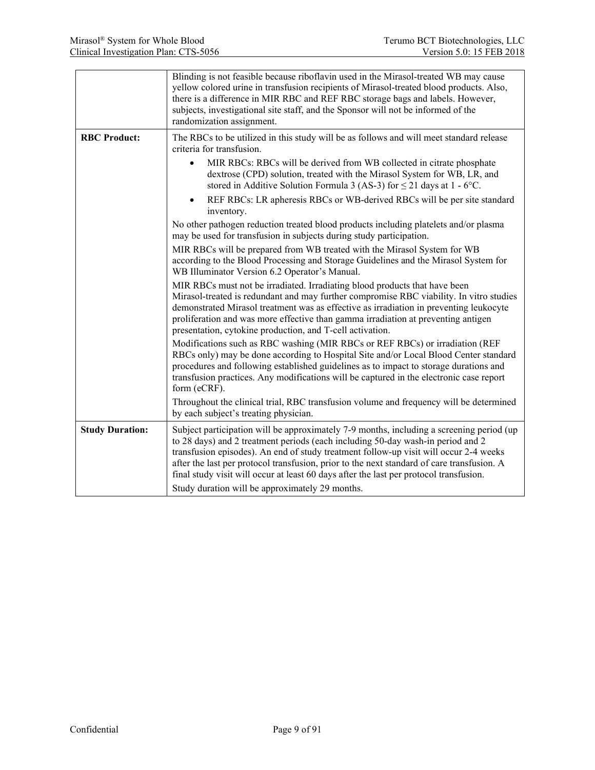|                        | Blinding is not feasible because riboflavin used in the Mirasol-treated WB may cause<br>yellow colored urine in transfusion recipients of Mirasol-treated blood products. Also,<br>there is a difference in MIR RBC and REF RBC storage bags and labels. However,<br>subjects, investigational site staff, and the Sponsor will not be informed of the<br>randomization assignment.                                                                                                                                                                                                                                                                                                                                                                                                                                                                                                                                                                                                                                                                                                                                                                                                                                                                                                                                                                                                                                                                                                                                                                                                                                                                              |
|------------------------|------------------------------------------------------------------------------------------------------------------------------------------------------------------------------------------------------------------------------------------------------------------------------------------------------------------------------------------------------------------------------------------------------------------------------------------------------------------------------------------------------------------------------------------------------------------------------------------------------------------------------------------------------------------------------------------------------------------------------------------------------------------------------------------------------------------------------------------------------------------------------------------------------------------------------------------------------------------------------------------------------------------------------------------------------------------------------------------------------------------------------------------------------------------------------------------------------------------------------------------------------------------------------------------------------------------------------------------------------------------------------------------------------------------------------------------------------------------------------------------------------------------------------------------------------------------------------------------------------------------------------------------------------------------|
| <b>RBC Product:</b>    | The RBCs to be utilized in this study will be as follows and will meet standard release<br>criteria for transfusion.<br>MIR RBCs: RBCs will be derived from WB collected in citrate phosphate<br>$\bullet$<br>dextrose (CPD) solution, treated with the Mirasol System for WB, LR, and<br>stored in Additive Solution Formula 3 (AS-3) for $\leq$ 21 days at 1 - 6°C.<br>REF RBCs: LR apheresis RBCs or WB-derived RBCs will be per site standard<br>$\bullet$<br>inventory.<br>No other pathogen reduction treated blood products including platelets and/or plasma<br>may be used for transfusion in subjects during study participation.<br>MIR RBCs will be prepared from WB treated with the Mirasol System for WB<br>according to the Blood Processing and Storage Guidelines and the Mirasol System for<br>WB Illuminator Version 6.2 Operator's Manual.<br>MIR RBCs must not be irradiated. Irradiating blood products that have been<br>Mirasol-treated is redundant and may further compromise RBC viability. In vitro studies<br>demonstrated Mirasol treatment was as effective as irradiation in preventing leukocyte<br>proliferation and was more effective than gamma irradiation at preventing antigen<br>presentation, cytokine production, and T-cell activation.<br>Modifications such as RBC washing (MIR RBCs or REF RBCs) or irradiation (REF<br>RBCs only) may be done according to Hospital Site and/or Local Blood Center standard<br>procedures and following established guidelines as to impact to storage durations and<br>transfusion practices. Any modifications will be captured in the electronic case report<br>form (eCRF). |
|                        | Throughout the clinical trial, RBC transfusion volume and frequency will be determined<br>by each subject's treating physician.                                                                                                                                                                                                                                                                                                                                                                                                                                                                                                                                                                                                                                                                                                                                                                                                                                                                                                                                                                                                                                                                                                                                                                                                                                                                                                                                                                                                                                                                                                                                  |
| <b>Study Duration:</b> | Subject participation will be approximately 7-9 months, including a screening period (up<br>to 28 days) and 2 treatment periods (each including 50-day wash-in period and 2<br>transfusion episodes). An end of study treatment follow-up visit will occur 2-4 weeks<br>after the last per protocol transfusion, prior to the next standard of care transfusion. A<br>final study visit will occur at least 60 days after the last per protocol transfusion.<br>Study duration will be approximately 29 months.                                                                                                                                                                                                                                                                                                                                                                                                                                                                                                                                                                                                                                                                                                                                                                                                                                                                                                                                                                                                                                                                                                                                                  |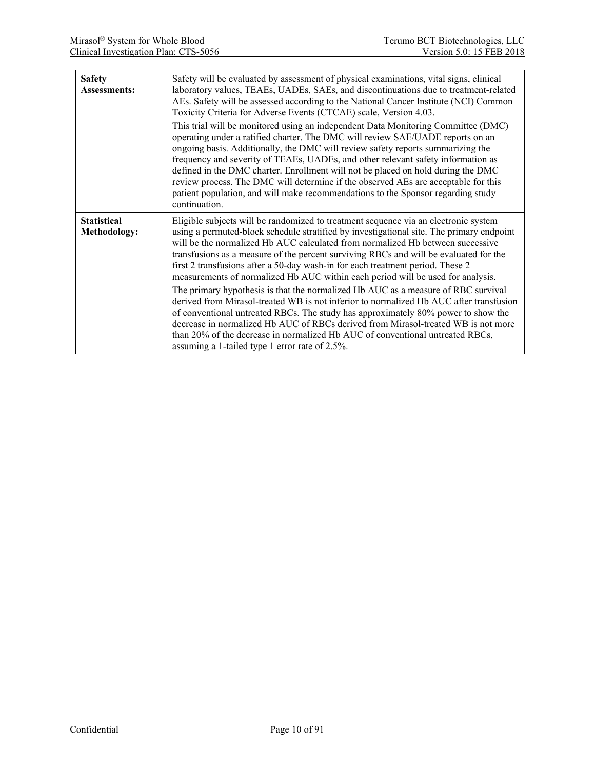| <b>Safety</b><br><b>Assessments:</b>      | Safety will be evaluated by assessment of physical examinations, vital signs, clinical<br>laboratory values, TEAEs, UADEs, SAEs, and discontinuations due to treatment-related<br>AEs. Safety will be assessed according to the National Cancer Institute (NCI) Common<br>Toxicity Criteria for Adverse Events (CTCAE) scale, Version 4.03.<br>This trial will be monitored using an independent Data Monitoring Committee (DMC)                                                                                                     |
|-------------------------------------------|--------------------------------------------------------------------------------------------------------------------------------------------------------------------------------------------------------------------------------------------------------------------------------------------------------------------------------------------------------------------------------------------------------------------------------------------------------------------------------------------------------------------------------------|
|                                           | operating under a ratified charter. The DMC will review SAE/UADE reports on an<br>ongoing basis. Additionally, the DMC will review safety reports summarizing the<br>frequency and severity of TEAEs, UADEs, and other relevant safety information as<br>defined in the DMC charter. Enrollment will not be placed on hold during the DMC<br>review process. The DMC will determine if the observed AEs are acceptable for this<br>patient population, and will make recommendations to the Sponsor regarding study<br>continuation. |
| <b>Statistical</b><br><b>Methodology:</b> | Eligible subjects will be randomized to treatment sequence via an electronic system<br>using a permuted-block schedule stratified by investigational site. The primary endpoint<br>will be the normalized Hb AUC calculated from normalized Hb between successive<br>transfusions as a measure of the percent surviving RBCs and will be evaluated for the<br>first 2 transfusions after a 50-day wash-in for each treatment period. These 2<br>measurements of normalized Hb AUC within each period will be used for analysis.      |
|                                           | The primary hypothesis is that the normalized Hb AUC as a measure of RBC survival<br>derived from Mirasol-treated WB is not inferior to normalized Hb AUC after transfusion<br>of conventional untreated RBCs. The study has approximately 80% power to show the<br>decrease in normalized Hb AUC of RBCs derived from Mirasol-treated WB is not more<br>than 20% of the decrease in normalized Hb AUC of conventional untreated RBCs,<br>assuming a 1-tailed type 1 error rate of 2.5%.                                             |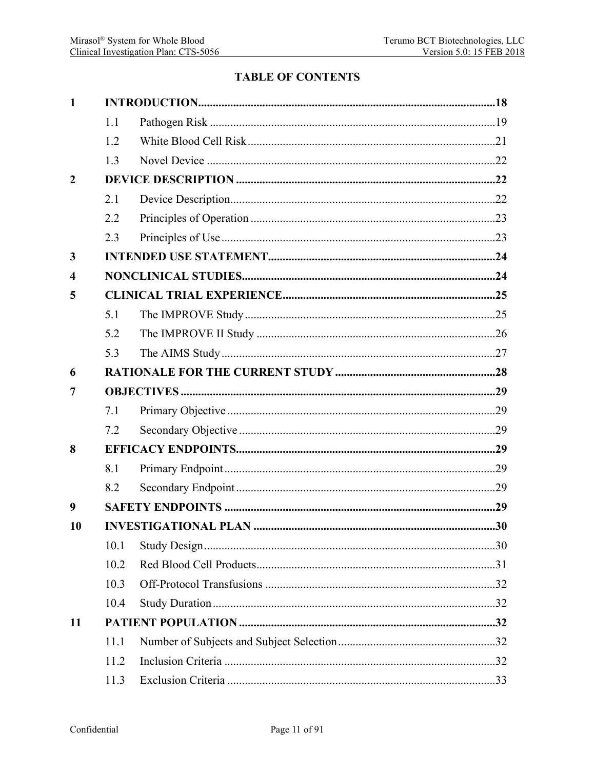## **TABLE OF CONTENTS**

| $\mathbf{1}$            |      |  |     |  |  |
|-------------------------|------|--|-----|--|--|
|                         | 1.1  |  |     |  |  |
|                         | 1.2  |  |     |  |  |
|                         | 1.3  |  |     |  |  |
| $\overline{2}$          |      |  |     |  |  |
|                         | 2.1  |  |     |  |  |
|                         | 2.2  |  |     |  |  |
|                         | 2.3  |  |     |  |  |
| $\overline{\mathbf{3}}$ |      |  |     |  |  |
| $\overline{\mathbf{4}}$ |      |  |     |  |  |
| 5                       |      |  |     |  |  |
|                         | 5.1  |  |     |  |  |
|                         | 5.2  |  |     |  |  |
|                         | 5.3  |  |     |  |  |
| 6                       |      |  |     |  |  |
| 7                       |      |  |     |  |  |
|                         | 7.1  |  |     |  |  |
|                         | 7.2  |  |     |  |  |
| 8                       |      |  |     |  |  |
|                         | 8.1  |  |     |  |  |
|                         | 8.2  |  |     |  |  |
| 9                       |      |  |     |  |  |
| 10                      |      |  |     |  |  |
|                         | 10.1 |  |     |  |  |
|                         | 10.2 |  |     |  |  |
|                         | 10.3 |  |     |  |  |
|                         | 10.4 |  |     |  |  |
| 11                      |      |  |     |  |  |
|                         | 11.1 |  |     |  |  |
|                         | 11.2 |  |     |  |  |
|                         | 11.3 |  | .33 |  |  |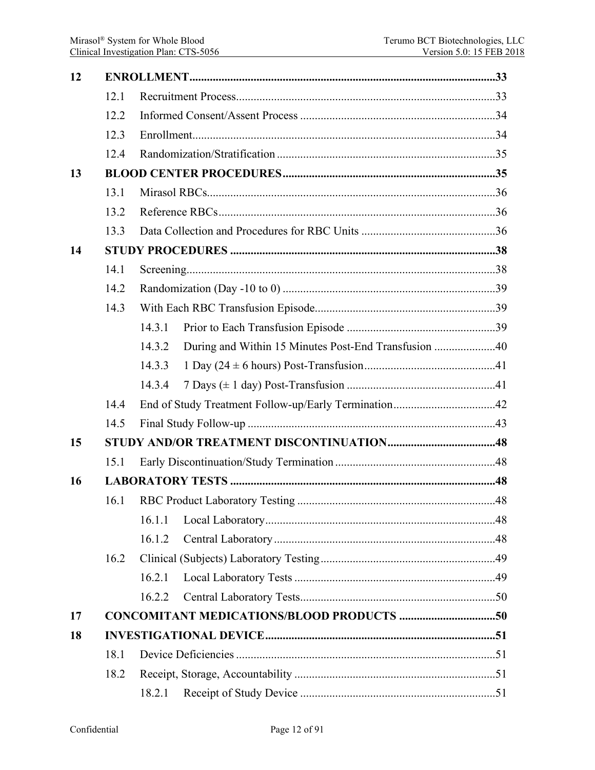| 12 |      |                                                                |  |  |  |  |
|----|------|----------------------------------------------------------------|--|--|--|--|
|    | 12.1 |                                                                |  |  |  |  |
|    | 12.2 |                                                                |  |  |  |  |
|    | 12.3 |                                                                |  |  |  |  |
|    | 12.4 |                                                                |  |  |  |  |
| 13 |      |                                                                |  |  |  |  |
|    | 13.1 |                                                                |  |  |  |  |
|    | 13.2 |                                                                |  |  |  |  |
|    | 13.3 |                                                                |  |  |  |  |
| 14 |      |                                                                |  |  |  |  |
|    | 14.1 |                                                                |  |  |  |  |
|    | 14.2 |                                                                |  |  |  |  |
|    | 14.3 |                                                                |  |  |  |  |
|    |      | 14.3.1                                                         |  |  |  |  |
|    |      | During and Within 15 Minutes Post-End Transfusion 40<br>14.3.2 |  |  |  |  |
|    |      | 14.3.3                                                         |  |  |  |  |
|    |      | 14.3.4                                                         |  |  |  |  |
|    | 14.4 |                                                                |  |  |  |  |
|    | 14.5 |                                                                |  |  |  |  |
| 15 |      |                                                                |  |  |  |  |
|    | 15.1 |                                                                |  |  |  |  |
| 16 |      |                                                                |  |  |  |  |
|    | 16.1 |                                                                |  |  |  |  |
|    |      | 16.1.1                                                         |  |  |  |  |
|    |      | 16.1.2                                                         |  |  |  |  |
|    | 16.2 |                                                                |  |  |  |  |
|    |      | 16.2.1                                                         |  |  |  |  |
|    |      | 16.2.2                                                         |  |  |  |  |
| 17 |      |                                                                |  |  |  |  |
| 18 |      |                                                                |  |  |  |  |
|    | 18.1 |                                                                |  |  |  |  |
|    | 18.2 |                                                                |  |  |  |  |
|    |      | 18.2.1                                                         |  |  |  |  |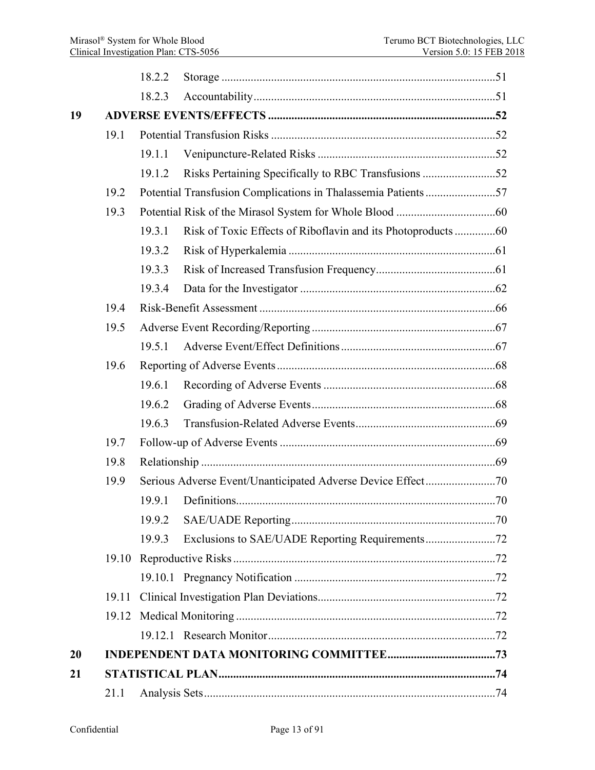|    |       | 18.2.2 |                                                      |  |  |  |
|----|-------|--------|------------------------------------------------------|--|--|--|
|    |       | 18.2.3 |                                                      |  |  |  |
| 19 |       |        |                                                      |  |  |  |
|    | 19.1  |        |                                                      |  |  |  |
|    |       | 19.1.1 |                                                      |  |  |  |
|    |       | 19.1.2 | Risks Pertaining Specifically to RBC Transfusions 52 |  |  |  |
|    | 19.2  |        |                                                      |  |  |  |
|    | 19.3  |        |                                                      |  |  |  |
|    |       | 19.3.1 |                                                      |  |  |  |
|    |       | 19.3.2 |                                                      |  |  |  |
|    |       | 19.3.3 |                                                      |  |  |  |
|    |       | 19.3.4 |                                                      |  |  |  |
|    | 19.4  |        |                                                      |  |  |  |
|    | 19.5  |        |                                                      |  |  |  |
|    |       | 19.5.1 |                                                      |  |  |  |
|    | 19.6  |        |                                                      |  |  |  |
|    |       | 19.6.1 |                                                      |  |  |  |
|    |       | 19.6.2 |                                                      |  |  |  |
|    |       | 19.6.3 |                                                      |  |  |  |
|    | 19.7  |        |                                                      |  |  |  |
|    | 19.8  |        |                                                      |  |  |  |
|    | 19.9  |        |                                                      |  |  |  |
|    |       | 19.9.1 |                                                      |  |  |  |
|    |       | 19.9.2 |                                                      |  |  |  |
|    |       | 19.9.3 |                                                      |  |  |  |
|    | 19.10 |        |                                                      |  |  |  |
|    |       |        |                                                      |  |  |  |
|    | 19.11 |        |                                                      |  |  |  |
|    | 19.12 |        |                                                      |  |  |  |
|    |       |        |                                                      |  |  |  |
| 20 |       |        |                                                      |  |  |  |
| 21 |       |        |                                                      |  |  |  |
|    | 21.1  |        |                                                      |  |  |  |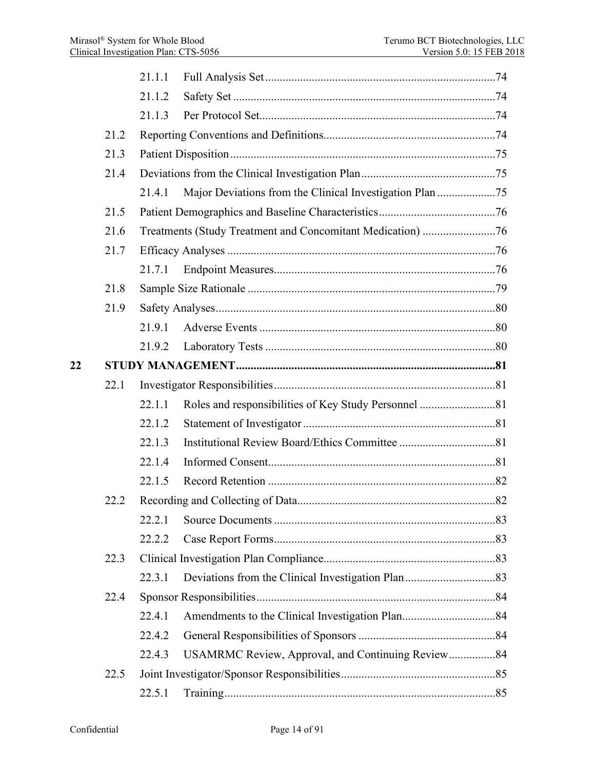|    |      | 21.1.1 |                                                          |  |
|----|------|--------|----------------------------------------------------------|--|
|    |      | 21.1.2 |                                                          |  |
|    |      | 21.1.3 |                                                          |  |
|    | 21.2 |        |                                                          |  |
|    | 21.3 |        |                                                          |  |
|    | 21.4 |        |                                                          |  |
|    |      | 21.4.1 | Major Deviations from the Clinical Investigation Plan 75 |  |
|    | 21.5 |        |                                                          |  |
|    | 21.6 |        |                                                          |  |
|    | 21.7 |        |                                                          |  |
|    |      | 21.7.1 |                                                          |  |
|    | 21.8 |        |                                                          |  |
|    | 21.9 |        |                                                          |  |
|    |      | 21.9.1 |                                                          |  |
|    |      | 21.9.2 |                                                          |  |
| 22 |      |        |                                                          |  |
|    | 22.1 |        |                                                          |  |
|    |      | 22.1.1 |                                                          |  |
|    |      | 22.1.2 |                                                          |  |
|    |      | 22.1.3 |                                                          |  |
|    |      | 22.1.4 |                                                          |  |
|    |      | 22.1.5 |                                                          |  |
|    | 22.2 |        |                                                          |  |
|    |      | 22.2.1 |                                                          |  |
|    |      | 22.2.2 |                                                          |  |
|    | 22.3 |        |                                                          |  |
|    |      | 22.3.1 |                                                          |  |
|    | 22.4 |        |                                                          |  |
|    |      | 22.4.1 |                                                          |  |
|    |      | 22.4.2 |                                                          |  |
|    |      | 22.4.3 | USAMRMC Review, Approval, and Continuing Review84        |  |
|    | 22.5 |        |                                                          |  |
|    |      | 22.5.1 |                                                          |  |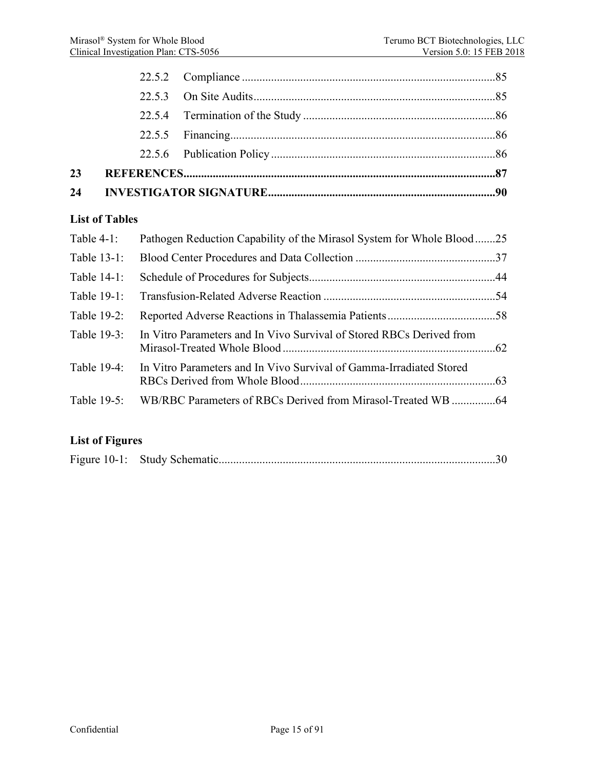|                       | 22.5.2 |                                                                       |  |
|-----------------------|--------|-----------------------------------------------------------------------|--|
|                       | 22.5.3 |                                                                       |  |
|                       | 22.5.4 |                                                                       |  |
|                       | 22.5.5 |                                                                       |  |
|                       | 22.5.6 |                                                                       |  |
| 23                    |        |                                                                       |  |
| 24                    |        |                                                                       |  |
| <b>List of Tables</b> |        |                                                                       |  |
| Table $4-1$ :         |        | Pathogen Reduction Capability of the Mirasol System for Whole Blood25 |  |
| Table 13-1:           |        |                                                                       |  |
| Table 14-1:           |        |                                                                       |  |
| Table 19-1:           |        |                                                                       |  |
| Table 19-2:           |        |                                                                       |  |
| Table 19-3:           |        | In Vitro Parameters and In Vivo Survival of Stored RBCs Derived from  |  |
| Table 19-4:           |        | In Vitro Parameters and In Vivo Survival of Gamma-Irradiated Stored   |  |
| Table 19-5:           |        |                                                                       |  |

# **List of Figures**

| Figure 10-1: Study Schematic. |  |  |  |  |
|-------------------------------|--|--|--|--|
|-------------------------------|--|--|--|--|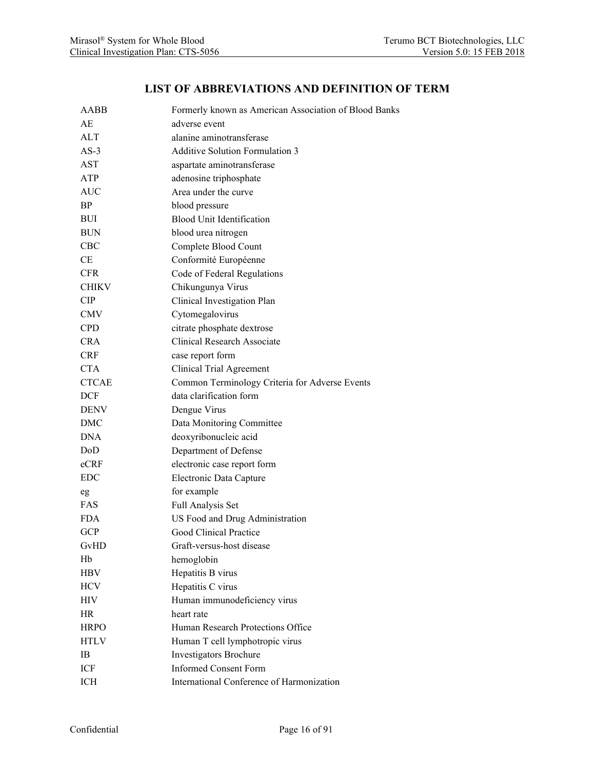#### **LIST OF ABBREVIATIONS AND DEFINITION OF TERM**

| AABB         | Formerly known as American Association of Blood Banks |
|--------------|-------------------------------------------------------|
| АE           | adverse event                                         |
| <b>ALT</b>   | alanine aminotransferase                              |
| $AS-3$       | <b>Additive Solution Formulation 3</b>                |
| AST          | aspartate aminotransferase                            |
| ATP          | adenosine triphosphate                                |
| AUC          | Area under the curve                                  |
| <b>BP</b>    | blood pressure                                        |
| BUI          | <b>Blood Unit Identification</b>                      |
| <b>BUN</b>   | blood urea nitrogen                                   |
| <b>CBC</b>   | Complete Blood Count                                  |
| CE           | Conformité Européenne                                 |
| CFR.         | Code of Federal Regulations                           |
| <b>CHIKV</b> | Chikungunya Virus                                     |
| <b>CIP</b>   | Clinical Investigation Plan                           |
| <b>CMV</b>   | Cytomegalovirus                                       |
| <b>CPD</b>   | citrate phosphate dextrose                            |
| <b>CRA</b>   | <b>Clinical Research Associate</b>                    |
| <b>CRF</b>   | case report form                                      |
| <b>CTA</b>   | Clinical Trial Agreement                              |
| <b>CTCAE</b> | Common Terminology Criteria for Adverse Events        |
| DCF          | data clarification form                               |
| <b>DENV</b>  | Dengue Virus                                          |
| DMC          | Data Monitoring Committee                             |
| <b>DNA</b>   | deoxyribonucleic acid                                 |
| DoD          | Department of Defense                                 |
| eCRF         | electronic case report form                           |
| <b>EDC</b>   | Electronic Data Capture                               |
| eg           | for example                                           |
| FAS          | Full Analysis Set                                     |
| <b>FDA</b>   | US Food and Drug Administration                       |
| <b>GCP</b>   | Good Clinical Practice                                |
| GvHD         | Graft-versus-host disease                             |
| Hb           | hemoglobin                                            |
| HBV          | Hepatitis B virus                                     |
| <b>HCV</b>   | Hepatitis C virus                                     |
| HIV          | Human immunodeficiency virus                          |
| HR           | heart rate                                            |
| <b>HRPO</b>  | Human Research Protections Office                     |
| <b>HTLV</b>  | Human T cell lymphotropic virus                       |
| IB           | Investigators Brochure                                |
| ICF          | <b>Informed Consent Form</b>                          |
| ICH          | International Conference of Harmonization             |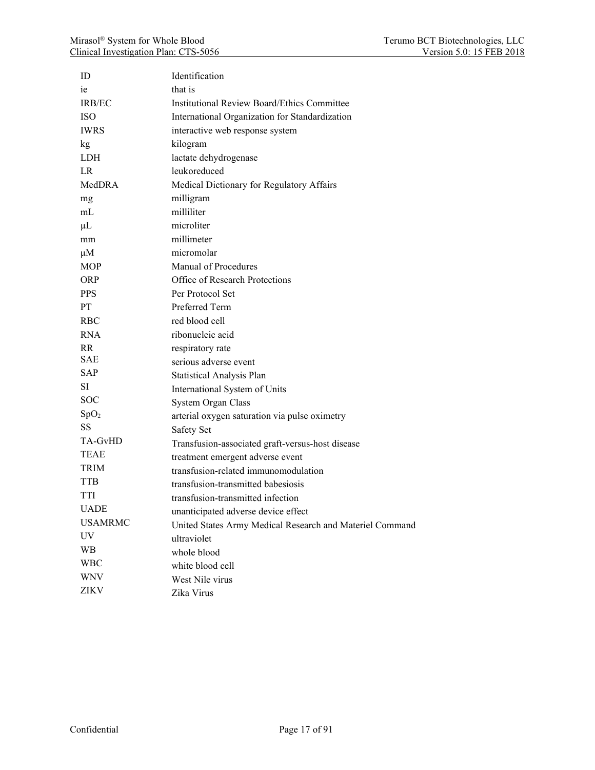| ID               | Identification                                           |
|------------------|----------------------------------------------------------|
| ie               | that is                                                  |
| <b>IRB/EC</b>    | <b>Institutional Review Board/Ethics Committee</b>       |
| <b>ISO</b>       | International Organization for Standardization           |
| <b>IWRS</b>      | interactive web response system                          |
| kg               | kilogram                                                 |
| <b>LDH</b>       | lactate dehydrogenase                                    |
| LR               | leukoreduced                                             |
| MedDRA           | Medical Dictionary for Regulatory Affairs                |
| mg               | milligram                                                |
| mL               | milliliter                                               |
| $\mu$ L          | microliter                                               |
| mm               | millimeter                                               |
| $\mu$ M          | micromolar                                               |
| <b>MOP</b>       | Manual of Procedures                                     |
| <b>ORP</b>       | Office of Research Protections                           |
| <b>PPS</b>       | Per Protocol Set                                         |
| PT.              | Preferred Term                                           |
| <b>RBC</b>       | red blood cell                                           |
| <b>RNA</b>       | ribonucleic acid                                         |
| <b>RR</b>        | respiratory rate                                         |
| <b>SAE</b>       | serious adverse event                                    |
| <b>SAP</b>       | <b>Statistical Analysis Plan</b>                         |
| <b>SI</b>        | International System of Units                            |
| <b>SOC</b>       | System Organ Class                                       |
| SpO <sub>2</sub> | arterial oxygen saturation via pulse oximetry            |
| <b>SS</b>        | Safety Set                                               |
| TA-GvHD          | Transfusion-associated graft-versus-host disease         |
| <b>TEAE</b>      | treatment emergent adverse event                         |
| <b>TRIM</b>      | transfusion-related immunomodulation                     |
| <b>TTB</b>       | transfusion-transmitted babesiosis                       |
| TTI              | transfusion-transmitted infection                        |
| <b>UADE</b>      | unanticipated adverse device effect                      |
| <b>USAMRMC</b>   | United States Army Medical Research and Materiel Command |
| UV               | ultraviolet                                              |
| <b>WB</b>        | whole blood                                              |
| <b>WBC</b>       | white blood cell                                         |
| <b>WNV</b>       | West Nile virus                                          |
| ZIKV             | Zika Virus                                               |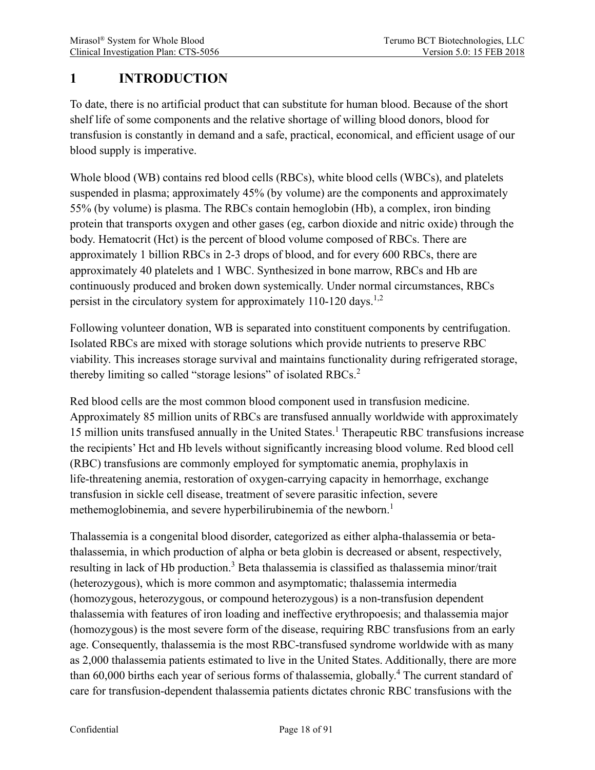# <span id="page-17-0"></span>**1 INTRODUCTION**

To date, there is no artificial product that can substitute for human blood. Because of the short shelf life of some components and the relative shortage of willing blood donors, blood for transfusion is constantly in demand and a safe, practical, economical, and efficient usage of our blood supply is imperative.

Whole blood (WB) contains red blood cells (RBCs), white blood cells (WBCs), and platelets suspended in plasma; approximately 45% (by volume) are the components and approximately 55% (by volume) is plasma. The RBCs contain hemoglobin (Hb), a complex, iron binding protein that transports oxygen and other gases (eg, carbon dioxide and nitric oxide) through the body. Hematocrit (Hct) is the percent of blood volume composed of RBCs. There are approximately 1 billion RBCs in 2-3 drops of blood, and for every 600 RBCs, there are approximately 40 platelets and 1 WBC. Synthesized in bone marrow, RBCs and Hb are continuously produced and broken down systemically. Under normal circumstances, RBCs persist in the circulatory system for approximately 110-120 days.<sup>1,2</sup>

Following volunteer donation, WB is separated into constituent components by centrifugation. Isolated RBCs are mixed with storage solutions which provide nutrients to preserve RBC viability. This increases storage survival and maintains functionality during refrigerated storage, thereby limiting so called "storage lesions" of isolated RBCs.<sup>2</sup>

Red blood cells are the most common blood component used in transfusion medicine. Approximately 85 million units of RBCs are transfused annually worldwide with approximately 15 million units transfused annually in the United States.<sup>1</sup> Therapeutic RBC transfusions increase the recipients' Hct and Hb levels without significantly increasing blood volume. Red blood cell (RBC) transfusions are commonly employed for symptomatic anemia, prophylaxis in life-threatening anemia, restoration of oxygen-carrying capacity in hemorrhage, exchange transfusion in sickle cell disease, treatment of severe parasitic infection, severe methemoglobinemia, and severe hyperbilirubinemia of the newborn.<sup>1</sup>

Thalassemia is a congenital blood disorder, categorized as either alpha-thalassemia or betathalassemia, in which production of alpha or beta globin is decreased or absent, respectively, resulting in lack of Hb production.<sup>3</sup> Beta thalassemia is classified as thalassemia minor/trait (heterozygous), which is more common and asymptomatic; thalassemia intermedia (homozygous, heterozygous, or compound heterozygous) is a non-transfusion dependent thalassemia with features of iron loading and ineffective erythropoesis; and thalassemia major (homozygous) is the most severe form of the disease, requiring RBC transfusions from an early age. Consequently, thalassemia is the most RBC-transfused syndrome worldwide with as many as 2,000 thalassemia patients estimated to live in the United States. Additionally, there are more than 60,000 births each year of serious forms of thalassemia, globally.<sup>4</sup> The current standard of care for transfusion-dependent thalassemia patients dictates chronic RBC transfusions with the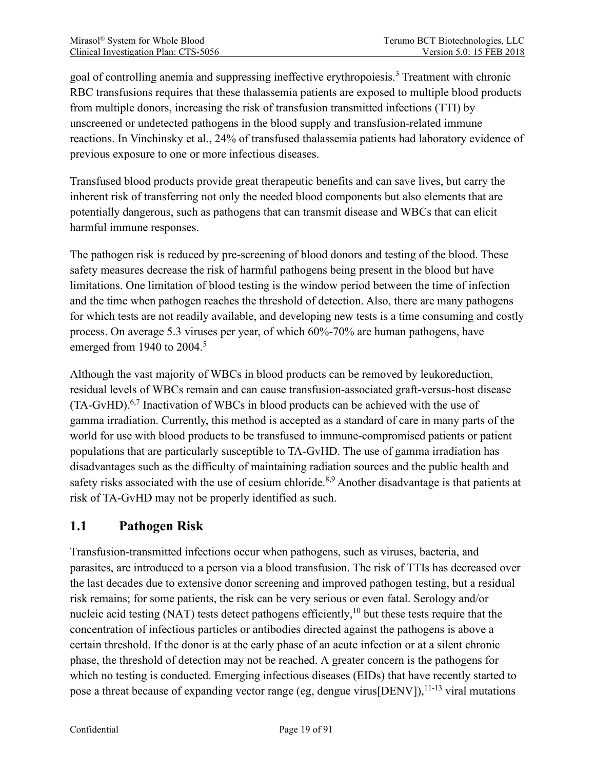goal of controlling anemia and suppressing ineffective erythropoiesis.<sup>3</sup> Treatment with chronic RBC transfusions requires that these thalassemia patients are exposed to multiple blood products from multiple donors, increasing the risk of transfusion transmitted infections (TTI) by unscreened or undetected pathogens in the blood supply and transfusion-related immune reactions. In Vinchinsky et al., 24% of transfused thalassemia patients had laboratory evidence of previous exposure to one or more infectious diseases.

Transfused blood products provide great therapeutic benefits and can save lives, but carry the inherent risk of transferring not only the needed blood components but also elements that are potentially dangerous, such as pathogens that can transmit disease and WBCs that can elicit harmful immune responses.

The pathogen risk is reduced by pre-screening of blood donors and testing of the blood. These safety measures decrease the risk of harmful pathogens being present in the blood but have limitations. One limitation of blood testing is the window period between the time of infection and the time when pathogen reaches the threshold of detection. Also, there are many pathogens for which tests are not readily available, and developing new tests is a time consuming and costly process. On average 5.3 viruses per year, of which 60%-70% are human pathogens, have emerged from 1940 to 2004.<sup>5</sup>

Although the vast majority of WBCs in blood products can be removed by leukoreduction, residual levels of WBCs remain and can cause transfusion-associated graft-versus-host disease  $(TA-GvHD)$ <sup>6,7</sup> Inactivation of WBCs in blood products can be achieved with the use of gamma irradiation. Currently, this method is accepted as a standard of care in many parts of the world for use with blood products to be transfused to immune-compromised patients or patient populations that are particularly susceptible to TA-GvHD. The use of gamma irradiation has disadvantages such as the difficulty of maintaining radiation sources and the public health and safety risks associated with the use of cesium chloride.<sup>8,9</sup> Another disadvantage is that patients at risk of TA-GvHD may not be properly identified as such.

# <span id="page-18-0"></span>**1.1 Pathogen Risk**

Transfusion-transmitted infections occur when pathogens, such as viruses, bacteria, and parasites, are introduced to a person via a blood transfusion. The risk of TTIs has decreased over the last decades due to extensive donor screening and improved pathogen testing, but a residual risk remains; for some patients, the risk can be very serious or even fatal. Serology and/or nucleic acid testing (NAT) tests detect pathogens efficiently,  $10$  but these tests require that the concentration of infectious particles or antibodies directed against the pathogens is above a certain threshold. If the donor is at the early phase of an acute infection or at a silent chronic phase, the threshold of detection may not be reached. A greater concern is the pathogens for which no testing is conducted. Emerging infectious diseases (EIDs) that have recently started to pose a threat because of expanding vector range (eg, dengue virus [DENV]),  $^{11-13}$  viral mutations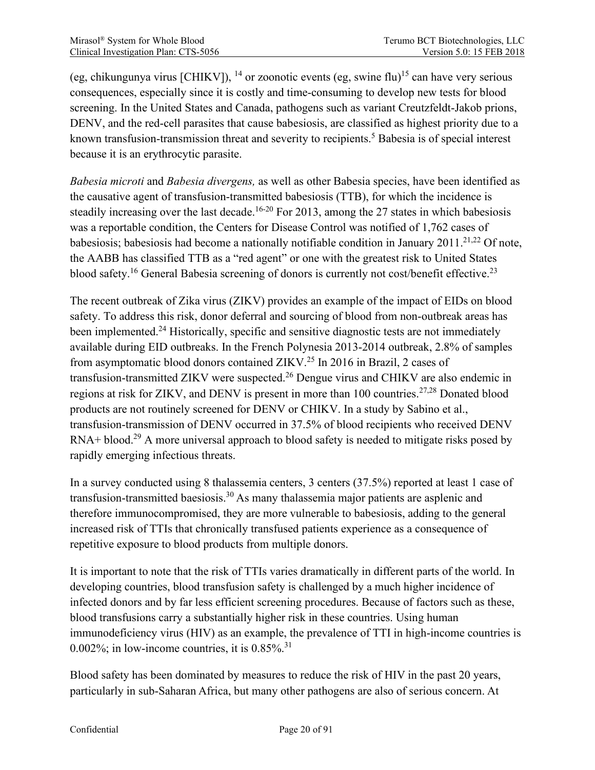(eg, chikungunya virus [CHIKV]), <sup>14</sup> or zoonotic events (eg, swine flu)<sup>15</sup> can have very serious consequences, especially since it is costly and time-consuming to develop new tests for blood screening. In the United States and Canada, pathogens such as variant Creutzfeldt-Jakob prions, DENV, and the red-cell parasites that cause babesiosis, are classified as highest priority due to a known transfusion-transmission threat and severity to recipients.<sup>5</sup> Babesia is of special interest because it is an erythrocytic parasite.

*Babesia microti* and *Babesia divergens,* as well as other Babesia species, have been identified as the causative agent of transfusion-transmitted babesiosis (TTB), for which the incidence is steadily increasing over the last decade.<sup>16-20</sup> For 2013, among the 27 states in which babesiosis was a reportable condition, the Centers for Disease Control was notified of 1,762 cases of babesiosis; babesiosis had become a nationally notifiable condition in January 2011.<sup>21,22</sup> Of note, the AABB has classified TTB as a "red agent" or one with the greatest risk to United States blood safety.<sup>16</sup> General Babesia screening of donors is currently not cost/benefit effective.<sup>23</sup>

The recent outbreak of Zika virus (ZIKV) provides an example of the impact of EIDs on blood safety. To address this risk, donor deferral and sourcing of blood from non-outbreak areas has been implemented.<sup>24</sup> Historically, specific and sensitive diagnostic tests are not immediately available during EID outbreaks. In the French Polynesia 2013-2014 outbreak, 2.8% of samples from asymptomatic blood donors contained ZIKV.<sup>25</sup> In 2016 in Brazil, 2 cases of transfusion-transmitted ZIKV were suspected.26 Dengue virus and CHIKV are also endemic in regions at risk for ZIKV, and DENV is present in more than 100 countries.<sup>27,28</sup> Donated blood products are not routinely screened for DENV or CHIKV. In a study by Sabino et al., transfusion-transmission of DENV occurred in 37.5% of blood recipients who received DENV RNA+ blood.<sup>29</sup> A more universal approach to blood safety is needed to mitigate risks posed by rapidly emerging infectious threats.

In a survey conducted using 8 thalassemia centers, 3 centers (37.5%) reported at least 1 case of transfusion-transmitted baesiosis.<sup>30</sup> As many thalassemia major patients are asplenic and therefore immunocompromised, they are more vulnerable to babesiosis, adding to the general increased risk of TTIs that chronically transfused patients experience as a consequence of repetitive exposure to blood products from multiple donors.

It is important to note that the risk of TTIs varies dramatically in different parts of the world. In developing countries, blood transfusion safety is challenged by a much higher incidence of infected donors and by far less efficient screening procedures. Because of factors such as these, blood transfusions carry a substantially higher risk in these countries. Using human immunodeficiency virus (HIV) as an example, the prevalence of TTI in high-income countries is 0.002%; in low-income countries, it is  $0.85\%$ <sup>31</sup>

Blood safety has been dominated by measures to reduce the risk of HIV in the past 20 years, particularly in sub-Saharan Africa, but many other pathogens are also of serious concern. At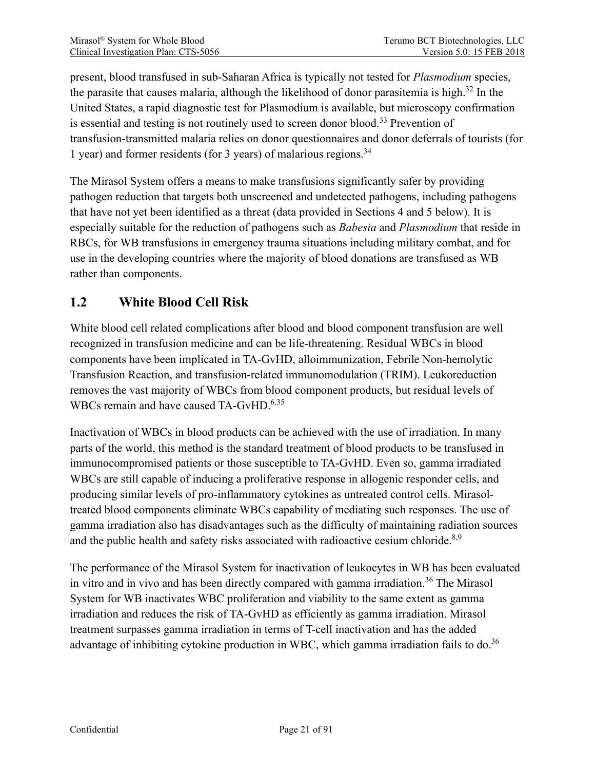present, blood transfused in sub-Saharan Africa is typically not tested for *Plasmodium* species, the parasite that causes malaria, although the likelihood of donor parasitemia is high. <sup>32</sup> In the United States, a rapid diagnostic test for Plasmodium is available, but microscopy confirmation is essential and testing is not routinely used to screen donor blood.<sup>33</sup> Prevention of transfusion-transmitted malaria relies on donor questionnaires and donor deferrals of tourists (for 1 year) and former residents (for 3 years) of malarious regions. 34

The Mirasol System offers a means to make transfusions significantly safer by providing pathogen reduction that targets both unscreened and undetected pathogens, including pathogens that have not yet been identified as a threat (data provided in Sections 4 and 5 below). It is especially suitable for the reduction of pathogens such as *Babesia* and *Plasmodium* that reside in RBCs, for WB transfusions in emergency trauma situations including military combat, and for use in the developing countries where the majority of blood donations are transfused as WB rather than components.

# <span id="page-20-0"></span>**1.2 White Blood Cell Risk**

White blood cell related complications after blood and blood component transfusion are well recognized in transfusion medicine and can be life-threatening. Residual WBCs in blood components have been implicated in TA-GvHD, alloimmunization, Febrile Non-hemolytic Transfusion Reaction, and transfusion-related immunomodulation (TRIM). Leukoreduction removes the vast majority of WBCs from blood component products, but residual levels of WBCs remain and have caused TA-GvHD.<sup>6,35</sup>

Inactivation of WBCs in blood products can be achieved with the use of irradiation. In many parts of the world, this method is the standard treatment of blood products to be transfused in immunocompromised patients or those susceptible to TA-GvHD. Even so, gamma irradiated WBCs are still capable of inducing a proliferative response in allogenic responder cells, and producing similar levels of pro-inflammatory cytokines as untreated control cells. Mirasoltreated blood components eliminate WBCs capability of mediating such responses. The use of gamma irradiation also has disadvantages such as the difficulty of maintaining radiation sources and the public health and safety risks associated with radioactive cesium chloride. $8,9$ 

The performance of the Mirasol System for inactivation of leukocytes in WB has been evaluated in vitro and in vivo and has been directly compared with gamma irradiation. <sup>36</sup> The Mirasol System for WB inactivates WBC proliferation and viability to the same extent as gamma irradiation and reduces the risk of TA-GvHD as efficiently as gamma irradiation. Mirasol treatment surpasses gamma irradiation in terms of T-cell inactivation and has the added advantage of inhibiting cytokine production in WBC, which gamma irradiation fails to do.<sup>36</sup>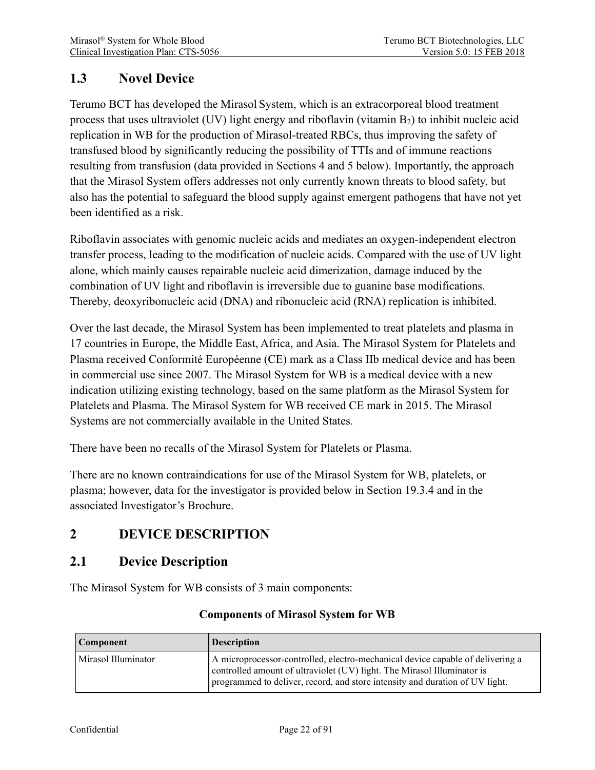## <span id="page-21-0"></span>**1.3 Novel Device**

Terumo BCT has developed the Mirasol System, which is an extracorporeal blood treatment process that uses ultraviolet (UV) light energy and riboflavin (vitamin B2) to inhibit nucleic acid replication in WB for the production of Mirasol-treated RBCs, thus improving the safety of transfused blood by significantly reducing the possibility of TTIs and of immune reactions resulting from transfusion (data provided in Sections 4 and 5 below). Importantly, the approach that the Mirasol System offers addresses not only currently known threats to blood safety, but also has the potential to safeguard the blood supply against emergent pathogens that have not yet been identified as a risk.

Riboflavin associates with genomic nucleic acids and mediates an oxygen-independent electron transfer process, leading to the modification of nucleic acids. Compared with the use of UV light alone, which mainly causes repairable nucleic acid dimerization, damage induced by the combination of UV light and riboflavin is irreversible due to guanine base modifications. Thereby, deoxyribonucleic acid (DNA) and ribonucleic acid (RNA) replication is inhibited.

Over the last decade, the Mirasol System has been implemented to treat platelets and plasma in 17 countries in Europe, the Middle East, Africa, and Asia. The Mirasol System for Platelets and Plasma received Conformité Européenne (CE) mark as a Class IIb medical device and has been in commercial use since 2007. The Mirasol System for WB is a medical device with a new indication utilizing existing technology, based on the same platform as the Mirasol System for Platelets and Plasma. The Mirasol System for WB received CE mark in 2015. The Mirasol Systems are not commercially available in the United States.

There have been no recalls of the Mirasol System for Platelets or Plasma.

There are no known contraindications for use of the Mirasol System for WB, platelets, or plasma; however, data for the investigator is provided below in Section 19.3.4 and in the associated Investigator's Brochure.

# <span id="page-21-1"></span>**2 DEVICE DESCRIPTION**

## <span id="page-21-2"></span>**2.1 Device Description**

The Mirasol System for WB consists of 3 main components:

| Component           | <b>Description</b>                                                                                                                                                                                                                        |  |
|---------------------|-------------------------------------------------------------------------------------------------------------------------------------------------------------------------------------------------------------------------------------------|--|
| Mirasol Illuminator | A microprocessor-controlled, electro-mechanical device capable of delivering a<br>controlled amount of ultraviolet (UV) light. The Mirasol Illuminator is<br>programmed to deliver, record, and store intensity and duration of UV light. |  |

#### **Components of Mirasol System for WB**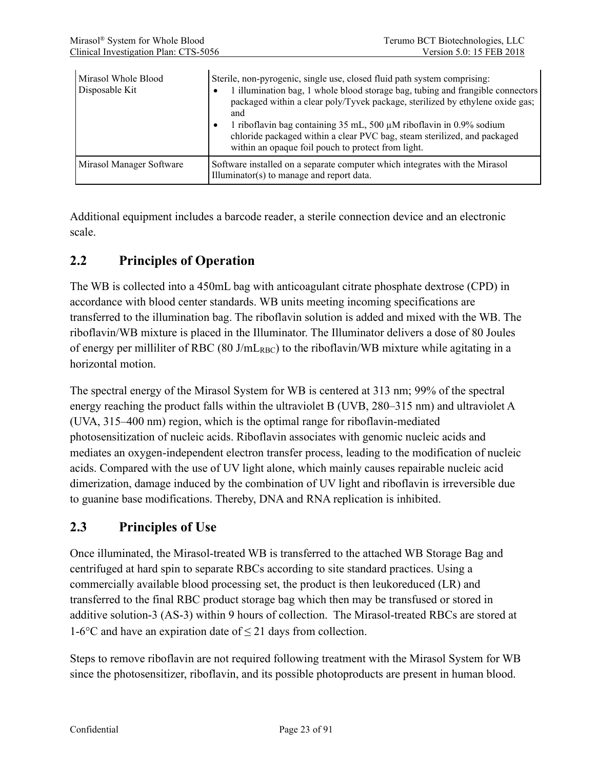| Mirasol Whole Blood<br>Disposable Kit | Sterile, non-pyrogenic, single use, closed fluid path system comprising:<br>1 illumination bag, 1 whole blood storage bag, tubing and frangible connectors<br>packaged within a clear poly/Tyvek package, sterilized by ethylene oxide gas;<br>and<br>1 riboflavin bag containing $35$ mL, $500 \mu$ M riboflavin in 0.9% sodium<br>chloride packaged within a clear PVC bag, steam sterilized, and packaged<br>within an opaque foil pouch to protect from light. |
|---------------------------------------|--------------------------------------------------------------------------------------------------------------------------------------------------------------------------------------------------------------------------------------------------------------------------------------------------------------------------------------------------------------------------------------------------------------------------------------------------------------------|
| Mirasol Manager Software              | Software installed on a separate computer which integrates with the Mirasol<br>Illuminator(s) to manage and report data.                                                                                                                                                                                                                                                                                                                                           |

Additional equipment includes a barcode reader, a sterile connection device and an electronic scale.

## <span id="page-22-0"></span>**2.2 Principles of Operation**

The WB is collected into a 450mL bag with anticoagulant citrate phosphate dextrose (CPD) in accordance with blood center standards. WB units meeting incoming specifications are transferred to the illumination bag. The riboflavin solution is added and mixed with the WB. The riboflavin/WB mixture is placed in the Illuminator. The Illuminator delivers a dose of 80 Joules of energy per milliliter of RBC (80 J/mL<sub>RBC</sub>) to the riboflavin/WB mixture while agitating in a horizontal motion.

The spectral energy of the Mirasol System for WB is centered at 313 nm; 99% of the spectral energy reaching the product falls within the ultraviolet B (UVB, 280–315 nm) and ultraviolet A (UVA, 315–400 nm) region, which is the optimal range for riboflavin-mediated photosensitization of nucleic acids. Riboflavin associates with genomic nucleic acids and mediates an oxygen-independent electron transfer process, leading to the modification of nucleic acids. Compared with the use of UV light alone, which mainly causes repairable nucleic acid dimerization, damage induced by the combination of UV light and riboflavin is irreversible due to guanine base modifications. Thereby, DNA and RNA replication is inhibited.

### <span id="page-22-1"></span>**2.3 Principles of Use**

Once illuminated, the Mirasol-treated WB is transferred to the attached WB Storage Bag and centrifuged at hard spin to separate RBCs according to site standard practices. Using a commercially available blood processing set, the product is then leukoreduced (LR) and transferred to the final RBC product storage bag which then may be transfused or stored in additive solution-3 (AS-3) within 9 hours of collection. The Mirasol-treated RBCs are stored at 1-6°C and have an expiration date of  $\leq$  21 days from collection.

Steps to remove riboflavin are not required following treatment with the Mirasol System for WB since the photosensitizer, riboflavin, and its possible photoproducts are present in human blood.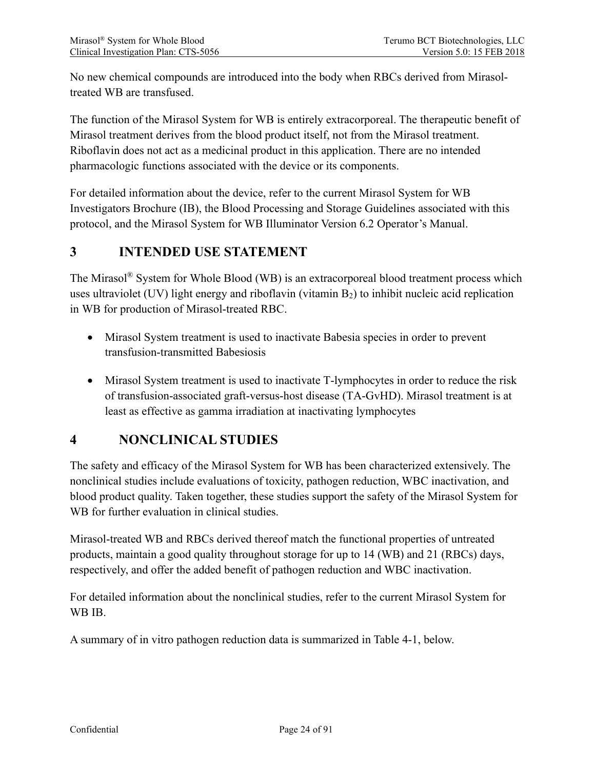No new chemical compounds are introduced into the body when RBCs derived from Mirasoltreated WB are transfused.

The function of the Mirasol System for WB is entirely extracorporeal. The therapeutic benefit of Mirasol treatment derives from the blood product itself, not from the Mirasol treatment. Riboflavin does not act as a medicinal product in this application. There are no intended pharmacologic functions associated with the device or its components.

For detailed information about the device, refer to the current Mirasol System for WB Investigators Brochure (IB), the Blood Processing and Storage Guidelines associated with this protocol, and the Mirasol System for WB Illuminator Version 6.2 Operator's Manual.

# <span id="page-23-0"></span>**3 INTENDED USE STATEMENT**

The Mirasol® System for Whole Blood (WB) is an extracorporeal blood treatment process which uses ultraviolet (UV) light energy and riboflavin (vitamin  $B_2$ ) to inhibit nucleic acid replication in WB for production of Mirasol-treated RBC.

- Mirasol System treatment is used to inactivate Babesia species in order to prevent transfusion-transmitted Babesiosis
- Mirasol System treatment is used to inactivate T-lymphocytes in order to reduce the risk of transfusion-associated graft-versus-host disease (TA-GvHD). Mirasol treatment is at least as effective as gamma irradiation at inactivating lymphocytes

# <span id="page-23-1"></span>**4 NONCLINICAL STUDIES**

The safety and efficacy of the Mirasol System for WB has been characterized extensively. The nonclinical studies include evaluations of toxicity, pathogen reduction, WBC inactivation, and blood product quality. Taken together, these studies support the safety of the Mirasol System for WB for further evaluation in clinical studies.

Mirasol-treated WB and RBCs derived thereof match the functional properties of untreated products, maintain a good quality throughout storage for up to 14 (WB) and 21 (RBCs) days, respectively, and offer the added benefit of pathogen reduction and WBC inactivation.

For detailed information about the nonclinical studies, refer to the current Mirasol System for WB IB.

A summary of in vitro pathogen reduction data is summarized in Table 4-1, below.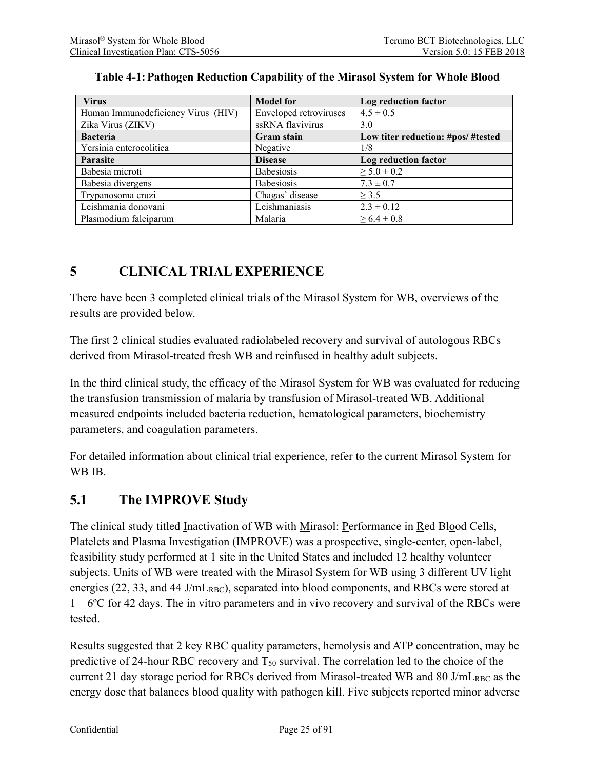<span id="page-24-2"></span>

| <b>Virus</b>                       | <b>Model for</b>              | Log reduction factor               |
|------------------------------------|-------------------------------|------------------------------------|
| Human Immunodeficiency Virus (HIV) | <b>Enveloped retroviruses</b> | $4.5 \pm 0.5$                      |
| Zika Virus (ZIKV)                  | ssRNA flavivirus              | 3.0                                |
| <b>Bacteria</b>                    | Gram stain                    | Low titer reduction: #pos/ #tested |
| Yersinia enterocolitica            | Negative                      | 1/8                                |
| Parasite                           | <b>Disease</b>                | Log reduction factor               |
| Babesia microti                    | Babesiosis                    | $\geq 5.0 \pm 0.2$                 |
| Babesia divergens                  | Babesiosis                    | $7.3 \pm 0.7$                      |
| Trypanosoma cruzi                  | Chagas' disease               | > 3.5                              |
| Leishmania donovani                | Leishmaniasis                 | $2.3 \pm 0.12$                     |
| Plasmodium falciparum              | Malaria                       | $\geq 6.4 \pm 0.8$                 |

#### **Table 4-1:Pathogen Reduction Capability of the Mirasol System for Whole Blood**

# <span id="page-24-0"></span>**5 CLINICAL TRIAL EXPERIENCE**

There have been 3 completed clinical trials of the Mirasol System for WB, overviews of the results are provided below.

The first 2 clinical studies evaluated radiolabeled recovery and survival of autologous RBCs derived from Mirasol-treated fresh WB and reinfused in healthy adult subjects.

In the third clinical study, the efficacy of the Mirasol System for WB was evaluated for reducing the transfusion transmission of malaria by transfusion of Mirasol-treated WB. Additional measured endpoints included bacteria reduction, hematological parameters, biochemistry parameters, and coagulation parameters.

For detailed information about clinical trial experience, refer to the current Mirasol System for WB IB.

## <span id="page-24-1"></span>**5.1 The IMPROVE Study**

The clinical study titled Inactivation of WB with Mirasol: Performance in Red Blood Cells, Platelets and Plasma Investigation (IMPROVE) was a prospective, single-center, open-label, feasibility study performed at 1 site in the United States and included 12 healthy volunteer subjects. Units of WB were treated with the Mirasol System for WB using 3 different UV light energies (22, 33, and 44 J/mL<sub>RBC</sub>), separated into blood components, and RBCs were stored at 1 – 6ºC for 42 days. The in vitro parameters and in vivo recovery and survival of the RBCs were tested.

Results suggested that 2 key RBC quality parameters, hemolysis and ATP concentration, may be predictive of 24-hour RBC recovery and  $T_{50}$  survival. The correlation led to the choice of the current 21 day storage period for RBCs derived from Mirasol-treated WB and 80 J/mL<sub>RBC</sub> as the energy dose that balances blood quality with pathogen kill. Five subjects reported minor adverse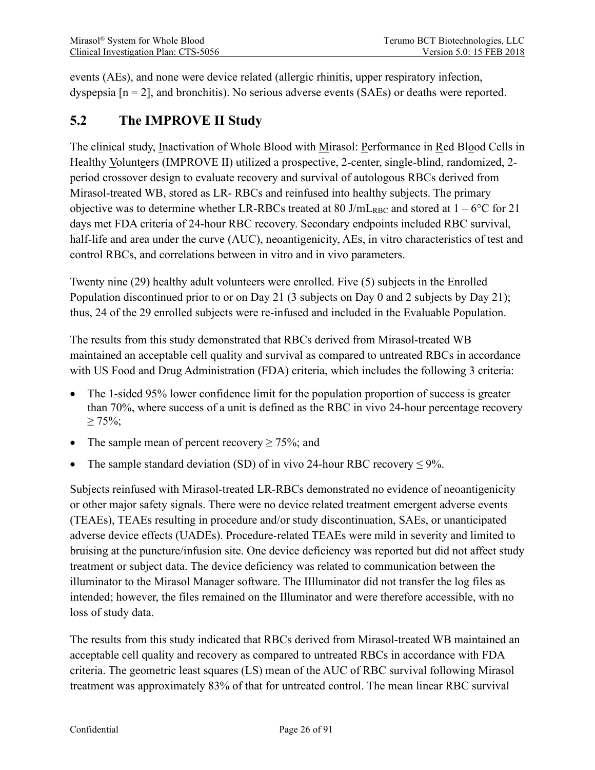events (AEs), and none were device related (allergic rhinitis, upper respiratory infection, dyspepsia [n = 2], and bronchitis). No serious adverse events (SAEs) or deaths were reported.

# <span id="page-25-0"></span>**5.2 The IMPROVE II Study**

The clinical study, Inactivation of Whole Blood with Mirasol: Performance in Red Blood Cells in Healthy Volunteers (IMPROVE II) utilized a prospective, 2-center, single-blind, randomized, 2 period crossover design to evaluate recovery and survival of autologous RBCs derived from Mirasol-treated WB, stored as LR- RBCs and reinfused into healthy subjects. The primary objective was to determine whether LR-RBCs treated at 80 J/mL<sub>RBC</sub> and stored at  $1 - 6$ °C for 21 days met FDA criteria of 24-hour RBC recovery. Secondary endpoints included RBC survival, half-life and area under the curve (AUC), neoantigenicity, AEs, in vitro characteristics of test and control RBCs, and correlations between in vitro and in vivo parameters.

Twenty nine (29) healthy adult volunteers were enrolled. Five (5) subjects in the Enrolled Population discontinued prior to or on Day 21 (3 subjects on Day 0 and 2 subjects by Day 21); thus, 24 of the 29 enrolled subjects were re-infused and included in the Evaluable Population.

The results from this study demonstrated that RBCs derived from Mirasol-treated WB maintained an acceptable cell quality and survival as compared to untreated RBCs in accordance with US Food and Drug Administration (FDA) criteria, which includes the following 3 criteria:

- The 1-sided 95% lower confidence limit for the population proportion of success is greater than 70%, where success of a unit is defined as the RBC in vivo 24-hour percentage recovery  $\geq 75\%$ ;
- The sample mean of percent recovery  $\geq$  75%; and
- The sample standard deviation (SD) of in vivo 24-hour RBC recovery  $\leq 9\%$ .

Subjects reinfused with Mirasol-treated LR-RBCs demonstrated no evidence of neoantigenicity or other major safety signals. There were no device related treatment emergent adverse events (TEAEs), TEAEs resulting in procedure and/or study discontinuation, SAEs, or unanticipated adverse device effects (UADEs). Procedure-related TEAEs were mild in severity and limited to bruising at the puncture/infusion site. One device deficiency was reported but did not affect study treatment or subject data. The device deficiency was related to communication between the illuminator to the Mirasol Manager software. The IIlluminator did not transfer the log files as intended; however, the files remained on the Illuminator and were therefore accessible, with no loss of study data.

The results from this study indicated that RBCs derived from Mirasol-treated WB maintained an acceptable cell quality and recovery as compared to untreated RBCs in accordance with FDA criteria. The geometric least squares (LS) mean of the AUC of RBC survival following Mirasol treatment was approximately 83% of that for untreated control. The mean linear RBC survival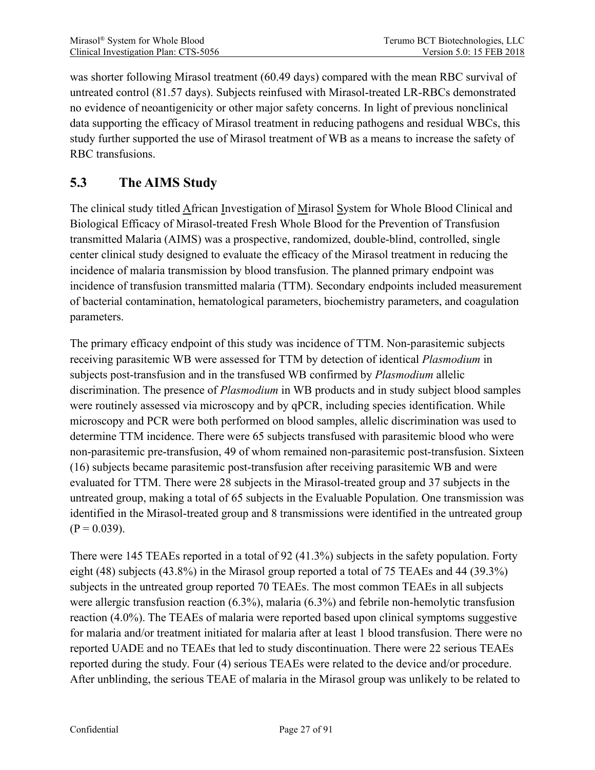was shorter following Mirasol treatment (60.49 days) compared with the mean RBC survival of untreated control (81.57 days). Subjects reinfused with Mirasol-treated LR-RBCs demonstrated no evidence of neoantigenicity or other major safety concerns. In light of previous nonclinical data supporting the efficacy of Mirasol treatment in reducing pathogens and residual WBCs, this study further supported the use of Mirasol treatment of WB as a means to increase the safety of RBC transfusions.

## <span id="page-26-0"></span>**5.3 The AIMS Study**

The clinical study titled African Investigation of Mirasol System for Whole Blood Clinical and Biological Efficacy of Mirasol-treated Fresh Whole Blood for the Prevention of Transfusion transmitted Malaria (AIMS) was a prospective, randomized, double-blind, controlled, single center clinical study designed to evaluate the efficacy of the Mirasol treatment in reducing the incidence of malaria transmission by blood transfusion. The planned primary endpoint was incidence of transfusion transmitted malaria (TTM). Secondary endpoints included measurement of bacterial contamination, hematological parameters, biochemistry parameters, and coagulation parameters.

The primary efficacy endpoint of this study was incidence of TTM. Non-parasitemic subjects receiving parasitemic WB were assessed for TTM by detection of identical *Plasmodium* in subjects post-transfusion and in the transfused WB confirmed by *Plasmodium* allelic discrimination. The presence of *Plasmodium* in WB products and in study subject blood samples were routinely assessed via microscopy and by qPCR, including species identification. While microscopy and PCR were both performed on blood samples, allelic discrimination was used to determine TTM incidence. There were 65 subjects transfused with parasitemic blood who were non-parasitemic pre-transfusion, 49 of whom remained non-parasitemic post-transfusion. Sixteen (16) subjects became parasitemic post-transfusion after receiving parasitemic WB and were evaluated for TTM. There were 28 subjects in the Mirasol-treated group and 37 subjects in the untreated group, making a total of 65 subjects in the Evaluable Population. One transmission was identified in the Mirasol-treated group and 8 transmissions were identified in the untreated group  $(P = 0.039)$ .

There were 145 TEAEs reported in a total of 92 (41.3%) subjects in the safety population. Forty eight (48) subjects (43.8%) in the Mirasol group reported a total of 75 TEAEs and 44 (39.3%) subjects in the untreated group reported 70 TEAEs. The most common TEAEs in all subjects were allergic transfusion reaction (6.3%), malaria (6.3%) and febrile non-hemolytic transfusion reaction (4.0%). The TEAEs of malaria were reported based upon clinical symptoms suggestive for malaria and/or treatment initiated for malaria after at least 1 blood transfusion. There were no reported UADE and no TEAEs that led to study discontinuation. There were 22 serious TEAEs reported during the study. Four (4) serious TEAEs were related to the device and/or procedure. After unblinding, the serious TEAE of malaria in the Mirasol group was unlikely to be related to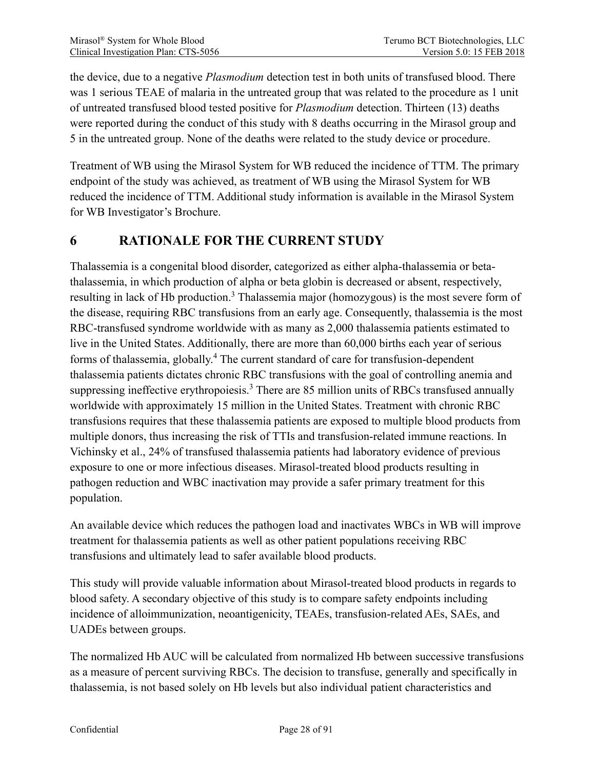the device, due to a negative *Plasmodium* detection test in both units of transfused blood. There was 1 serious TEAE of malaria in the untreated group that was related to the procedure as 1 unit of untreated transfused blood tested positive for *Plasmodium* detection. Thirteen (13) deaths were reported during the conduct of this study with 8 deaths occurring in the Mirasol group and 5 in the untreated group. None of the deaths were related to the study device or procedure.

Treatment of WB using the Mirasol System for WB reduced the incidence of TTM. The primary endpoint of the study was achieved, as treatment of WB using the Mirasol System for WB reduced the incidence of TTM. Additional study information is available in the Mirasol System for WB Investigator's Brochure.

# <span id="page-27-0"></span>**6 RATIONALE FOR THE CURRENT STUDY**

Thalassemia is a congenital blood disorder, categorized as either alpha-thalassemia or betathalassemia, in which production of alpha or beta globin is decreased or absent, respectively, resulting in lack of Hb production.<sup>3</sup> Thalassemia major (homozygous) is the most severe form of the disease, requiring RBC transfusions from an early age. Consequently, thalassemia is the most RBC-transfused syndrome worldwide with as many as 2,000 thalassemia patients estimated to live in the United States. Additionally, there are more than 60,000 births each year of serious forms of thalassemia, globally.<sup>4</sup> The current standard of care for transfusion-dependent thalassemia patients dictates chronic RBC transfusions with the goal of controlling anemia and suppressing ineffective erythropoiesis.<sup>3</sup> There are 85 million units of RBCs transfused annually worldwide with approximately 15 million in the United States. Treatment with chronic RBC transfusions requires that these thalassemia patients are exposed to multiple blood products from multiple donors, thus increasing the risk of TTIs and transfusion-related immune reactions. In Vichinsky et al., 24% of transfused thalassemia patients had laboratory evidence of previous exposure to one or more infectious diseases. Mirasol-treated blood products resulting in pathogen reduction and WBC inactivation may provide a safer primary treatment for this population.

An available device which reduces the pathogen load and inactivates WBCs in WB will improve treatment for thalassemia patients as well as other patient populations receiving RBC transfusions and ultimately lead to safer available blood products.

This study will provide valuable information about Mirasol-treated blood products in regards to blood safety. A secondary objective of this study is to compare safety endpoints including incidence of alloimmunization, neoantigenicity, TEAEs, transfusion-related AEs, SAEs, and UADEs between groups.

The normalized Hb AUC will be calculated from normalized Hb between successive transfusions as a measure of percent surviving RBCs. The decision to transfuse, generally and specifically in thalassemia, is not based solely on Hb levels but also individual patient characteristics and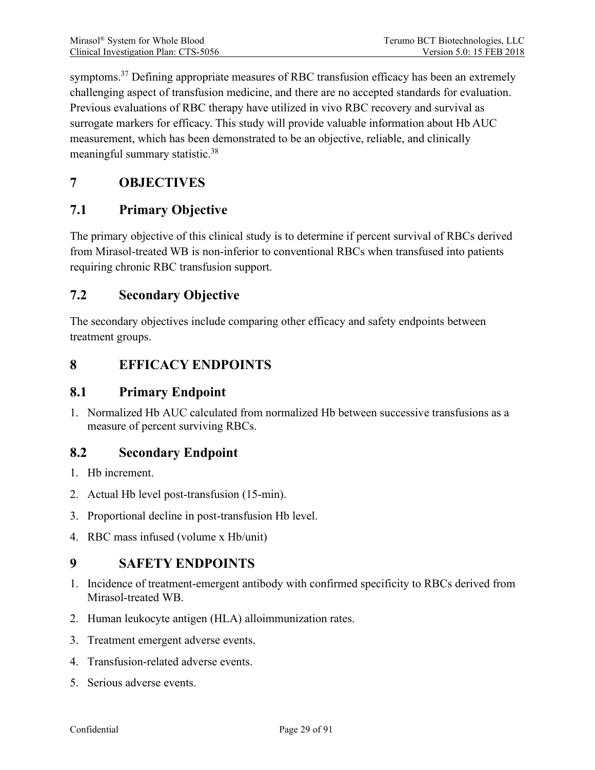symptoms.<sup>37</sup> Defining appropriate measures of RBC transfusion efficacy has been an extremely challenging aspect of transfusion medicine, and there are no accepted standards for evaluation. Previous evaluations of RBC therapy have utilized in vivo RBC recovery and survival as surrogate markers for efficacy. This study will provide valuable information about Hb AUC measurement, which has been demonstrated to be an objective, reliable, and clinically meaningful summary statistic.<sup>38</sup>

## <span id="page-28-0"></span>**7 OBJECTIVES**

## <span id="page-28-1"></span>**7.1 Primary Objective**

The primary objective of this clinical study is to determine if percent survival of RBCs derived from Mirasol-treated WB is non-inferior to conventional RBCs when transfused into patients requiring chronic RBC transfusion support.

## <span id="page-28-2"></span>**7.2 Secondary Objective**

The secondary objectives include comparing other efficacy and safety endpoints between treatment groups.

# <span id="page-28-3"></span>**8 EFFICACY ENDPOINTS**

## <span id="page-28-4"></span>**8.1 Primary Endpoint**

1. Normalized Hb AUC calculated from normalized Hb between successive transfusions as a measure of percent surviving RBCs.

## <span id="page-28-5"></span>**8.2 Secondary Endpoint**

- 1. Hb increment.
- 2. Actual Hb level post-transfusion (15-min).
- 3. Proportional decline in post-transfusion Hb level.
- 4. RBC mass infused (volume x Hb/unit)

## <span id="page-28-6"></span>**9 SAFETY ENDPOINTS**

- 1. Incidence of treatment-emergent antibody with confirmed specificity to RBCs derived from Mirasol-treated WB.
- 2. Human leukocyte antigen (HLA) alloimmunization rates.
- 3. Treatment emergent adverse events.
- 4. Transfusion-related adverse events.
- 5. Serious adverse events.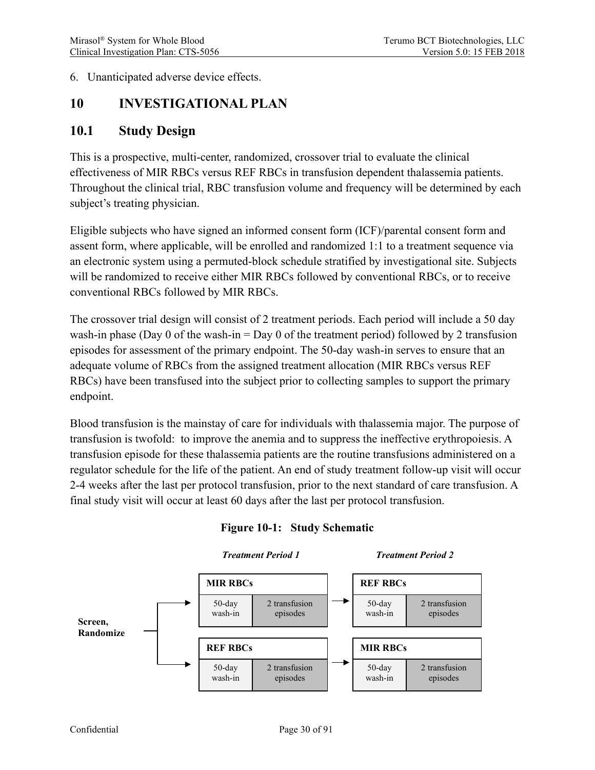#### 6. Unanticipated adverse device effects.

## <span id="page-29-0"></span>**10 INVESTIGATIONAL PLAN**

### <span id="page-29-1"></span>**10.1 Study Design**

This is a prospective, multi-center, randomized, crossover trial to evaluate the clinical effectiveness of MIR RBCs versus REF RBCs in transfusion dependent thalassemia patients. Throughout the clinical trial, RBC transfusion volume and frequency will be determined by each subject's treating physician.

Eligible subjects who have signed an informed consent form (ICF)/parental consent form and assent form, where applicable, will be enrolled and randomized 1:1 to a treatment sequence via an electronic system using a permuted-block schedule stratified by investigational site. Subjects will be randomized to receive either MIR RBCs followed by conventional RBCs, or to receive conventional RBCs followed by MIR RBCs.

The crossover trial design will consist of 2 treatment periods. Each period will include a 50 day wash-in phase (Day 0 of the wash-in  $=$  Day 0 of the treatment period) followed by 2 transfusion episodes for assessment of the primary endpoint. The 50-day wash-in serves to ensure that an adequate volume of RBCs from the assigned treatment allocation (MIR RBCs versus REF RBCs) have been transfused into the subject prior to collecting samples to support the primary endpoint.

Blood transfusion is the mainstay of care for individuals with thalassemia major. The purpose of transfusion is twofold: to improve the anemia and to suppress the ineffective erythropoiesis. A transfusion episode for these thalassemia patients are the routine transfusions administered on a regulator schedule for the life of the patient. An end of study treatment follow-up visit will occur 2-4 weeks after the last per protocol transfusion, prior to the next standard of care transfusion. A final study visit will occur at least 60 days after the last per protocol transfusion.

<span id="page-29-2"></span>

#### **Figure 10-1: Study Schematic**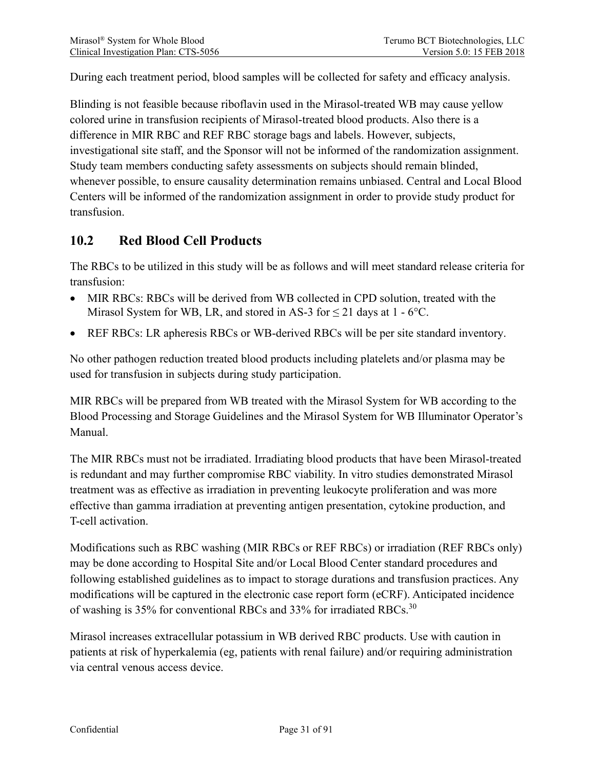During each treatment period, blood samples will be collected for safety and efficacy analysis.

Blinding is not feasible because riboflavin used in the Mirasol-treated WB may cause yellow colored urine in transfusion recipients of Mirasol-treated blood products. Also there is a difference in MIR RBC and REF RBC storage bags and labels. However, subjects, investigational site staff, and the Sponsor will not be informed of the randomization assignment. Study team members conducting safety assessments on subjects should remain blinded, whenever possible, to ensure causality determination remains unbiased. Central and Local Blood Centers will be informed of the randomization assignment in order to provide study product for transfusion.

## <span id="page-30-0"></span>**10.2 Red Blood Cell Products**

The RBCs to be utilized in this study will be as follows and will meet standard release criteria for transfusion:

- MIR RBCs: RBCs will be derived from WB collected in CPD solution, treated with the Mirasol System for WB, LR, and stored in AS-3 for  $\leq$  21 days at 1 - 6°C.
- REF RBCs: LR apheresis RBCs or WB-derived RBCs will be per site standard inventory.

No other pathogen reduction treated blood products including platelets and/or plasma may be used for transfusion in subjects during study participation.

MIR RBCs will be prepared from WB treated with the Mirasol System for WB according to the Blood Processing and Storage Guidelines and the Mirasol System for WB Illuminator Operator's Manual.

The MIR RBCs must not be irradiated. Irradiating blood products that have been Mirasol-treated is redundant and may further compromise RBC viability. In vitro studies demonstrated Mirasol treatment was as effective as irradiation in preventing leukocyte proliferation and was more effective than gamma irradiation at preventing antigen presentation, cytokine production, and T-cell activation.

Modifications such as RBC washing (MIR RBCs or REF RBCs) or irradiation (REF RBCs only) may be done according to Hospital Site and/or Local Blood Center standard procedures and following established guidelines as to impact to storage durations and transfusion practices. Any modifications will be captured in the electronic case report form (eCRF). Anticipated incidence of washing is 35% for conventional RBCs and 33% for irradiated RBCs.<sup>30</sup>

Mirasol increases extracellular potassium in WB derived RBC products. Use with caution in patients at risk of hyperkalemia (eg, patients with renal failure) and/or requiring administration via central venous access device.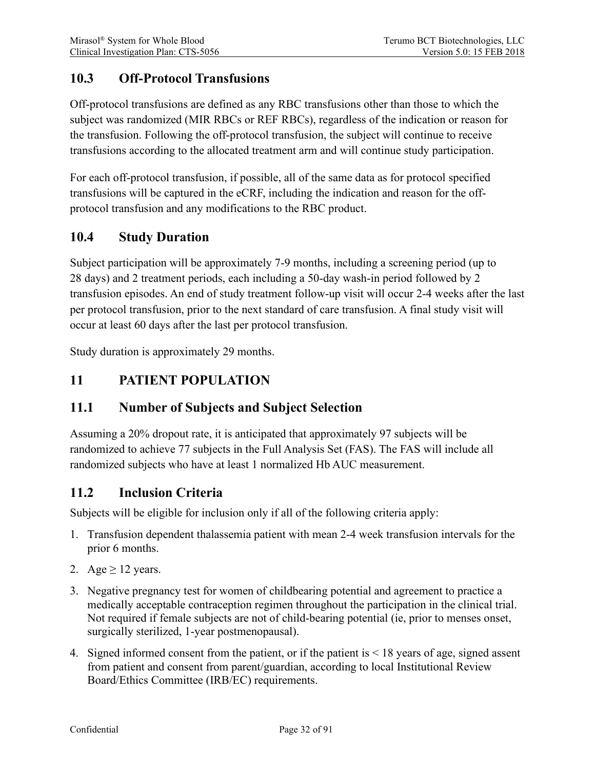## <span id="page-31-0"></span>**10.3 Off-Protocol Transfusions**

Off-protocol transfusions are defined as any RBC transfusions other than those to which the subject was randomized (MIR RBCs or REF RBCs), regardless of the indication or reason for the transfusion. Following the off-protocol transfusion, the subject will continue to receive transfusions according to the allocated treatment arm and will continue study participation.

For each off-protocol transfusion, if possible, all of the same data as for protocol specified transfusions will be captured in the eCRF, including the indication and reason for the offprotocol transfusion and any modifications to the RBC product.

## <span id="page-31-1"></span>**10.4 Study Duration**

Subject participation will be approximately 7-9 months, including a screening period (up to 28 days) and 2 treatment periods, each including a 50-day wash-in period followed by 2 transfusion episodes. An end of study treatment follow-up visit will occur 2-4 weeks after the last per protocol transfusion, prior to the next standard of care transfusion. A final study visit will occur at least 60 days after the last per protocol transfusion.

<span id="page-31-2"></span>Study duration is approximately 29 months.

## **11 PATIENT POPULATION**

## <span id="page-31-3"></span>**11.1 Number of Subjects and Subject Selection**

Assuming a 20% dropout rate, it is anticipated that approximately 97 subjects will be randomized to achieve 77 subjects in the Full Analysis Set (FAS). The FAS will include all randomized subjects who have at least 1 normalized Hb AUC measurement.

### <span id="page-31-4"></span>**11.2 Inclusion Criteria**

Subjects will be eligible for inclusion only if all of the following criteria apply:

- 1. Transfusion dependent thalassemia patient with mean 2-4 week transfusion intervals for the prior 6 months.
- 2. Age  $\geq$  12 years.
- 3. Negative pregnancy test for women of childbearing potential and agreement to practice a medically acceptable contraception regimen throughout the participation in the clinical trial. Not required if female subjects are not of child-bearing potential (ie, prior to menses onset, surgically sterilized, 1-year postmenopausal).
- 4. Signed informed consent from the patient, or if the patient is < 18 years of age, signed assent from patient and consent from parent/guardian, according to local Institutional Review Board/Ethics Committee (IRB/EC) requirements.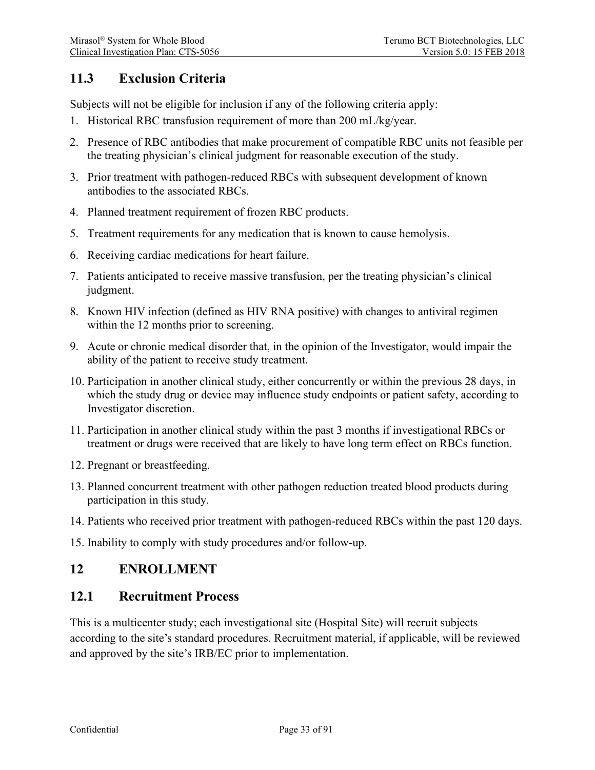## <span id="page-32-0"></span>**11.3 Exclusion Criteria**

Subjects will not be eligible for inclusion if any of the following criteria apply:

- 1. Historical RBC transfusion requirement of more than 200 mL/kg/year.
- 2. Presence of RBC antibodies that make procurement of compatible RBC units not feasible per the treating physician's clinical judgment for reasonable execution of the study.
- 3. Prior treatment with pathogen-reduced RBCs with subsequent development of known antibodies to the associated RBCs.
- 4. Planned treatment requirement of frozen RBC products.
- 5. Treatment requirements for any medication that is known to cause hemolysis.
- 6. Receiving cardiac medications for heart failure.
- 7. Patients anticipated to receive massive transfusion, per the treating physician's clinical judgment.
- 8. Known HIV infection (defined as HIV RNA positive) with changes to antiviral regimen within the 12 months prior to screening.
- 9. Acute or chronic medical disorder that, in the opinion of the Investigator, would impair the ability of the patient to receive study treatment.
- 10. Participation in another clinical study, either concurrently or within the previous 28 days, in which the study drug or device may influence study endpoints or patient safety, according to Investigator discretion.
- 11. Participation in another clinical study within the past 3 months if investigational RBCs or treatment or drugs were received that are likely to have long term effect on RBCs function.
- 12. Pregnant or breastfeeding.
- 13. Planned concurrent treatment with other pathogen reduction treated blood products during participation in this study.
- 14. Patients who received prior treatment with pathogen-reduced RBCs within the past 120 days.
- 15. Inability to comply with study procedures and/or follow-up.

### <span id="page-32-1"></span>**12 ENROLLMENT**

#### <span id="page-32-2"></span>**12.1 Recruitment Process**

This is a multicenter study; each investigational site (Hospital Site) will recruit subjects according to the site's standard procedures. Recruitment material, if applicable, will be reviewed and approved by the site's IRB/EC prior to implementation.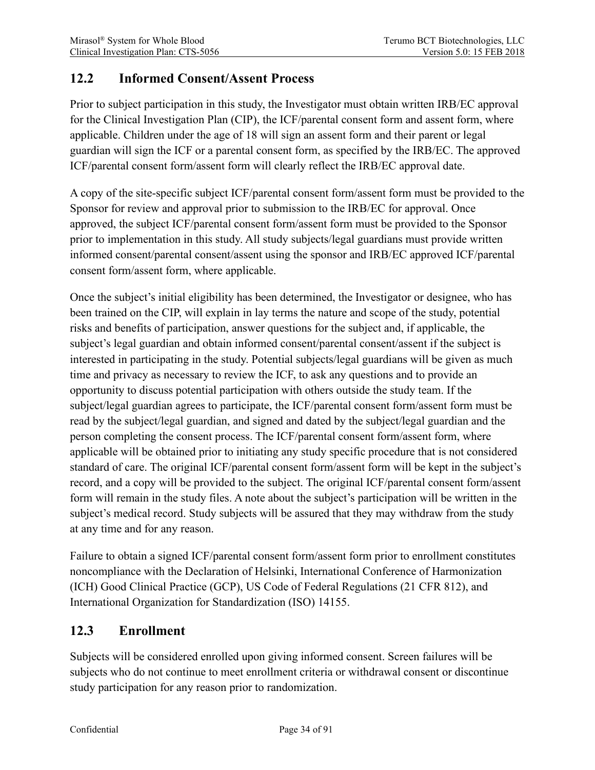## <span id="page-33-0"></span>**12.2 Informed Consent/Assent Process**

Prior to subject participation in this study, the Investigator must obtain written IRB/EC approval for the Clinical Investigation Plan (CIP), the ICF/parental consent form and assent form, where applicable. Children under the age of 18 will sign an assent form and their parent or legal guardian will sign the ICF or a parental consent form, as specified by the IRB/EC. The approved ICF/parental consent form/assent form will clearly reflect the IRB/EC approval date.

A copy of the site-specific subject ICF/parental consent form/assent form must be provided to the Sponsor for review and approval prior to submission to the IRB/EC for approval. Once approved, the subject ICF/parental consent form/assent form must be provided to the Sponsor prior to implementation in this study. All study subjects/legal guardians must provide written informed consent/parental consent/assent using the sponsor and IRB/EC approved ICF/parental consent form/assent form, where applicable.

Once the subject's initial eligibility has been determined, the Investigator or designee, who has been trained on the CIP, will explain in lay terms the nature and scope of the study, potential risks and benefits of participation, answer questions for the subject and, if applicable, the subject's legal guardian and obtain informed consent/parental consent/assent if the subject is interested in participating in the study. Potential subjects/legal guardians will be given as much time and privacy as necessary to review the ICF, to ask any questions and to provide an opportunity to discuss potential participation with others outside the study team. If the subject/legal guardian agrees to participate, the ICF/parental consent form/assent form must be read by the subject/legal guardian, and signed and dated by the subject/legal guardian and the person completing the consent process. The ICF/parental consent form/assent form, where applicable will be obtained prior to initiating any study specific procedure that is not considered standard of care. The original ICF/parental consent form/assent form will be kept in the subject's record, and a copy will be provided to the subject. The original ICF/parental consent form/assent form will remain in the study files. A note about the subject's participation will be written in the subject's medical record. Study subjects will be assured that they may withdraw from the study at any time and for any reason.

Failure to obtain a signed ICF/parental consent form/assent form prior to enrollment constitutes noncompliance with the Declaration of Helsinki, International Conference of Harmonization (ICH) Good Clinical Practice (GCP), US Code of Federal Regulations (21 CFR 812), and International Organization for Standardization (ISO) 14155.

## <span id="page-33-1"></span>**12.3 Enrollment**

Subjects will be considered enrolled upon giving informed consent. Screen failures will be subjects who do not continue to meet enrollment criteria or withdrawal consent or discontinue study participation for any reason prior to randomization.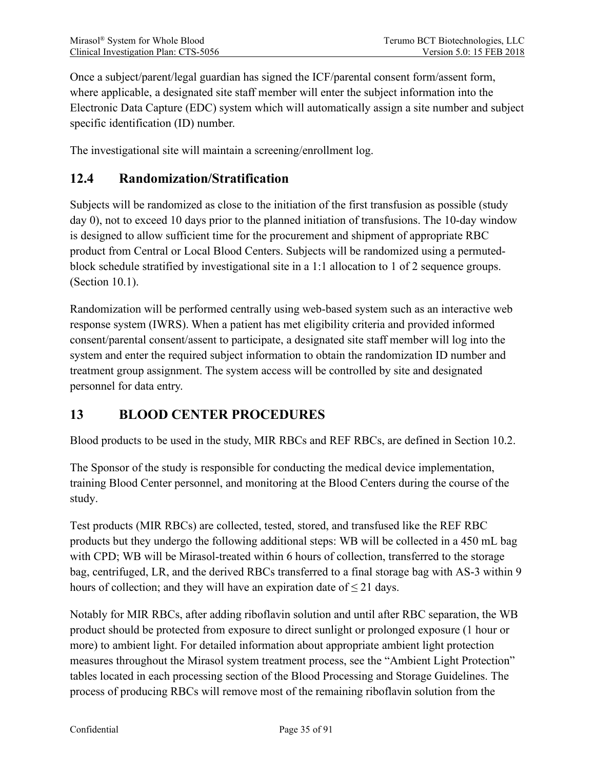Once a subject/parent/legal guardian has signed the ICF/parental consent form/assent form, where applicable, a designated site staff member will enter the subject information into the Electronic Data Capture (EDC) system which will automatically assign a site number and subject specific identification (ID) number.

The investigational site will maintain a screening/enrollment log.

## <span id="page-34-0"></span>**12.4 Randomization/Stratification**

Subjects will be randomized as close to the initiation of the first transfusion as possible (study day 0), not to exceed 10 days prior to the planned initiation of transfusions. The 10-day window is designed to allow sufficient time for the procurement and shipment of appropriate RBC product from Central or Local Blood Centers. Subjects will be randomized using a permutedblock schedule stratified by investigational site in a 1:1 allocation to 1 of 2 sequence groups. (Section [10.1\)](#page-29-1).

Randomization will be performed centrally using web-based system such as an interactive web response system (IWRS). When a patient has met eligibility criteria and provided informed consent/parental consent/assent to participate, a designated site staff member will log into the system and enter the required subject information to obtain the randomization ID number and treatment group assignment. The system access will be controlled by site and designated personnel for data entry.

## <span id="page-34-1"></span>**13 BLOOD CENTER PROCEDURES**

Blood products to be used in the study, MIR RBCs and REF RBCs, are defined in Section [10.2.](#page-30-0)

The Sponsor of the study is responsible for conducting the medical device implementation, training Blood Center personnel, and monitoring at the Blood Centers during the course of the study.

Test products (MIR RBCs) are collected, tested, stored, and transfused like the REF RBC products but they undergo the following additional steps: WB will be collected in a 450 mL bag with CPD; WB will be Mirasol-treated within 6 hours of collection, transferred to the storage bag, centrifuged, LR, and the derived RBCs transferred to a final storage bag with AS-3 within 9 hours of collection; and they will have an expiration date of  $\leq$  21 days.

Notably for MIR RBCs, after adding riboflavin solution and until after RBC separation, the WB product should be protected from exposure to direct sunlight or prolonged exposure (1 hour or more) to ambient light. For detailed information about appropriate ambient light protection measures throughout the Mirasol system treatment process, see the "Ambient Light Protection" tables located in each processing section of the Blood Processing and Storage Guidelines. The process of producing RBCs will remove most of the remaining riboflavin solution from the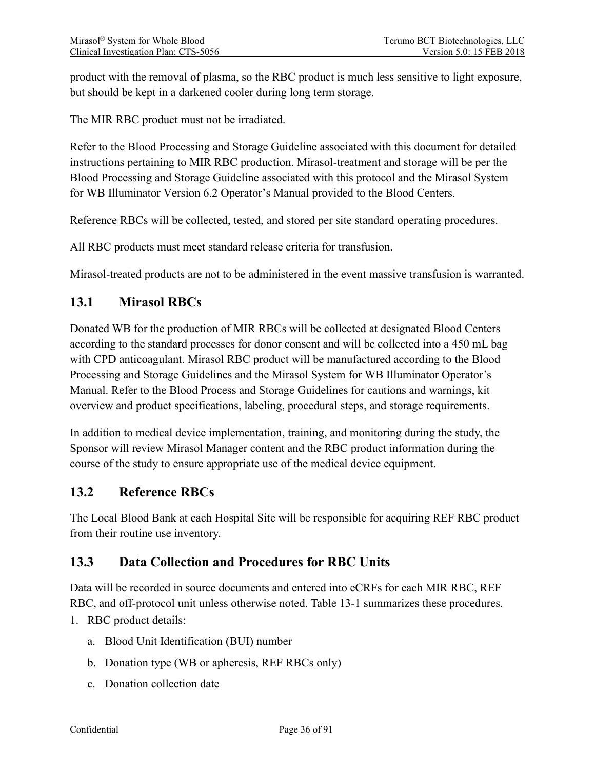product with the removal of plasma, so the RBC product is much less sensitive to light exposure, but should be kept in a darkened cooler during long term storage.

The MIR RBC product must not be irradiated.

Refer to the Blood Processing and Storage Guideline associated with this document for detailed instructions pertaining to MIR RBC production. Mirasol-treatment and storage will be per the Blood Processing and Storage Guideline associated with this protocol and the Mirasol System for WB Illuminator Version 6.2 Operator's Manual provided to the Blood Centers.

Reference RBCs will be collected, tested, and stored per site standard operating procedures.

All RBC products must meet standard release criteria for transfusion.

Mirasol-treated products are not to be administered in the event massive transfusion is warranted.

### <span id="page-35-0"></span>**13.1 Mirasol RBCs**

Donated WB for the production of MIR RBCs will be collected at designated Blood Centers according to the standard processes for donor consent and will be collected into a 450 mL bag with CPD anticoagulant. Mirasol RBC product will be manufactured according to the Blood Processing and Storage Guidelines and the Mirasol System for WB Illuminator Operator's Manual. Refer to the Blood Process and Storage Guidelines for cautions and warnings, kit overview and product specifications, labeling, procedural steps, and storage requirements.

In addition to medical device implementation, training, and monitoring during the study, the Sponsor will review Mirasol Manager content and the RBC product information during the course of the study to ensure appropriate use of the medical device equipment.

### <span id="page-35-1"></span>**13.2 Reference RBCs**

The Local Blood Bank at each Hospital Site will be responsible for acquiring REF RBC product from their routine use inventory.

## <span id="page-35-2"></span>**13.3 Data Collection and Procedures for RBC Units**

Data will be recorded in source documents and entered into eCRFs for each MIR RBC, REF RBC, and off-protocol unit unless otherwise noted. [Table 13-1](#page-36-0) summarizes these procedures.

- 1. RBC product details:
	- a. Blood Unit Identification (BUI) number
	- b. Donation type (WB or apheresis, REF RBCs only)
	- c. Donation collection date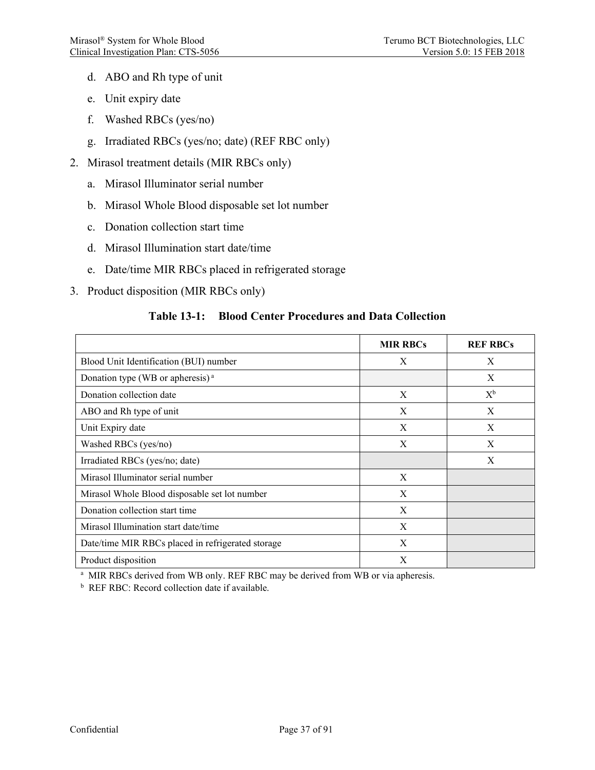- d. ABO and Rh type of unit
- e. Unit expiry date
- f. Washed RBCs (yes/no)
- g. Irradiated RBCs (yes/no; date) (REF RBC only)
- 2. Mirasol treatment details (MIR RBCs only)
	- a. Mirasol Illuminator serial number
	- b. Mirasol Whole Blood disposable set lot number
	- c. Donation collection start time
	- d. Mirasol Illumination start date/time
	- e. Date/time MIR RBCs placed in refrigerated storage
- 3. Product disposition (MIR RBCs only)

#### **Table 13-1: Blood Center Procedures and Data Collection**

|                                                   | <b>MIR RBCs</b> | <b>REF RBCs</b> |
|---------------------------------------------------|-----------------|-----------------|
| Blood Unit Identification (BUI) number            | X               | X               |
| Donation type (WB or apheresis) <sup>a</sup>      |                 | X               |
| Donation collection date                          | X               | $X^b$           |
| ABO and Rh type of unit                           | X               | X               |
| Unit Expiry date                                  | X               | X               |
| Washed RBCs (yes/no)                              | X               | X               |
| Irradiated RBCs (yes/no; date)                    |                 | X               |
| Mirasol Illuminator serial number                 | X               |                 |
| Mirasol Whole Blood disposable set lot number     | X               |                 |
| Donation collection start time                    | X               |                 |
| Mirasol Illumination start date/time              | X               |                 |
| Date/time MIR RBCs placed in refrigerated storage | X               |                 |
| Product disposition                               | X               |                 |

<sup>a</sup> MIR RBCs derived from WB only. REF RBC may be derived from WB or via apheresis.

<sup>b</sup> REF RBC: Record collection date if available.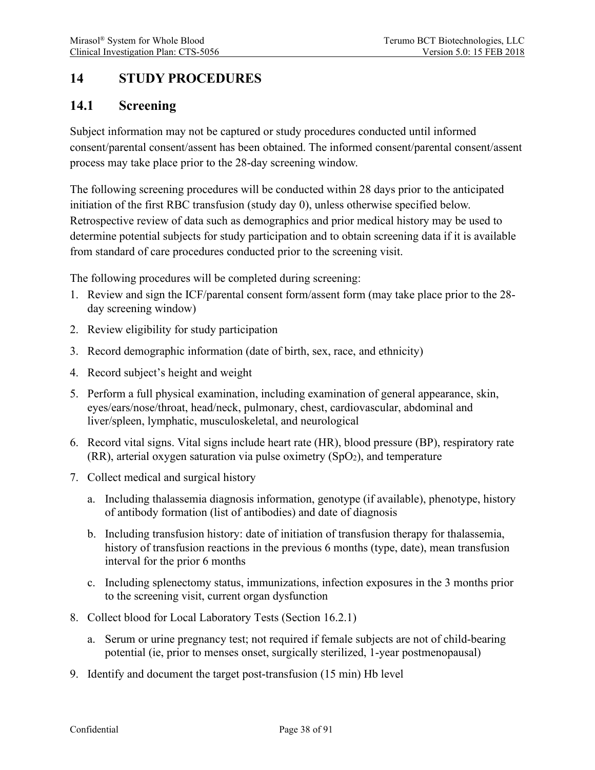# **14 STUDY PROCEDURES**

## **14.1 Screening**

Subject information may not be captured or study procedures conducted until informed consent/parental consent/assent has been obtained. The informed consent/parental consent/assent process may take place prior to the 28-day screening window.

The following screening procedures will be conducted within 28 days prior to the anticipated initiation of the first RBC transfusion (study day 0), unless otherwise specified below. Retrospective review of data such as demographics and prior medical history may be used to determine potential subjects for study participation and to obtain screening data if it is available from standard of care procedures conducted prior to the screening visit.

The following procedures will be completed during screening:

- 1. Review and sign the ICF/parental consent form/assent form (may take place prior to the 28 day screening window)
- 2. Review eligibility for study participation
- 3. Record demographic information (date of birth, sex, race, and ethnicity)
- 4. Record subject's height and weight
- 5. Perform a full physical examination, including examination of general appearance, skin, eyes/ears/nose/throat, head/neck, pulmonary, chest, cardiovascular, abdominal and liver/spleen, lymphatic, musculoskeletal, and neurological
- 6. Record vital signs. Vital signs include heart rate (HR), blood pressure (BP), respiratory rate  $(RR)$ , arterial oxygen saturation via pulse oximetry  $(SpO<sub>2</sub>)$ , and temperature
- 7. Collect medical and surgical history
	- a. Including thalassemia diagnosis information, genotype (if available), phenotype, history of antibody formation (list of antibodies) and date of diagnosis
	- b. Including transfusion history: date of initiation of transfusion therapy for thalassemia, history of transfusion reactions in the previous 6 months (type, date), mean transfusion interval for the prior 6 months
	- c. Including splenectomy status, immunizations, infection exposures in the 3 months prior to the screening visit, current organ dysfunction
- 8. Collect blood for Local Laboratory Tests (Section [16.2.1\)](#page-48-0)
	- a. Serum or urine pregnancy test; not required if female subjects are not of child-bearing potential (ie, prior to menses onset, surgically sterilized, 1-year postmenopausal)
- 9. Identify and document the target post-transfusion (15 min) Hb level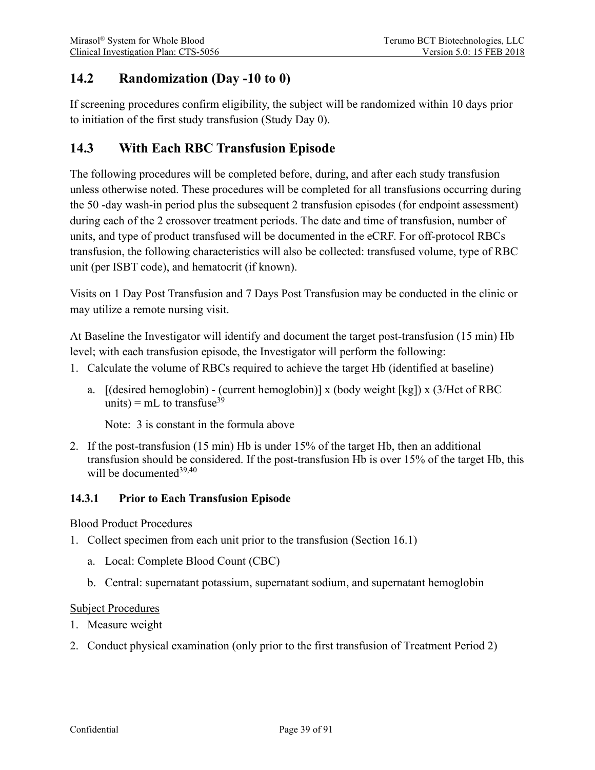# **14.2 Randomization (Day -10 to 0)**

If screening procedures confirm eligibility, the subject will be randomized within 10 days prior to initiation of the first study transfusion (Study Day 0).

# <span id="page-38-0"></span>**14.3 With Each RBC Transfusion Episode**

The following procedures will be completed before, during, and after each study transfusion unless otherwise noted. These procedures will be completed for all transfusions occurring during the 50 -day wash-in period plus the subsequent 2 transfusion episodes (for endpoint assessment) during each of the 2 crossover treatment periods. The date and time of transfusion, number of units, and type of product transfused will be documented in the eCRF. For off-protocol RBCs transfusion, the following characteristics will also be collected: transfused volume, type of RBC unit (per ISBT code), and hematocrit (if known).

Visits on 1 Day Post Transfusion and 7 Days Post Transfusion may be conducted in the clinic or may utilize a remote nursing visit.

At Baseline the Investigator will identify and document the target post-transfusion (15 min) Hb level; with each transfusion episode, the Investigator will perform the following:

- 1. Calculate the volume of RBCs required to achieve the target Hb (identified at baseline)
	- a. [(desired hemoglobin) (current hemoglobin)] x (body weight [kg]) x (3/Hct of RBC units) =  $mL$  to transfuse<sup>39</sup>

Note: 3 is constant in the formula above

2. If the post-transfusion (15 min) Hb is under 15% of the target Hb, then an additional transfusion should be considered. If the post-transfusion Hb is over 15% of the target Hb, this will be documented<sup>39,40</sup>

#### **14.3.1 Prior to Each Transfusion Episode**

#### Blood Product Procedures

- 1. Collect specimen from each unit prior to the transfusion (Section [16.1\)](#page-47-0)
	- a. Local: Complete Blood Count (CBC)
	- b. Central: supernatant potassium, supernatant sodium, and supernatant hemoglobin

#### Subject Procedures

- 1. Measure weight
- 2. Conduct physical examination (only prior to the first transfusion of Treatment Period 2)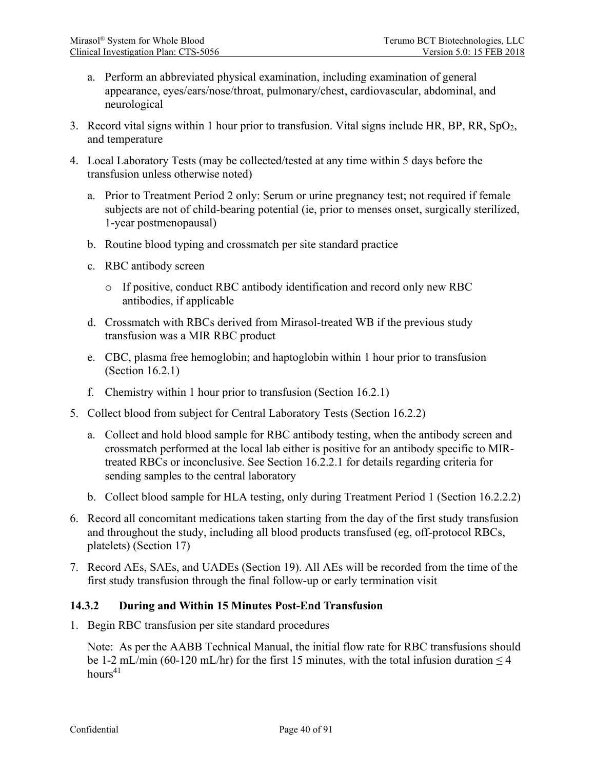- a. Perform an abbreviated physical examination, including examination of general appearance, eyes/ears/nose/throat, pulmonary/chest, cardiovascular, abdominal, and neurological
- 3. Record vital signs within 1 hour prior to transfusion. Vital signs include HR, BP, RR, SpO2, and temperature
- 4. Local Laboratory Tests (may be collected/tested at any time within 5 days before the transfusion unless otherwise noted)
	- a. Prior to Treatment Period 2 only: Serum or urine pregnancy test; not required if female subjects are not of child-bearing potential (ie, prior to menses onset, surgically sterilized, 1-year postmenopausal)
	- b. Routine blood typing and crossmatch per site standard practice
	- c. RBC antibody screen
		- o If positive, conduct RBC antibody identification and record only new RBC antibodies, if applicable
	- d. Crossmatch with RBCs derived from Mirasol-treated WB if the previous study transfusion was a MIR RBC product
	- e. CBC, plasma free hemoglobin; and haptoglobin within 1 hour prior to transfusion (Section [16.2.1\)](#page-48-0)
	- f. Chemistry within 1 hour prior to transfusion (Section [16.2.1\)](#page-48-0)
- 5. Collect blood from subject for Central Laboratory Tests (Section [16.2.2\)](#page-49-0)
	- a. Collect and hold blood sample for RBC antibody testing, when the antibody screen and crossmatch performed at the local lab either is positive for an antibody specific to MIRtreated RBCs or inconclusive. See Section [16.2.2.1](#page-49-1) for details regarding criteria for sending samples to the central laboratory
	- b. Collect blood sample for HLA testing, only during Treatment Period 1 (Section [16.2.2.2\)](#page-49-2)
- 6. Record all concomitant medications taken starting from the day of the first study transfusion and throughout the study, including all blood products transfused (eg, off-protocol RBCs, platelets) (Section [17\)](#page-49-3)
- 7. Record AEs, SAEs, and UADEs (Section [19\)](#page-51-0). All AEs will be recorded from the time of the first study transfusion through the final follow-up or early termination visit

#### **14.3.2 During and Within 15 Minutes Post-End Transfusion**

1. Begin RBC transfusion per site standard procedures

Note: As per the AABB Technical Manual, the initial flow rate for RBC transfusions should be 1-2 mL/min (60-120 mL/hr) for the first 15 minutes, with the total infusion duration  $\leq$  4  $hours<sup>41</sup>$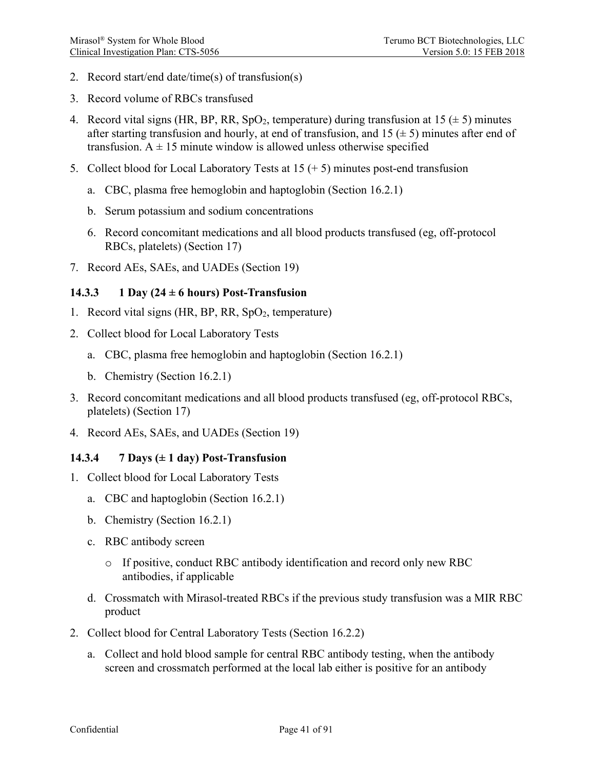- 2. Record start/end date/time(s) of transfusion(s)
- 3. Record volume of RBCs transfused
- 4. Record vital signs (HR, BP, RR, SpO<sub>2</sub>, temperature) during transfusion at 15 ( $\pm$  5) minutes after starting transfusion and hourly, at end of transfusion, and  $15 \left( \pm 5 \right)$  minutes after end of transfusion.  $A \pm 15$  minute window is allowed unless otherwise specified
- 5. Collect blood for Local Laboratory Tests at  $15 (+ 5)$  minutes post-end transfusion
	- a. CBC, plasma free hemoglobin and haptoglobin (Section [16.2.1\)](#page-48-0)
	- b. Serum potassium and sodium concentrations
	- 6. Record concomitant medications and all blood products transfused (eg, off-protocol RBCs, platelets) (Section [17\)](#page-49-3)
- 7. Record AEs, SAEs, and UADEs (Section [19\)](#page-51-0)

#### **14.3.3 1 Day (24 ± 6 hours) Post-Transfusion**

- 1. Record vital signs (HR, BP, RR, SpO2, temperature)
- 2. Collect blood for Local Laboratory Tests
	- a. CBC, plasma free hemoglobin and haptoglobin (Section [16.2.1\)](#page-48-0)
	- b. Chemistry (Section [16.2.1\)](#page-48-0)
- 3. Record concomitant medications and all blood products transfused (eg, off-protocol RBCs, platelets) (Section [17\)](#page-49-3)
- 4. Record AEs, SAEs, and UADEs (Section [19\)](#page-51-0)

#### **14.3.4 7 Days (± 1 day) Post-Transfusion**

- 1. Collect blood for Local Laboratory Tests
	- a. CBC and haptoglobin (Section [16.2.1\)](#page-48-0)
	- b. Chemistry (Section [16.2.1\)](#page-48-0)
	- c. RBC antibody screen
		- o If positive, conduct RBC antibody identification and record only new RBC antibodies, if applicable
	- d. Crossmatch with Mirasol-treated RBCs if the previous study transfusion was a MIR RBC product
- 2. Collect blood for Central Laboratory Tests (Section [16.2.2\)](#page-49-0)
	- a. Collect and hold blood sample for central RBC antibody testing, when the antibody screen and crossmatch performed at the local lab either is positive for an antibody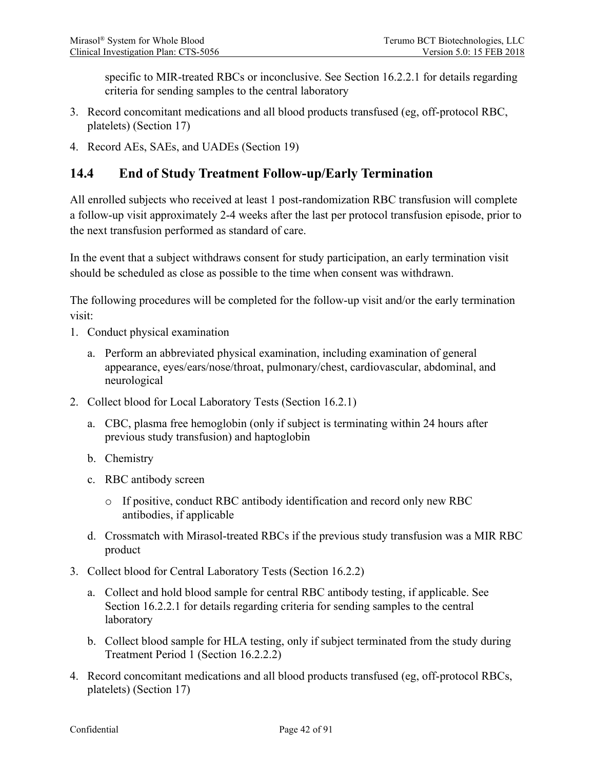specific to MIR-treated RBCs or inconclusive. See Section [16.2.2.1](#page-49-1) for details regarding criteria for sending samples to the central laboratory

- 3. Record concomitant medications and all blood products transfused (eg, off-protocol RBC, platelets) (Section [17\)](#page-49-3)
- 4. Record AEs, SAEs, and UADEs (Section [19\)](#page-51-0)

# **14.4 End of Study Treatment Follow-up/Early Termination**

All enrolled subjects who received at least 1 post-randomization RBC transfusion will complete a follow-up visit approximately 2-4 weeks after the last per protocol transfusion episode, prior to the next transfusion performed as standard of care.

In the event that a subject withdraws consent for study participation, an early termination visit should be scheduled as close as possible to the time when consent was withdrawn.

The following procedures will be completed for the follow-up visit and/or the early termination visit:

- 1. Conduct physical examination
	- a. Perform an abbreviated physical examination, including examination of general appearance, eyes/ears/nose/throat, pulmonary/chest, cardiovascular, abdominal, and neurological
- 2. Collect blood for Local Laboratory Tests (Section [16.2.1\)](#page-48-0)
	- a. CBC, plasma free hemoglobin (only if subject is terminating within 24 hours after previous study transfusion) and haptoglobin
	- b. Chemistry
	- c. RBC antibody screen
		- o If positive, conduct RBC antibody identification and record only new RBC antibodies, if applicable
	- d. Crossmatch with Mirasol-treated RBCs if the previous study transfusion was a MIR RBC product
- 3. Collect blood for Central Laboratory Tests (Section [16.2.2\)](#page-49-0)
	- a. Collect and hold blood sample for central RBC antibody testing, if applicable. See Section [16.2.2.1](#page-49-1) for details regarding criteria for sending samples to the central laboratory
	- b. Collect blood sample for HLA testing, only if subject terminated from the study during Treatment Period 1 (Section [16.2.2.2\)](#page-49-2)
- 4. Record concomitant medications and all blood products transfused (eg, off-protocol RBCs, platelets) (Section [17\)](#page-49-3)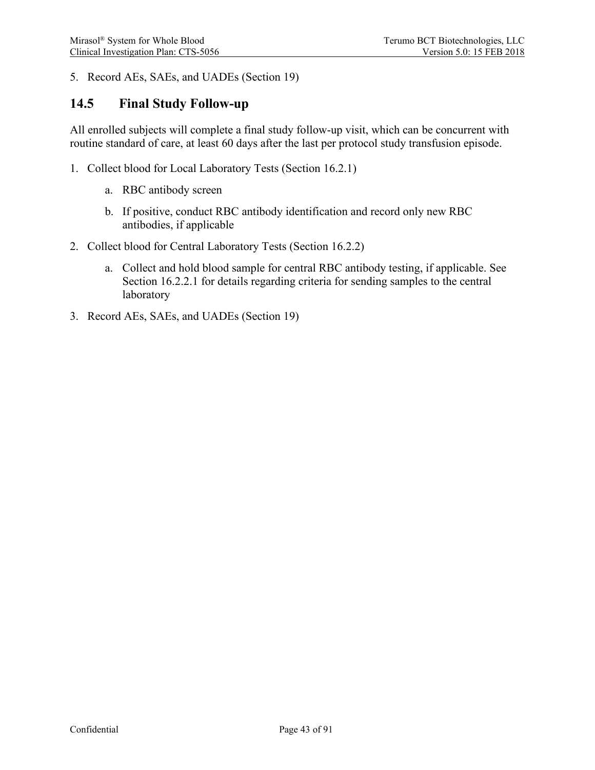5. Record AEs, SAEs, and UADEs (Section [19\)](#page-51-0)

### **14.5 Final Study Follow-up**

All enrolled subjects will complete a final study follow-up visit, which can be concurrent with routine standard of care, at least 60 days after the last per protocol study transfusion episode.

- 1. Collect blood for Local Laboratory Tests (Section [16.2.1\)](#page-48-0)
	- a. RBC antibody screen
	- b. If positive, conduct RBC antibody identification and record only new RBC antibodies, if applicable
- 2. Collect blood for Central Laboratory Tests (Section [16.2.2\)](#page-49-0)
	- a. Collect and hold blood sample for central RBC antibody testing, if applicable. See Section [16.2.2.1](#page-49-1) for details regarding criteria for sending samples to the central laboratory
- 3. Record AEs, SAEs, and UADEs (Section [19\)](#page-51-0)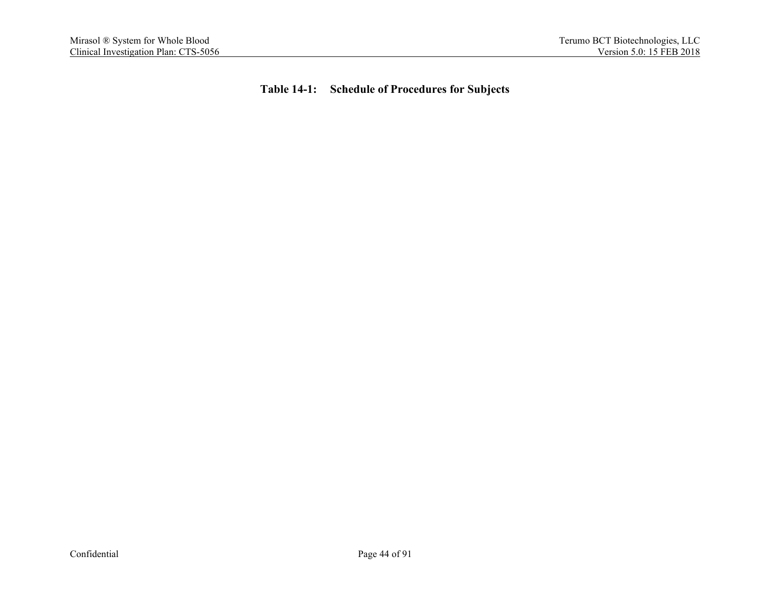**Table 14-1: Schedule of Procedures for Subjects**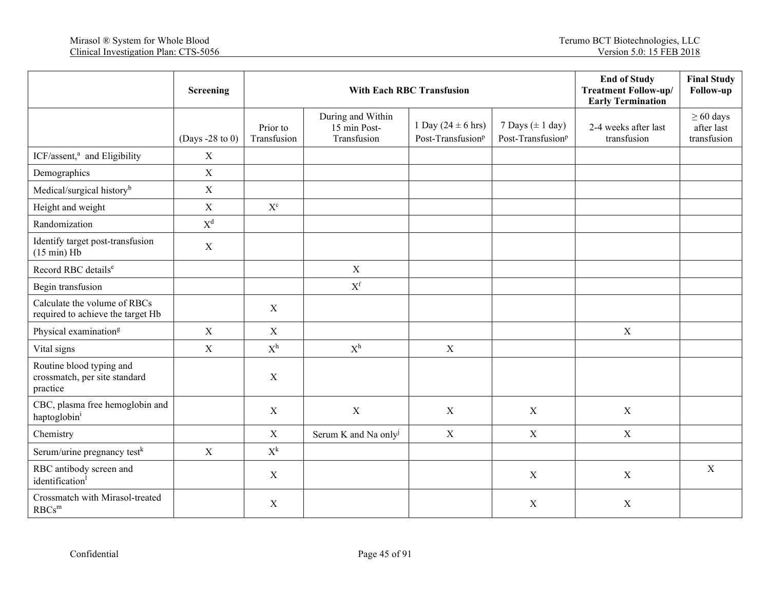|                                                                       | Screening       |                           | <b>With Each RBC Transfusion</b>                 |                                                                 |                                                       | <b>End of Study</b><br><b>Treatment Follow-up/</b><br><b>Early Termination</b> | <b>Final Study</b><br>Follow-up             |
|-----------------------------------------------------------------------|-----------------|---------------------------|--------------------------------------------------|-----------------------------------------------------------------|-------------------------------------------------------|--------------------------------------------------------------------------------|---------------------------------------------|
|                                                                       | (Days -28 to 0) | Prior to<br>Transfusion   | During and Within<br>15 min Post-<br>Transfusion | 1 Day $(24 \pm 6 \text{ hrs})$<br>Post-Transfusion <sup>p</sup> | 7 Days $(\pm 1$ day)<br>Post-Transfusion <sup>p</sup> | 2-4 weeks after last<br>transfusion                                            | $\geq 60$ days<br>after last<br>transfusion |
| ICF/assent, <sup>a</sup> and Eligibility                              | $\mathbf X$     |                           |                                                  |                                                                 |                                                       |                                                                                |                                             |
| Demographics                                                          | X               |                           |                                                  |                                                                 |                                                       |                                                                                |                                             |
| Medical/surgical history <sup>b</sup>                                 | $\mathbf X$     |                           |                                                  |                                                                 |                                                       |                                                                                |                                             |
| Height and weight                                                     | $\mathbf X$     | $\mathbf{X}^{\mathrm{c}}$ |                                                  |                                                                 |                                                       |                                                                                |                                             |
| Randomization                                                         | $X^d$           |                           |                                                  |                                                                 |                                                       |                                                                                |                                             |
| Identify target post-transfusion<br>$(15 min)$ Hb                     | $\mathbf X$     |                           |                                                  |                                                                 |                                                       |                                                                                |                                             |
| Record RBC details <sup>e</sup>                                       |                 |                           | $\mathbf X$                                      |                                                                 |                                                       |                                                                                |                                             |
| Begin transfusion                                                     |                 |                           | $X^f$                                            |                                                                 |                                                       |                                                                                |                                             |
| Calculate the volume of RBCs<br>required to achieve the target Hb     |                 | $\mathbf X$               |                                                  |                                                                 |                                                       |                                                                                |                                             |
| Physical examination <sup>g</sup>                                     | $\mathbf X$     | $\mathbf X$               |                                                  |                                                                 |                                                       | $\mathbf X$                                                                    |                                             |
| Vital signs                                                           | X               | $X^h$                     | $X^h$                                            | $\mathbf X$                                                     |                                                       |                                                                                |                                             |
| Routine blood typing and<br>crossmatch, per site standard<br>practice |                 | $\boldsymbol{X}$          |                                                  |                                                                 |                                                       |                                                                                |                                             |
| CBC, plasma free hemoglobin and<br>haptoglobin <sup>i</sup>           |                 | $\mathbf X$               | $\mathbf X$                                      | $\mathbf X$                                                     | $\mathbf X$                                           | $\mathbf X$                                                                    |                                             |
| Chemistry                                                             |                 | $\mathbf X$               | Serum K and Na only <sup>j</sup>                 | $\mathbf X$                                                     | $\mathbf X$                                           | $\mathbf X$                                                                    |                                             |
| Serum/urine pregnancy test <sup>k</sup>                               | $\mathbf X$     | $\mathbf{X}^k$            |                                                  |                                                                 |                                                       |                                                                                |                                             |
| RBC antibody screen and<br>identification                             |                 | X                         |                                                  |                                                                 | $\mathbf X$                                           | $\mathbf X$                                                                    | $\mathbf X$                                 |
| Crossmatch with Mirasol-treated<br>$RBCs^m$                           |                 | $\mathbf X$               |                                                  |                                                                 | $\mathbf X$                                           | $\mathbf X$                                                                    |                                             |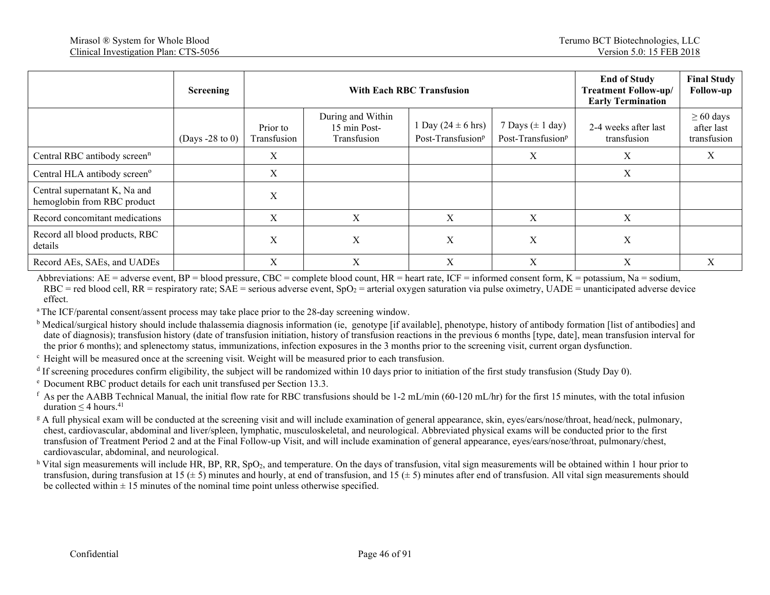|                                                              | <b>Screening</b>  |                         | <b>With Each RBC Transfusion</b>                 | <b>End of Study</b><br><b>Treatment Follow-up/</b><br><b>Early Termination</b> | <b>Final Study</b><br>Follow-up                       |                                     |                                             |
|--------------------------------------------------------------|-------------------|-------------------------|--------------------------------------------------|--------------------------------------------------------------------------------|-------------------------------------------------------|-------------------------------------|---------------------------------------------|
|                                                              | (Days $-28$ to 0) | Prior to<br>Transfusion | During and Within<br>15 min Post-<br>Transfusion | 1 Day $(24 \pm 6 \text{ hrs})$<br>Post-Transfusion <sup>p</sup>                | 7 Days $(\pm 1$ day)<br>Post-Transfusion <sup>p</sup> | 2-4 weeks after last<br>transfusion | $\geq 60$ days<br>after last<br>transfusion |
| Central RBC antibody screen <sup>n</sup>                     |                   | X                       |                                                  |                                                                                | X                                                     | X                                   | X                                           |
| Central HLA antibody screen <sup>o</sup>                     |                   | X                       |                                                  |                                                                                |                                                       | X                                   |                                             |
| Central supernatant K, Na and<br>hemoglobin from RBC product |                   | X                       |                                                  |                                                                                |                                                       |                                     |                                             |
| Record concomitant medications                               |                   | X                       | X                                                | X                                                                              | X                                                     | X                                   |                                             |
| Record all blood products, RBC<br>details                    |                   | X                       | X                                                | X                                                                              | X                                                     | X                                   |                                             |
| Record AEs, SAEs, and UADEs                                  |                   | X                       | X                                                | X                                                                              | X                                                     | X                                   | X                                           |

Abbreviations:  $AE =$  adverse event,  $BP =$  blood pressure,  $CBC =$  complete blood count,  $HR =$  heart rate,  $IC =$  informed consent form,  $K =$  potassium, Na = sodium,  $RBC = red$  blood cell,  $RR =$  respiratory rate;  $SAE =$  serious adverse event,  $SpO<sub>2</sub> =$  arterial oxygen saturation via pulse oximetry,  $UADE =$  unanticipated adverse device effect.

<sup>a</sup> The ICF/parental consent/assent process may take place prior to the 28-day screening window.

<sup>b</sup> Medical/surgical history should include thalassemia diagnosis information (ie, genotype [if available], phenotype, history of antibody formation [list of antibodies] and date of diagnosis); transfusion history (date of transfusion initiation, history of transfusion reactions in the previous 6 months [type, date], mean transfusion interval for the prior 6 months); and splenectomy status, immunizations, infection exposures in the 3 months prior to the screening visit, current organ dysfunction.

<sup>c</sup> Height will be measured once at the screening visit. Weight will be measured prior to each transfusion.

 $d$  If screening procedures confirm eligibility, the subject will be randomized within 10 days prior to initiation of the first study transfusion (Study Day 0).

<sup>e</sup> Document RBC product details for each unit transfused per Sectio[n 13.3.](#page-35-0)

<sup>f</sup> As per the AABB Technical Manual, the initial flow rate for RBC transfusions should be 1-2 mL/min (60-120 mL/hr) for the first 15 minutes, with the total infusion duration  $\leq 4$  hours.<sup>41</sup>

<sup>g</sup> A full physical exam will be conducted at the screening visit and will include examination of general appearance, skin, eyes/ears/nose/throat, head/neck, pulmonary, chest, cardiovascular, abdominal and liver/spleen, lymphatic, musculoskeletal, and neurological. Abbreviated physical exams will be conducted prior to the first transfusion of Treatment Period 2 and at the Final Follow-up Visit, and will include examination of general appearance, eyes/ears/nose/throat, pulmonary/chest, cardiovascular, abdominal, and neurological.

<sup>h</sup> Vital sign measurements will include HR, BP, RR, SpO<sub>2</sub>, and temperature. On the days of transfusion, vital sign measurements will be obtained within 1 hour prior to transfusion, during transfusion at 15  $(\pm 5)$  minutes and hourly, at end of transfusion, and 15  $(\pm 5)$  minutes after end of transfusion. All vital sign measurements should be collected within  $\pm 15$  minutes of the nominal time point unless otherwise specified.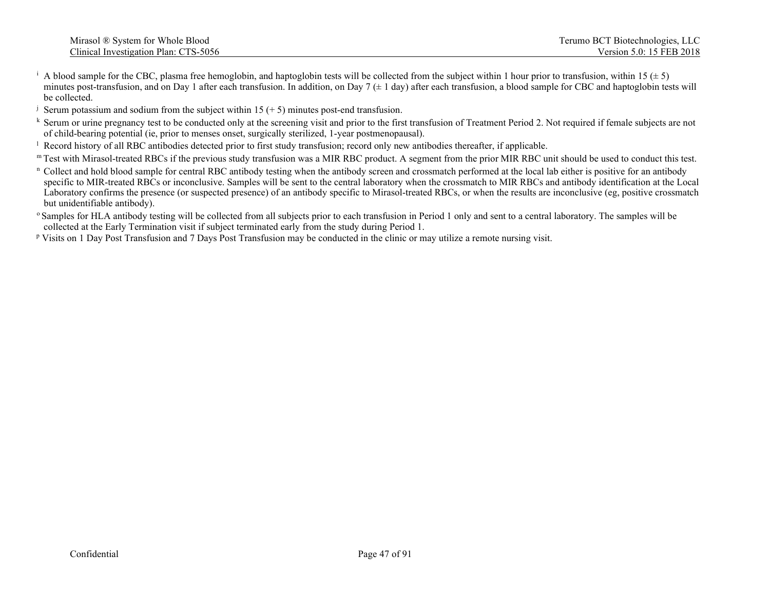- <sup>i</sup> A blood sample for the CBC, plasma free hemoglobin, and haptoglobin tests will be collected from the subject within 1 hour prior to transfusion, within 15 ( $\pm$  5) minutes post-transfusion, and on Day 1 after each transfusion. In addition, on Day 7  $(\pm 1 \text{ day})$  after each transfusion, a blood sample for CBC and haptoglobin tests will be collected.
- <sup>j</sup> Serum potassium and sodium from the subject within 15  $(+ 5)$  minutes post-end transfusion.
- k Serum or urine pregnancy test to be conducted only at the screening visit and prior to the first transfusion of Treatment Period 2. Not required if female subjects are not of child-bearing potential (ie, prior to menses
- <sup>1</sup> Record history of all RBC antibodies detected prior to first study transfusion; record only new antibodies thereafter, if applicable.
- m Test with Mirasol-treated RBCs if the previous study transfusion was a MIR RBC product. A segment from the prior MIR RBC unit should be used to conduct this test.
- <sup>n</sup> Collect and hold blood sample for central RBC antibody testing when the antibody screen and crossmatch performed at the local lab either is positive for an antibody specific to MIR-treated RBCs or inconclusive. Samples will be sent to the central laboratory when the crossmatch to MIR RBCs and antibody identification at the Local Laboratory confirms the presence (or suspected presence) of an antibody specific to Mirasol-treated RBCs, or when the results are inconclusive (eg, positive crossmatch but unidentifiable antibody).
- <sup>o</sup> Samples for HLA antibody testing will be collected from all subjects prior to each transfusion in Period 1 only and sent to a central laboratory. The samples will be collected at the Early Termination visit if subject terminated early from the study during Period 1.
- <sup>p</sup> Visits on 1 Day Post Transfusion and 7 Days Post Transfusion may be conducted in the clinic or may utilize a remote nursing visit.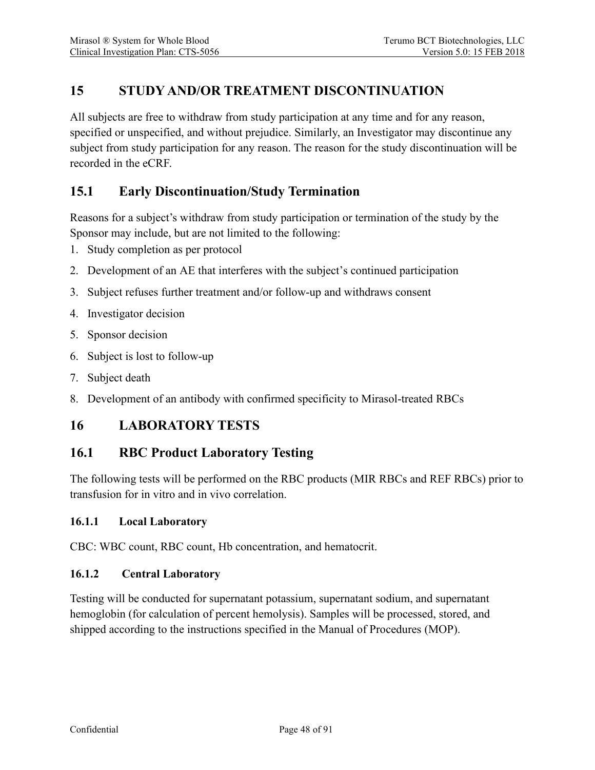# **15 STUDY AND/OR TREATMENT DISCONTINUATION**

All subjects are free to withdraw from study participation at any time and for any reason, specified or unspecified, and without prejudice. Similarly, an Investigator may discontinue any subject from study participation for any reason. The reason for the study discontinuation will be recorded in the eCRF.

### **15.1 Early Discontinuation/Study Termination**

Reasons for a subject's withdraw from study participation or termination of the study by the Sponsor may include, but are not limited to the following:

- 1. Study completion as per protocol
- 2. Development of an AE that interferes with the subject's continued participation
- 3. Subject refuses further treatment and/or follow-up and withdraws consent
- 4. Investigator decision
- 5. Sponsor decision
- 6. Subject is lost to follow-up
- 7. Subject death
- 8. Development of an antibody with confirmed specificity to Mirasol-treated RBCs

### **16 LABORATORY TESTS**

#### <span id="page-47-0"></span>**16.1 RBC Product Laboratory Testing**

The following tests will be performed on the RBC products (MIR RBCs and REF RBCs) prior to transfusion for in vitro and in vivo correlation.

#### **16.1.1 Local Laboratory**

CBC: WBC count, RBC count, Hb concentration, and hematocrit.

#### **16.1.2 Central Laboratory**

Testing will be conducted for supernatant potassium, supernatant sodium, and supernatant hemoglobin (for calculation of percent hemolysis). Samples will be processed, stored, and shipped according to the instructions specified in the Manual of Procedures (MOP).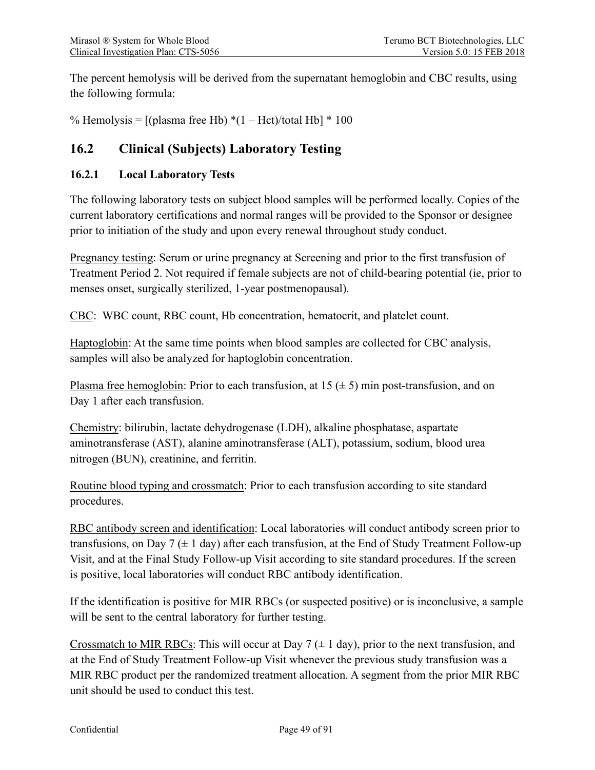The percent hemolysis will be derived from the supernatant hemoglobin and CBC results, using the following formula:

% Hemolysis =  $[(plasma free Hb) * (1 - Hct)/total Hb] * 100$ 

# **16.2 Clinical (Subjects) Laboratory Testing**

#### <span id="page-48-0"></span>**16.2.1 Local Laboratory Tests**

The following laboratory tests on subject blood samples will be performed locally. Copies of the current laboratory certifications and normal ranges will be provided to the Sponsor or designee prior to initiation of the study and upon every renewal throughout study conduct.

Pregnancy testing: Serum or urine pregnancy at Screening and prior to the first transfusion of Treatment Period 2. Not required if female subjects are not of child-bearing potential (ie, prior to menses onset, surgically sterilized, 1-year postmenopausal).

CBC: WBC count, RBC count, Hb concentration, hematocrit, and platelet count.

Haptoglobin: At the same time points when blood samples are collected for CBC analysis, samples will also be analyzed for haptoglobin concentration.

Plasma free hemoglobin: Prior to each transfusion, at  $15 \div 5$ ) min post-transfusion, and on Day 1 after each transfusion.

Chemistry: bilirubin, lactate dehydrogenase (LDH), alkaline phosphatase, aspartate aminotransferase (AST), alanine aminotransferase (ALT), potassium, sodium, blood urea nitrogen (BUN), creatinine, and ferritin.

Routine blood typing and crossmatch: Prior to each transfusion according to site standard procedures.

RBC antibody screen and identification: Local laboratories will conduct antibody screen prior to transfusions, on Day 7  $(\pm 1 \text{ day})$  after each transfusion, at the End of Study Treatment Follow-up Visit, and at the Final Study Follow-up Visit according to site standard procedures. If the screen is positive, local laboratories will conduct RBC antibody identification.

If the identification is positive for MIR RBCs (or suspected positive) or is inconclusive, a sample will be sent to the central laboratory for further testing.

Crossmatch to MIR RBCs: This will occur at Day 7 ( $\pm$  1 day), prior to the next transfusion, and at the End of Study Treatment Follow-up Visit whenever the previous study transfusion was a MIR RBC product per the randomized treatment allocation. A segment from the prior MIR RBC unit should be used to conduct this test.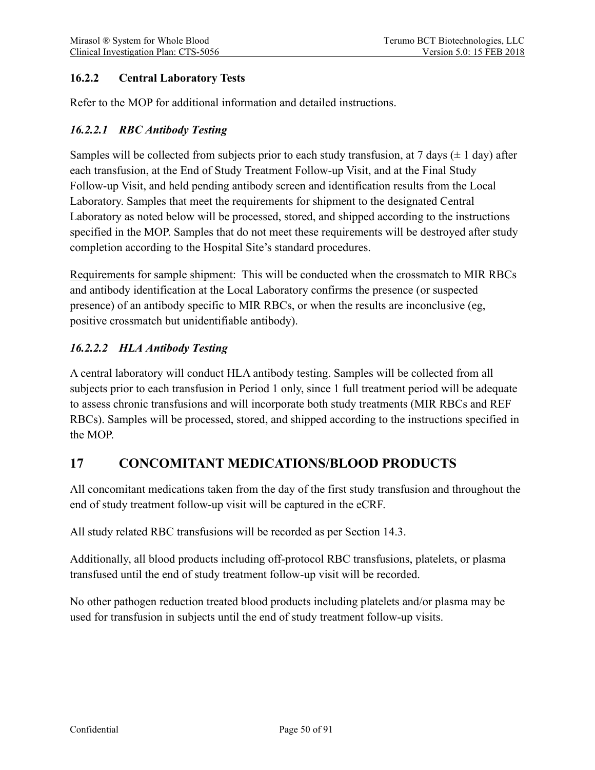### <span id="page-49-0"></span>**16.2.2 Central Laboratory Tests**

Refer to the MOP for additional information and detailed instructions.

### <span id="page-49-1"></span>*16.2.2.1 RBC Antibody Testing*

Samples will be collected from subjects prior to each study transfusion, at 7 days  $(\pm 1 \text{ day})$  after each transfusion, at the End of Study Treatment Follow-up Visit, and at the Final Study Follow-up Visit, and held pending antibody screen and identification results from the Local Laboratory. Samples that meet the requirements for shipment to the designated Central Laboratory as noted below will be processed, stored, and shipped according to the instructions specified in the MOP. Samples that do not meet these requirements will be destroyed after study completion according to the Hospital Site's standard procedures.

Requirements for sample shipment: This will be conducted when the crossmatch to MIR RBCs and antibody identification at the Local Laboratory confirms the presence (or suspected presence) of an antibody specific to MIR RBCs, or when the results are inconclusive (eg, positive crossmatch but unidentifiable antibody).

### <span id="page-49-2"></span>*16.2.2.2 HLA Antibody Testing*

A central laboratory will conduct HLA antibody testing. Samples will be collected from all subjects prior to each transfusion in Period 1 only, since 1 full treatment period will be adequate to assess chronic transfusions and will incorporate both study treatments (MIR RBCs and REF RBCs). Samples will be processed, stored, and shipped according to the instructions specified in the MOP.

# <span id="page-49-3"></span>**17 CONCOMITANT MEDICATIONS/BLOOD PRODUCTS**

All concomitant medications taken from the day of the first study transfusion and throughout the end of study treatment follow-up visit will be captured in the eCRF.

All study related RBC transfusions will be recorded as per Section [14.3.](#page-38-0)

Additionally, all blood products including off-protocol RBC transfusions, platelets, or plasma transfused until the end of study treatment follow-up visit will be recorded.

No other pathogen reduction treated blood products including platelets and/or plasma may be used for transfusion in subjects until the end of study treatment follow-up visits.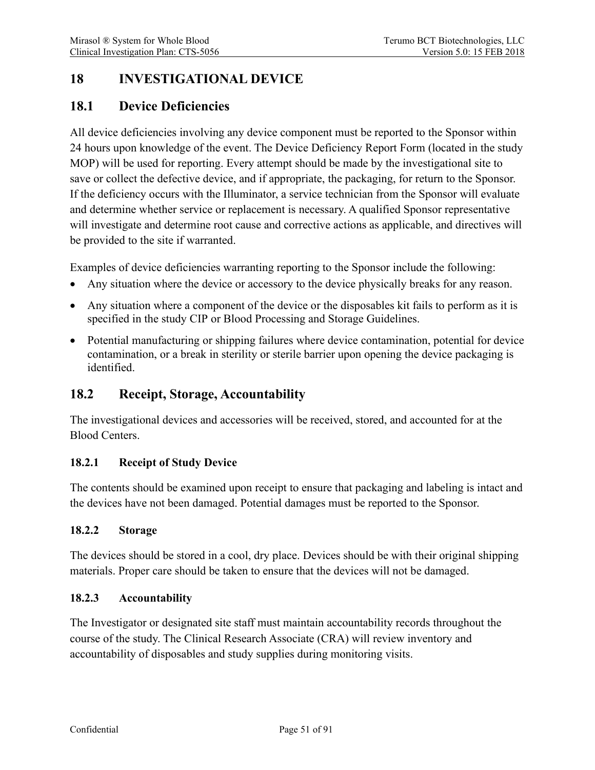# **18 INVESTIGATIONAL DEVICE**

# **18.1 Device Deficiencies**

All device deficiencies involving any device component must be reported to the Sponsor within 24 hours upon knowledge of the event. The Device Deficiency Report Form (located in the study MOP) will be used for reporting. Every attempt should be made by the investigational site to save or collect the defective device, and if appropriate, the packaging, for return to the Sponsor. If the deficiency occurs with the Illuminator, a service technician from the Sponsor will evaluate and determine whether service or replacement is necessary. A qualified Sponsor representative will investigate and determine root cause and corrective actions as applicable, and directives will be provided to the site if warranted.

Examples of device deficiencies warranting reporting to the Sponsor include the following:

- Any situation where the device or accessory to the device physically breaks for any reason.
- Any situation where a component of the device or the disposables kit fails to perform as it is specified in the study CIP or Blood Processing and Storage Guidelines.
- Potential manufacturing or shipping failures where device contamination, potential for device contamination, or a break in sterility or sterile barrier upon opening the device packaging is identified.

# **18.2 Receipt, Storage, Accountability**

The investigational devices and accessories will be received, stored, and accounted for at the Blood Centers.

#### **18.2.1 Receipt of Study Device**

The contents should be examined upon receipt to ensure that packaging and labeling is intact and the devices have not been damaged. Potential damages must be reported to the Sponsor.

#### **18.2.2 Storage**

The devices should be stored in a cool, dry place. Devices should be with their original shipping materials. Proper care should be taken to ensure that the devices will not be damaged.

#### **18.2.3 Accountability**

The Investigator or designated site staff must maintain accountability records throughout the course of the study. The Clinical Research Associate (CRA) will review inventory and accountability of disposables and study supplies during monitoring visits.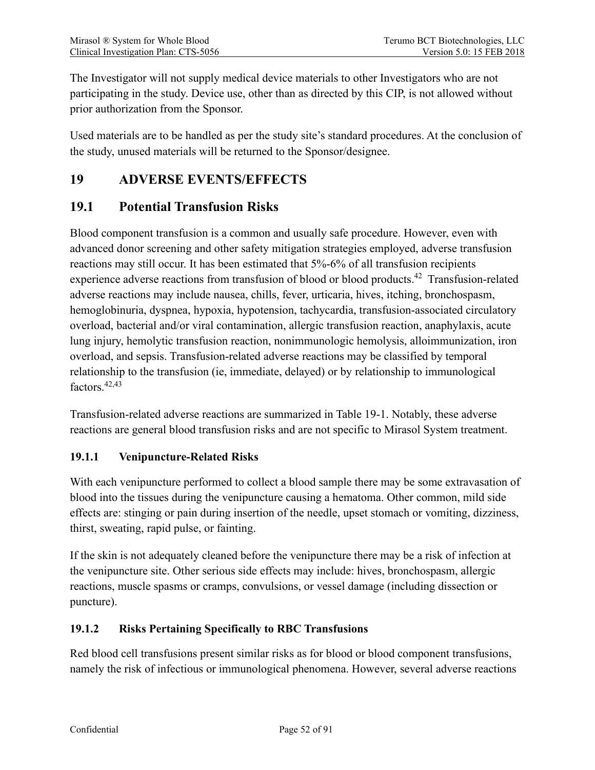The Investigator will not supply medical device materials to other Investigators who are not participating in the study. Device use, other than as directed by this CIP, is not allowed without prior authorization from the Sponsor.

Used materials are to be handled as per the study site's standard procedures. At the conclusion of the study, unused materials will be returned to the Sponsor/designee.

# <span id="page-51-0"></span>**19 ADVERSE EVENTS/EFFECTS**

## **19.1 Potential Transfusion Risks**

Blood component transfusion is a common and usually safe procedure. However, even with advanced donor screening and other safety mitigation strategies employed, adverse transfusion reactions may still occur. It has been estimated that 5%-6% of all transfusion recipients experience adverse reactions from transfusion of blood or blood products.<sup>42</sup> Transfusion-related adverse reactions may include nausea, chills, fever, urticaria, hives, itching, bronchospasm, hemoglobinuria, dyspnea, hypoxia, hypotension, tachycardia, transfusion-associated circulatory overload, bacterial and/or viral contamination, allergic transfusion reaction, anaphylaxis, acute lung injury, hemolytic transfusion reaction, nonimmunologic hemolysis, alloimmunization, iron overload, and sepsis. Transfusion-related adverse reactions may be classified by temporal relationship to the transfusion (ie, immediate, delayed) or by relationship to immunological factors.<sup>42,43</sup>

Transfusion-related adverse reactions are summarized in Table 19-1. Notably, these adverse reactions are general blood transfusion risks and are not specific to Mirasol System treatment.

#### **19.1.1 Venipuncture-Related Risks**

With each venipuncture performed to collect a blood sample there may be some extravasation of blood into the tissues during the venipuncture causing a hematoma. Other common, mild side effects are: stinging or pain during insertion of the needle, upset stomach or vomiting, dizziness, thirst, sweating, rapid pulse, or fainting.

If the skin is not adequately cleaned before the venipuncture there may be a risk of infection at the venipuncture site. Other serious side effects may include: hives, bronchospasm, allergic reactions, muscle spasms or cramps, convulsions, or vessel damage (including dissection or puncture).

#### **19.1.2 Risks Pertaining Specifically to RBC Transfusions**

Red blood cell transfusions present similar risks as for blood or blood component transfusions, namely the risk of infectious or immunological phenomena. However, several adverse reactions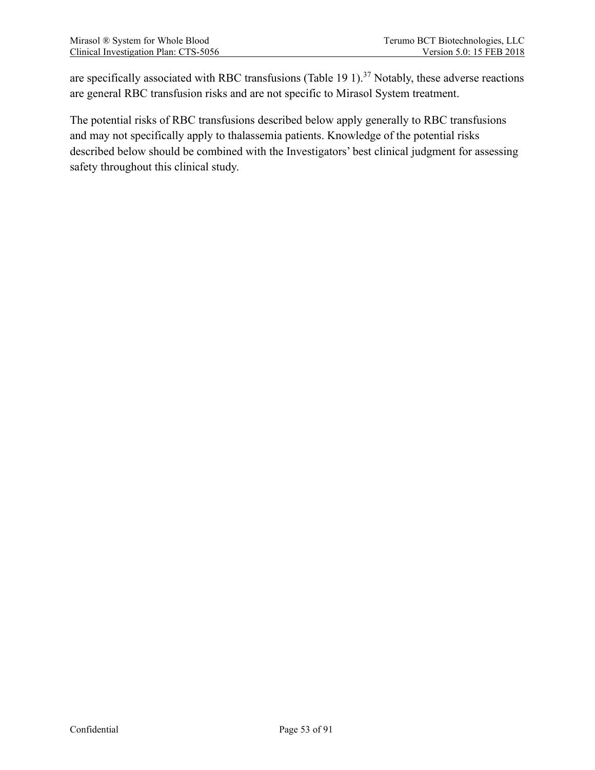are specifically associated with RBC transfusions (Table 19 1).<sup>37</sup> Notably, these adverse reactions are general RBC transfusion risks and are not specific to Mirasol System treatment.

The potential risks of RBC transfusions described below apply generally to RBC transfusions and may not specifically apply to thalassemia patients. Knowledge of the potential risks described below should be combined with the Investigators' best clinical judgment for assessing safety throughout this clinical study.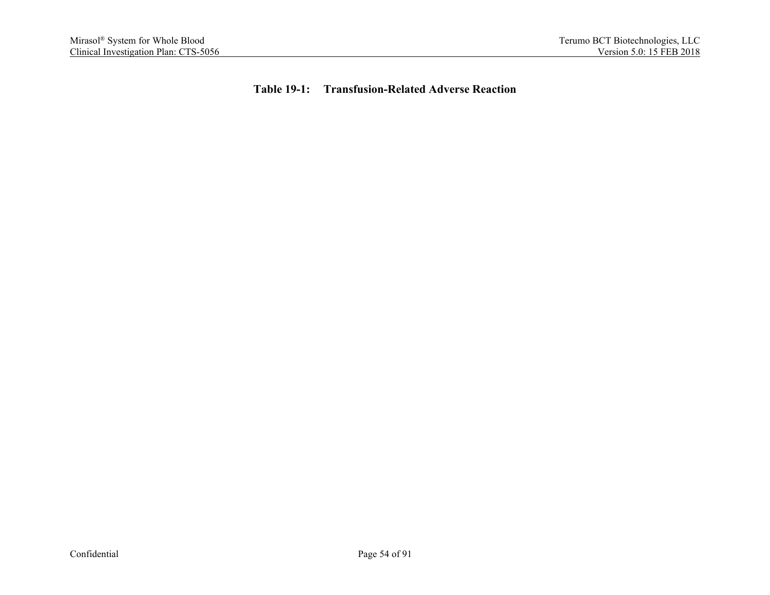**Table 19-1: Transfusion-Related Adverse Reaction**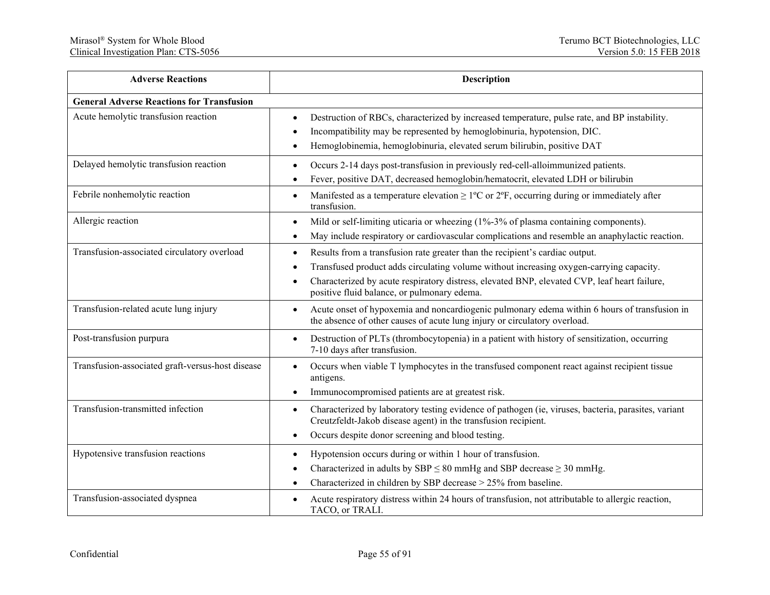| <b>Adverse Reactions</b>                         | Description                                                                                                                                                                                                                                                                                                                 |
|--------------------------------------------------|-----------------------------------------------------------------------------------------------------------------------------------------------------------------------------------------------------------------------------------------------------------------------------------------------------------------------------|
| <b>General Adverse Reactions for Transfusion</b> |                                                                                                                                                                                                                                                                                                                             |
| Acute hemolytic transfusion reaction             | Destruction of RBCs, characterized by increased temperature, pulse rate, and BP instability.<br>٠<br>Incompatibility may be represented by hemoglobinuria, hypotension, DIC.<br>Hemoglobinemia, hemoglobinuria, elevated serum bilirubin, positive DAT                                                                      |
| Delayed hemolytic transfusion reaction           | Occurs 2-14 days post-transfusion in previously red-cell-alloimmunized patients.<br>Fever, positive DAT, decreased hemoglobin/hematocrit, elevated LDH or bilirubin                                                                                                                                                         |
| Febrile nonhemolytic reaction                    | Manifested as a temperature elevation $\geq$ 1°C or 2°F, occurring during or immediately after<br>$\bullet$<br>transfusion.                                                                                                                                                                                                 |
| Allergic reaction                                | Mild or self-limiting uticaria or wheezing (1%-3% of plasma containing components).<br>$\bullet$<br>May include respiratory or cardiovascular complications and resemble an anaphylactic reaction.<br>٠                                                                                                                     |
| Transfusion-associated circulatory overload      | Results from a transfusion rate greater than the recipient's cardiac output.<br>٠<br>Transfused product adds circulating volume without increasing oxygen-carrying capacity.<br>Characterized by acute respiratory distress, elevated BNP, elevated CVP, leaf heart failure,<br>positive fluid balance, or pulmonary edema. |
| Transfusion-related acute lung injury            | Acute onset of hypoxemia and noncardiogenic pulmonary edema within 6 hours of transfusion in<br>$\bullet$<br>the absence of other causes of acute lung injury or circulatory overload.                                                                                                                                      |
| Post-transfusion purpura                         | Destruction of PLTs (thrombocytopenia) in a patient with history of sensitization, occurring<br>$\bullet$<br>7-10 days after transfusion.                                                                                                                                                                                   |
| Transfusion-associated graft-versus-host disease | Occurs when viable T lymphocytes in the transfused component react against recipient tissue<br>$\bullet$<br>antigens.<br>Immunocompromised patients are at greatest risk.                                                                                                                                                   |
| Transfusion-transmitted infection                | Characterized by laboratory testing evidence of pathogen (ie, viruses, bacteria, parasites, variant<br>Creutzfeldt-Jakob disease agent) in the transfusion recipient.<br>Occurs despite donor screening and blood testing.<br>$\bullet$                                                                                     |
| Hypotensive transfusion reactions                | Hypotension occurs during or within 1 hour of transfusion.<br>Characterized in adults by SBP $\leq$ 80 mmHg and SBP decrease $\geq$ 30 mmHg.<br>Characterized in children by SBP decrease > 25% from baseline.                                                                                                              |
| Transfusion-associated dyspnea                   | Acute respiratory distress within 24 hours of transfusion, not attributable to allergic reaction,<br>TACO, or TRALI.                                                                                                                                                                                                        |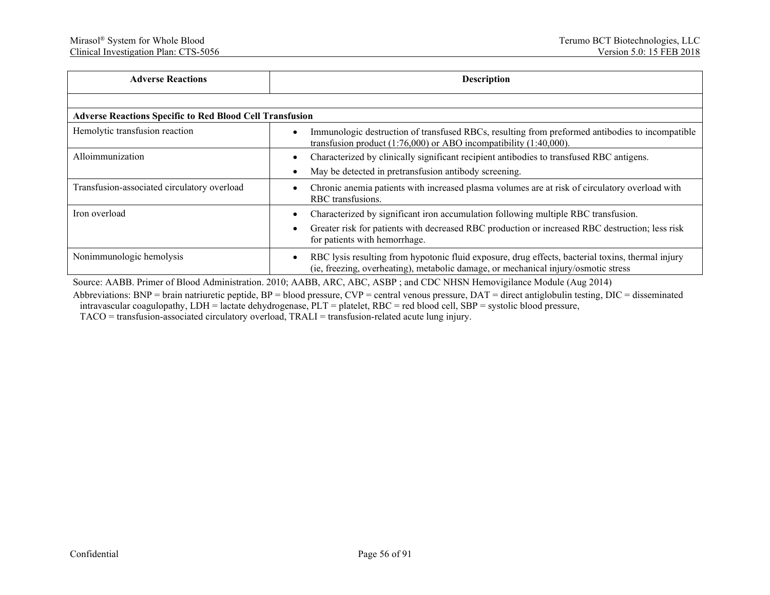| <b>Adverse Reactions</b>                                        | <b>Description</b>                                                                                                                                                                      |  |  |  |  |
|-----------------------------------------------------------------|-----------------------------------------------------------------------------------------------------------------------------------------------------------------------------------------|--|--|--|--|
|                                                                 |                                                                                                                                                                                         |  |  |  |  |
| <b>Adverse Reactions Specific to Red Blood Cell Transfusion</b> |                                                                                                                                                                                         |  |  |  |  |
| Hemolytic transfusion reaction                                  | Immunologic destruction of transfused RBCs, resulting from preformed antibodies to incompatible<br>transfusion product $(1:76,000)$ or ABO incompatibility $(1:40,000)$ .               |  |  |  |  |
| Alloimmunization                                                | Characterized by clinically significant recipient antibodies to transfused RBC antigens.                                                                                                |  |  |  |  |
|                                                                 | May be detected in pretransfusion antibody screening.                                                                                                                                   |  |  |  |  |
| Transfusion-associated circulatory overload                     | Chronic anemia patients with increased plasma volumes are at risk of circulatory overload with<br>RBC transfusions.                                                                     |  |  |  |  |
| Iron overload                                                   | Characterized by significant iron accumulation following multiple RBC transfusion.                                                                                                      |  |  |  |  |
|                                                                 | Greater risk for patients with decreased RBC production or increased RBC destruction; less risk<br>for patients with hemorrhage.                                                        |  |  |  |  |
| Nonimmunologic hemolysis                                        | RBC lysis resulting from hypotonic fluid exposure, drug effects, bacterial toxins, thermal injury<br>(ie, freezing, overheating), metabolic damage, or mechanical injury/osmotic stress |  |  |  |  |

Source: AABB. Primer of Blood Administration. 2010; AABB, ARC, ABC, ASBP ; and CDC NHSN Hemovigilance Module (Aug 2014)

Abbreviations: BNP = brain natriuretic peptide, BP = blood pressure, CVP = central venous pressure, DAT = direct antiglobulin testing, DIC = disseminated intravascular coagulopathy, LDH = lactate dehydrogenase, PLT = platelet, RBC = red blood cell, SBP = systolic blood pressure, TACO = transfusion-associated circulatory overload, TRALI = transfusion-related acute lung injury.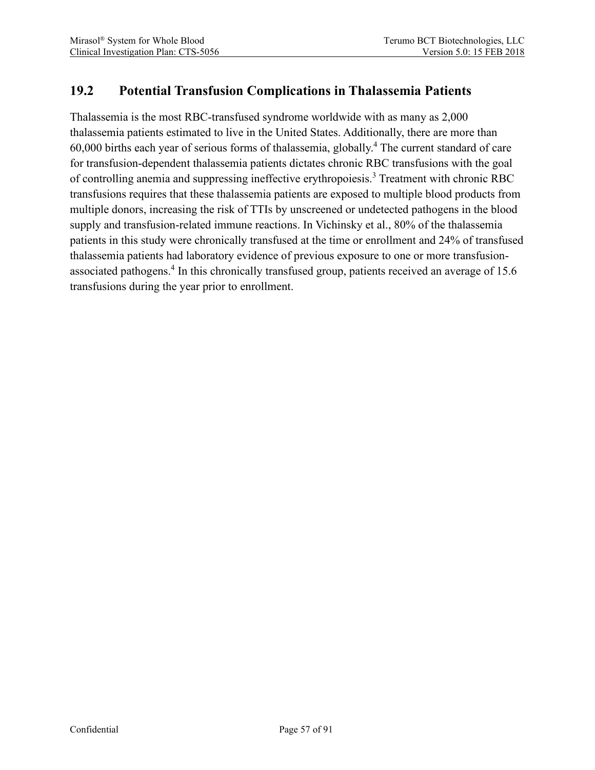# **19.2 Potential Transfusion Complications in Thalassemia Patients**

Thalassemia is the most RBC-transfused syndrome worldwide with as many as 2,000 thalassemia patients estimated to live in the United States. Additionally, there are more than  $60,000$  births each year of serious forms of thalassemia, globally.<sup>4</sup> The current standard of care for transfusion-dependent thalassemia patients dictates chronic RBC transfusions with the goal of controlling anemia and suppressing ineffective erythropoiesis.<sup>3</sup> Treatment with chronic RBC transfusions requires that these thalassemia patients are exposed to multiple blood products from multiple donors, increasing the risk of TTIs by unscreened or undetected pathogens in the blood supply and transfusion-related immune reactions. In Vichinsky et al., 80% of the thalassemia patients in this study were chronically transfused at the time or enrollment and 24% of transfused thalassemia patients had laboratory evidence of previous exposure to one or more transfusionassociated pathogens.<sup>4</sup> In this chronically transfused group, patients received an average of 15.6 transfusions during the year prior to enrollment.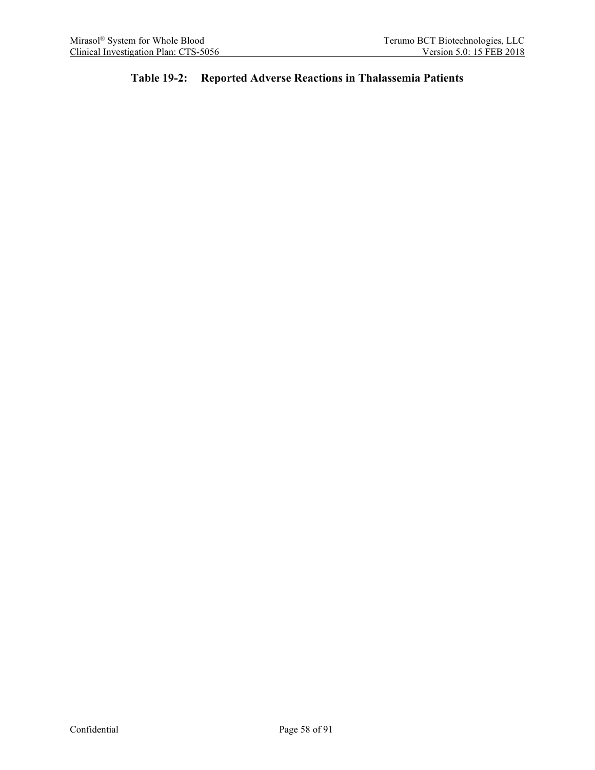### **Table 19-2: Reported Adverse Reactions in Thalassemia Patients**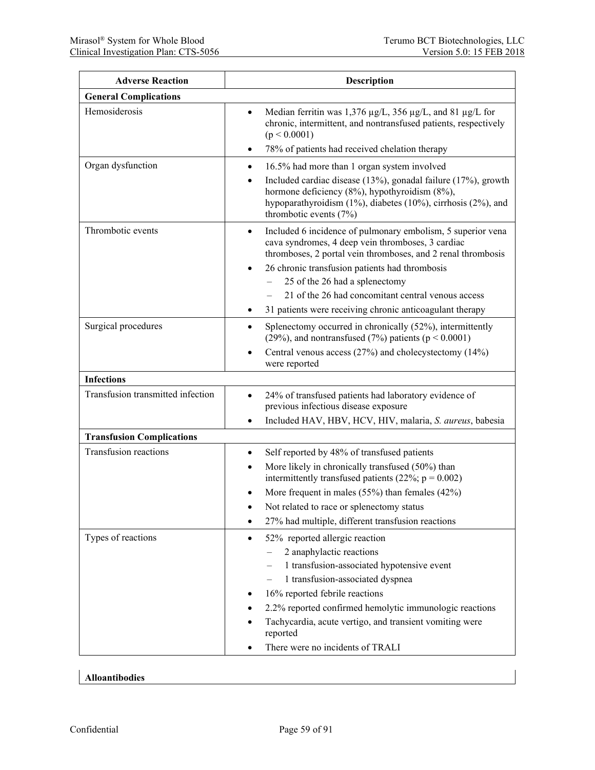| <b>Adverse Reaction</b>           | <b>Description</b>                                                                                                                                                                                                                                                                                                                                                                                  |
|-----------------------------------|-----------------------------------------------------------------------------------------------------------------------------------------------------------------------------------------------------------------------------------------------------------------------------------------------------------------------------------------------------------------------------------------------------|
| <b>General Complications</b>      |                                                                                                                                                                                                                                                                                                                                                                                                     |
| Hemosiderosis                     | Median ferritin was 1,376 µg/L, 356 µg/L, and 81 µg/L for<br>$\bullet$<br>chronic, intermittent, and nontransfused patients, respectively<br>(p < 0.0001)                                                                                                                                                                                                                                           |
|                                   | 78% of patients had received chelation therapy<br>٠                                                                                                                                                                                                                                                                                                                                                 |
| Organ dysfunction                 | 16.5% had more than 1 organ system involved<br>٠<br>Included cardiac disease (13%), gonadal failure (17%), growth<br>hormone deficiency (8%), hypothyroidism (8%),<br>hypoparathyroidism (1%), diabetes (10%), cirrhosis (2%), and<br>thrombotic events (7%)                                                                                                                                        |
| Thrombotic events                 | Included 6 incidence of pulmonary embolism, 5 superior vena<br>$\bullet$<br>cava syndromes, 4 deep vein thromboses, 3 cardiac<br>thromboses, 2 portal vein thromboses, and 2 renal thrombosis<br>26 chronic transfusion patients had thrombosis<br>25 of the 26 had a splenectomy<br>21 of the 26 had concomitant central venous access<br>31 patients were receiving chronic anticoagulant therapy |
| Surgical procedures               | Splenectomy occurred in chronically (52%), intermittently<br>(29%), and nontransfused (7%) patients ( $p < 0.0001$ )<br>Central venous access $(27%)$ and cholecystectomy $(14%)$<br>were reported                                                                                                                                                                                                  |
| <b>Infections</b>                 |                                                                                                                                                                                                                                                                                                                                                                                                     |
| Transfusion transmitted infection | 24% of transfused patients had laboratory evidence of<br>$\bullet$<br>previous infectious disease exposure<br>Included HAV, HBV, HCV, HIV, malaria, S. aureus, babesia<br>$\bullet$                                                                                                                                                                                                                 |
| <b>Transfusion Complications</b>  |                                                                                                                                                                                                                                                                                                                                                                                                     |
| <b>Transfusion reactions</b>      | Self reported by 48% of transfused patients<br>٠<br>More likely in chronically transfused (50%) than<br>intermittently transfused patients (22%; $p = 0.002$ )<br>More frequent in males $(55%)$ than females $(42%)$<br>Not related to race or splenectomy status<br>27% had multiple, different transfusion reactions<br>٠                                                                        |
| Types of reactions                | 52% reported allergic reaction<br>$\bullet$<br>2 anaphylactic reactions<br>1 transfusion-associated hypotensive event<br>1 transfusion-associated dyspnea<br>16% reported febrile reactions<br>2.2% reported confirmed hemolytic immunologic reactions<br>Tachycardia, acute vertigo, and transient vomiting were<br>reported<br>There were no incidents of TRALI                                   |

#### **Alloantibodies**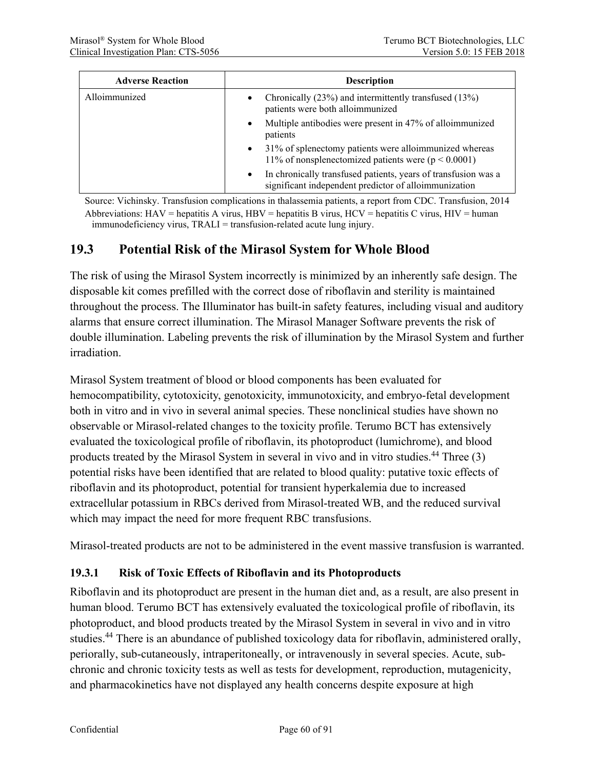| <b>Adverse Reaction</b> | <b>Description</b>                                                                                                                   |
|-------------------------|--------------------------------------------------------------------------------------------------------------------------------------|
| Alloimmunized           | Chronically (23%) and intermittently transfused (13%)<br>$\bullet$<br>patients were both alloimmunized                               |
|                         | Multiple antibodies were present in 47% of alloimmunized<br>$\bullet$<br>patients                                                    |
|                         | 31% of splenectomy patients were alloimmunized whereas<br>$\bullet$<br>11% of nonsplenectomized patients were ( $p < 0.0001$ )       |
|                         | In chronically transfused patients, years of transfusion was a<br>$\bullet$<br>significant independent predictor of alloimmunization |

Source: Vichinsky. Transfusion complications in thalassemia patients, a report from CDC. Transfusion, 2014 Abbreviations:  $HAV =$  hepatitis A virus,  $HBV =$  hepatitis B virus,  $HCV =$  hepatitis C virus,  $HIV =$  human immunodeficiency virus, TRALI = transfusion-related acute lung injury.

## **19.3 Potential Risk of the Mirasol System for Whole Blood**

The risk of using the Mirasol System incorrectly is minimized by an inherently safe design. The disposable kit comes prefilled with the correct dose of riboflavin and sterility is maintained throughout the process. The Illuminator has built-in safety features, including visual and auditory alarms that ensure correct illumination. The Mirasol Manager Software prevents the risk of double illumination. Labeling prevents the risk of illumination by the Mirasol System and further irradiation.

Mirasol System treatment of blood or blood components has been evaluated for hemocompatibility, cytotoxicity, genotoxicity, immunotoxicity, and embryo-fetal development both in vitro and in vivo in several animal species. These nonclinical studies have shown no observable or Mirasol-related changes to the toxicity profile. Terumo BCT has extensively evaluated the toxicological profile of riboflavin, its photoproduct (lumichrome), and blood products treated by the Mirasol System in several in vivo and in vitro studies.44 Three (3) potential risks have been identified that are related to blood quality: putative toxic effects of riboflavin and its photoproduct, potential for transient hyperkalemia due to increased extracellular potassium in RBCs derived from Mirasol-treated WB, and the reduced survival which may impact the need for more frequent RBC transfusions.

Mirasol-treated products are not to be administered in the event massive transfusion is warranted.

#### **19.3.1 Risk of Toxic Effects of Riboflavin and its Photoproducts**

Riboflavin and its photoproduct are present in the human diet and, as a result, are also present in human blood. Terumo BCT has extensively evaluated the toxicological profile of riboflavin, its photoproduct, and blood products treated by the Mirasol System in several in vivo and in vitro studies.<sup>44</sup> There is an abundance of published toxicology data for riboflavin, administered orally, periorally, sub-cutaneously, intraperitoneally, or intravenously in several species. Acute, subchronic and chronic toxicity tests as well as tests for development, reproduction, mutagenicity, and pharmacokinetics have not displayed any health concerns despite exposure at high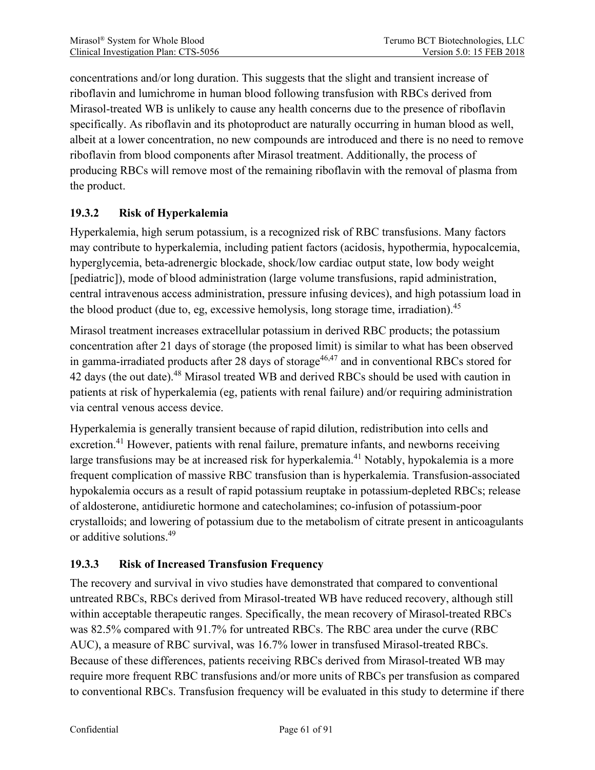concentrations and/or long duration. This suggests that the slight and transient increase of riboflavin and lumichrome in human blood following transfusion with RBCs derived from Mirasol-treated WB is unlikely to cause any health concerns due to the presence of riboflavin specifically. As riboflavin and its photoproduct are naturally occurring in human blood as well, albeit at a lower concentration, no new compounds are introduced and there is no need to remove riboflavin from blood components after Mirasol treatment. Additionally, the process of producing RBCs will remove most of the remaining riboflavin with the removal of plasma from the product.

### **19.3.2 Risk of Hyperkalemia**

Hyperkalemia, high serum potassium, is a recognized risk of RBC transfusions. Many factors may contribute to hyperkalemia, including patient factors (acidosis, hypothermia, hypocalcemia, hyperglycemia, beta-adrenergic blockade, shock/low cardiac output state, low body weight [pediatric]), mode of blood administration (large volume transfusions, rapid administration, central intravenous access administration, pressure infusing devices), and high potassium load in the blood product (due to, eg, excessive hemolysis, long storage time, irradiation).<sup>45</sup>

Mirasol treatment increases extracellular potassium in derived RBC products; the potassium concentration after 21 days of storage (the proposed limit) is similar to what has been observed in gamma-irradiated products after 28 days of storage<sup>46,47</sup> and in conventional RBCs stored for 42 days (the out date).<sup>48</sup> Mirasol treated WB and derived RBCs should be used with caution in patients at risk of hyperkalemia (eg, patients with renal failure) and/or requiring administration via central venous access device.

Hyperkalemia is generally transient because of rapid dilution, redistribution into cells and excretion.<sup>41</sup> However, patients with renal failure, premature infants, and newborns receiving large transfusions may be at increased risk for hyperkalemia.<sup>41</sup> Notably, hypokalemia is a more frequent complication of massive RBC transfusion than is hyperkalemia. Transfusion-associated hypokalemia occurs as a result of rapid potassium reuptake in potassium-depleted RBCs; release of aldosterone, antidiuretic hormone and catecholamines; co-infusion of potassium-poor crystalloids; and lowering of potassium due to the metabolism of citrate present in anticoagulants or additive solutions.49

### **19.3.3 Risk of Increased Transfusion Frequency**

The recovery and survival in vivo studies have demonstrated that compared to conventional untreated RBCs, RBCs derived from Mirasol-treated WB have reduced recovery, although still within acceptable therapeutic ranges. Specifically, the mean recovery of Mirasol-treated RBCs was 82.5% compared with 91.7% for untreated RBCs. The RBC area under the curve (RBC AUC), a measure of RBC survival, was 16.7% lower in transfused Mirasol-treated RBCs. Because of these differences, patients receiving RBCs derived from Mirasol-treated WB may require more frequent RBC transfusions and/or more units of RBCs per transfusion as compared to conventional RBCs. Transfusion frequency will be evaluated in this study to determine if there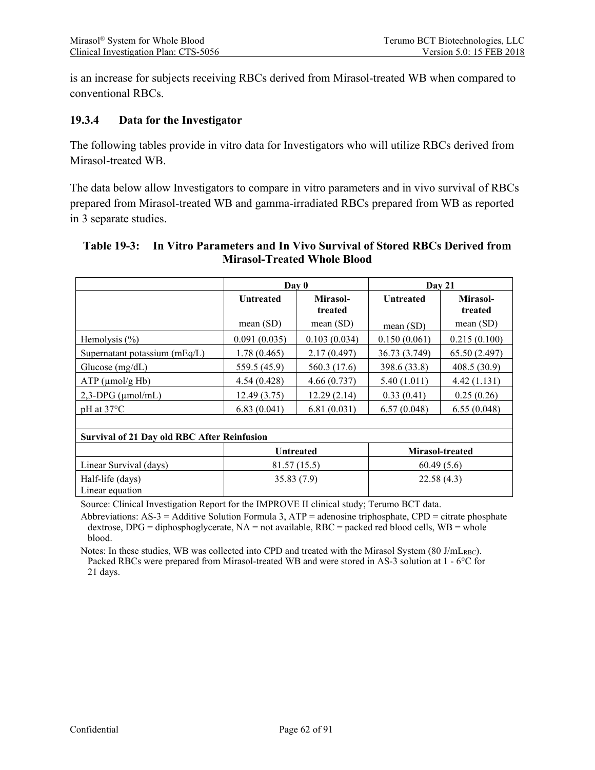is an increase for subjects receiving RBCs derived from Mirasol-treated WB when compared to conventional RBCs.

#### **19.3.4 Data for the Investigator**

The following tables provide in vitro data for Investigators who will utilize RBCs derived from Mirasol-treated WB.

The data below allow Investigators to compare in vitro parameters and in vivo survival of RBCs prepared from Mirasol-treated WB and gamma-irradiated RBCs prepared from WB as reported in 3 separate studies.

#### **Table 19-3: In Vitro Parameters and In Vivo Survival of Stored RBCs Derived from Mirasol-Treated Whole Blood**

|                                                    | Day 0                               |                     | Day 21           |                     |  |
|----------------------------------------------------|-------------------------------------|---------------------|------------------|---------------------|--|
|                                                    | <b>Untreated</b>                    | Mirasol-<br>treated | <b>Untreated</b> | Mirasol-<br>treated |  |
|                                                    | mean $(SD)$                         | mean(SD)            | mean $(SD)$      | mean $(SD)$         |  |
| Hemolysis $(\% )$                                  | 0.091(0.035)                        | 0.103(0.034)        | 0.150(0.061)     | 0.215(0.100)        |  |
| Supernatant potassium $(mEq/L)$                    | 1.78(0.465)                         | 2.17(0.497)         | 36.73 (3.749)    | 65.50 (2.497)       |  |
| Glucose $(mg/dL)$                                  | 559.5 (45.9)                        | 560.3 (17.6)        | 398.6 (33.8)     | 408.5 (30.9)        |  |
| $ATP$ (µmol/g Hb)                                  | 4.54(0.428)                         | 4.66(0.737)         | 5.40(1.011)      | 4.42(1.131)         |  |
| $2,3-DPG$ ( $\mu$ mol/mL)                          | 12.49(3.75)                         | 12.29(2.14)         | 0.33(0.41)       | 0.25(0.26)          |  |
| $pH$ at 37 $^{\circ}C$                             | 6.83(0.041)                         | 6.81(0.031)         | 6.57(0.048)      | 6.55(0.048)         |  |
|                                                    |                                     |                     |                  |                     |  |
| <b>Survival of 21 Day old RBC After Reinfusion</b> |                                     |                     |                  |                     |  |
|                                                    | Mirasol-treated<br><b>Untreated</b> |                     |                  |                     |  |
| Linear Survival (days)                             | 81.57 (15.5)                        |                     | 60.49(5.6)       |                     |  |
| Half-life (days)<br>Linear equation                | 35.83(7.9)                          |                     | 22.58(4.3)       |                     |  |

Source: Clinical Investigation Report for the IMPROVE II clinical study; Terumo BCT data.

Abbreviations:  $AS-3 = Additive$  Solution Formula 3,  $ATP = adenosine$  triphosphate,  $CPD = citrate$  phosphate dextrose, DPG = diphosphoglycerate,  $NA$  = not available, RBC = packed red blood cells, WB = whole blood.

Notes: In these studies, WB was collected into CPD and treated with the Mirasol System (80 J/mLRBC). Packed RBCs were prepared from Mirasol-treated WB and were stored in AS-3 solution at 1 - 6°C for 21 days.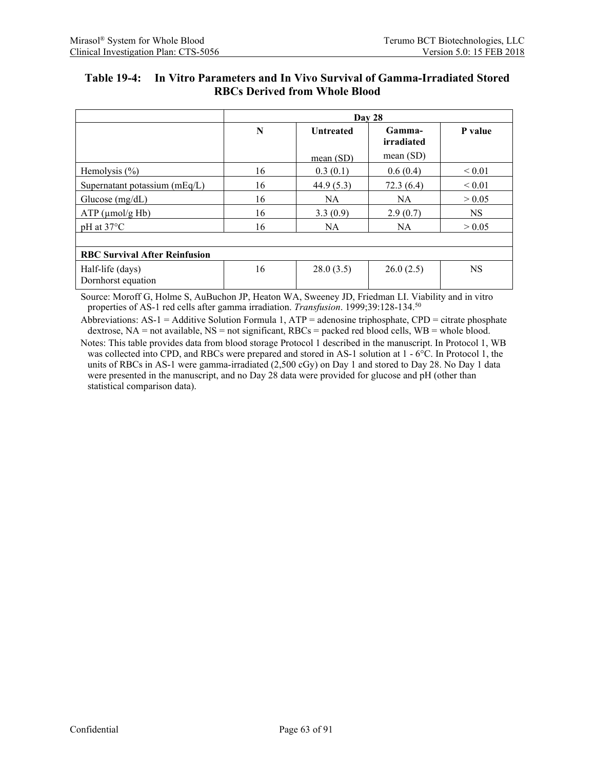| Table 19-4: In Vitro Parameters and In Vivo Survival of Gamma-Irradiated Stored |
|---------------------------------------------------------------------------------|
| <b>RBCs Derived from Whole Blood</b>                                            |

|                                        | Day 28      |                                          |             |             |  |  |  |
|----------------------------------------|-------------|------------------------------------------|-------------|-------------|--|--|--|
|                                        | $\mathbf N$ | Gamma-<br><b>Untreated</b><br>irradiated |             | P value     |  |  |  |
|                                        |             | mean $(SD)$                              | mean $(SD)$ |             |  |  |  |
| Hemolysis $(\% )$                      | 16          | 0.3(0.1)                                 | 0.6(0.4)    | ${}_{0.01}$ |  |  |  |
| Supernatant potassium $(mEq/L)$        | 16          | 44.9(5.3)                                | 72.3(6.4)   | ${}_{0.01}$ |  |  |  |
| Glucose $(mg/dL)$                      | 16          | <b>NA</b>                                | <b>NA</b>   | > 0.05      |  |  |  |
| $ATP$ ( $\mu$ mol/g Hb)                | 16          | 3.3(0.9)                                 | 2.9(0.7)    | <b>NS</b>   |  |  |  |
| $pH$ at 37 $^{\circ}C$                 | 16          | <b>NA</b>                                | <b>NA</b>   | > 0.05      |  |  |  |
|                                        |             |                                          |             |             |  |  |  |
| <b>RBC Survival After Reinfusion</b>   |             |                                          |             |             |  |  |  |
| Half-life (days)<br>Dornhorst equation | 16          | 28.0(3.5)                                | 26.0(2.5)   | <b>NS</b>   |  |  |  |

Source: Moroff G, Holme S, AuBuchon JP, Heaton WA, Sweeney JD, Friedman LI. Viability and in vitro properties of AS-1 red cells after gamma irradiation. *Transfusion*. 1999;39:128-134.50

Abbreviations:  $AS-1 = Additive$  Solution Formula 1,  $ATP = adenosine$  triphosphate,  $CPD = citrate$  phosphate dextrose, NA = not available, NS = not significant, RBCs = packed red blood cells, WB = whole blood.

Notes: This table provides data from blood storage Protocol 1 described in the manuscript. In Protocol 1, WB was collected into CPD, and RBCs were prepared and stored in AS-1 solution at  $1 - 6^{\circ}$ C. In Protocol 1, the units of RBCs in AS-1 were gamma-irradiated (2,500 cGy) on Day 1 and stored to Day 28. No Day 1 data were presented in the manuscript, and no Day 28 data were provided for glucose and pH (other than statistical comparison data).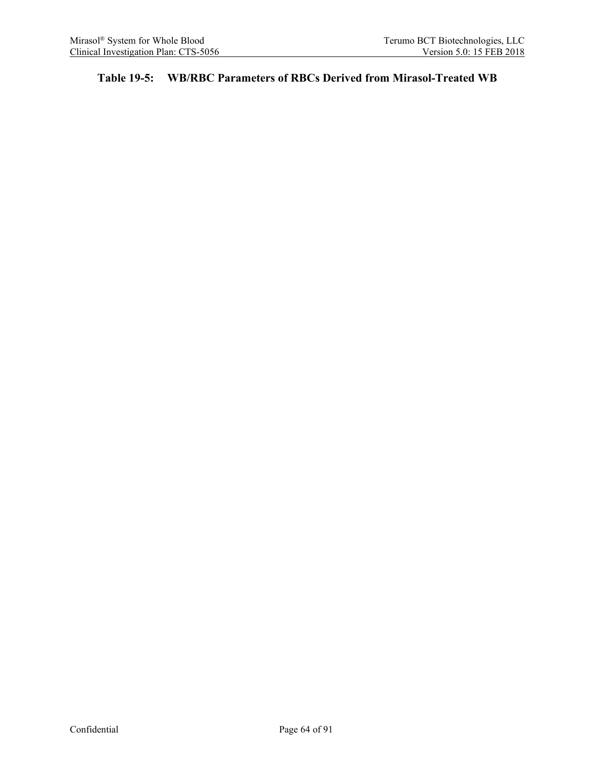### **Table 19-5: WB/RBC Parameters of RBCs Derived from Mirasol-Treated WB**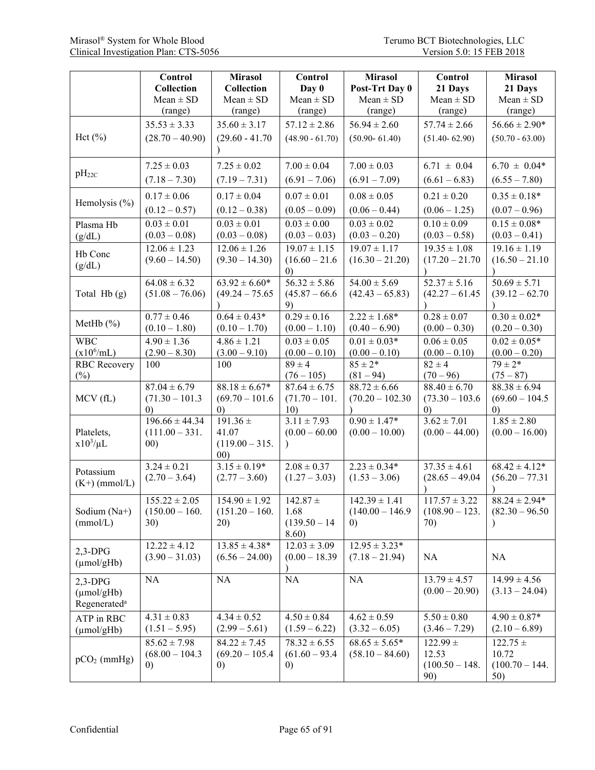|                          | Control                              | <b>Mirasol</b>          | Control                               | <b>Mirasol</b>                        | Control                         | <b>Mirasol</b>                  |
|--------------------------|--------------------------------------|-------------------------|---------------------------------------|---------------------------------------|---------------------------------|---------------------------------|
|                          | <b>Collection</b>                    | Collection              | Day 0                                 | Post-Trt Day 0                        | 21 Days                         | 21 Days                         |
|                          | $Mean \pm SD$                        | $Mean \pm SD$           | $Mean \pm SD$                         | $Mean \pm SD$                         | $Mean \pm SD$                   | $Mean \pm SD$                   |
|                          | (range)                              | (range)                 | (range)                               | (range)                               | (range)                         | (range)                         |
|                          | $35.53 \pm 3.33$                     | $35.60 \pm 3.17$        | $57.12 \pm 2.86$                      | $56.94 \pm 2.60$                      | $57.74 \pm 2.66$                | $56.66 \pm 2.90*$               |
| Hct $(\% )$              | $(28.70 - 40.90)$                    | $(29.60 - 41.70)$       | $(48.90 - 61.70)$                     | $(50.90 - 61.40)$                     | $(51.40 - 62.90)$               | $(50.70 - 63.00)$               |
|                          |                                      |                         |                                       |                                       |                                 |                                 |
|                          | $7.25 \pm 0.03$                      | $7.25 \pm 0.02$         | $7.00 \pm 0.04$                       | $7.00 \pm 0.03$                       | $6.71 \pm 0.04$                 | $6.70 \pm 0.04*$                |
| $pH_{22C}$               | $(7.18 - 7.30)$                      | $(7.19 - 7.31)$         | $(6.91 - 7.06)$                       | $(6.91 - 7.09)$                       | $(6.61 - 6.83)$                 | $(6.55 - 7.80)$                 |
|                          | $0.17 \pm 0.06$                      | $0.17 \pm 0.04$         | $0.07 \pm 0.01$                       | $0.08 \pm 0.05$                       | $0.21 \pm 0.20$                 | $0.35 \pm 0.18*$                |
| Hemolysis $(\% )$        | $(0.12 - 0.57)$                      | $(0.12 - 0.38)$         | $(0.05 - 0.09)$                       | $(0.06 - 0.44)$                       | $(0.06 - 1.25)$                 | $(0.07 - 0.96)$                 |
| Plasma Hb                | $0.03 \pm 0.01$                      | $0.03 \pm 0.01$         | $0.03 \pm 0.00$                       | $0.03 \pm 0.02$                       | $0.10 \pm 0.09$                 | $0.15 \pm 0.08*$                |
| (g/dL)                   | $(0.03 - 0.08)$                      | $(0.03 - 0.08)$         | $(0.03 - 0.03)$                       | $(0.03 - 0.20)$                       | $(0.03 - 0.58)$                 | $(0.03 - 0.41)$                 |
| Hb Conc                  | $12.06 \pm 1.23$                     | $12.06 \pm 1.26$        | $\overline{19.07} \pm 1.15$           | $19.07 \pm 1.17$                      | $19.35 \pm 1.08$                | $19.16 \pm 1.19$                |
| (g/dL)                   | $(9.60 - 14.50)$                     | $(9.30 - 14.30)$        | $(16.60 - 21.6$                       | $(16.30 - 21.20)$                     | $(17.20 - 21.70$                | $(16.50 - 21.10$                |
|                          | $64.08 \pm 6.32$                     | $63.92 \pm 6.60*$       | $\left( 0\right)$<br>$56.32 \pm 5.86$ | $54.00 \pm 5.69$                      | $52.37 \pm 5.16$                | $50.69 \pm 5.71$                |
| Total Hb (g)             | $(51.08 - 76.06)$                    | $(49.24 - 75.65)$       | $(45.87 - 66.6)$                      | $(42.43 - 65.83)$                     | $(42.27 - 61.45)$               | $(39.12 - 62.70)$               |
|                          |                                      |                         | 9)                                    |                                       |                                 |                                 |
|                          | $0.77 \pm 0.46$                      | $0.64 \pm 0.43*$        | $0.29 \pm 0.16$                       | $2.22 \pm 1.68*$                      | $0.28 \pm 0.07$                 | $0.30 \pm 0.02*$                |
| MetHb $(\%)$             | $(0.10 - 1.80)$                      | $(0.10 - 1.70)$         | $(0.00 - 1.10)$                       | $(0.40 - 6.90)$                       | $(0.00 - 0.30)$                 | $(0.20 - 0.30)$                 |
| <b>WBC</b>               | $4.90 \pm 1.36$                      | $4.86 \pm 1.21$         | $0.03 \pm 0.05$                       | $0.01 \pm 0.03*$                      | $0.06 \pm 0.05$                 | $0.02 \pm 0.05*$                |
| $(x10^6/mL)$             | $(2.90 - 8.30)$                      | $(3.00 - 9.10)$         | $(0.00 - 0.10)$                       | $(0.00 - 0.10)$                       | $(0.00 - 0.10)$                 | $(0.00 - 0.20)$                 |
| <b>RBC</b> Recovery      | 100                                  | 100                     | $89 \pm 4$                            | $85 \pm 2*$                           | $82 \pm 4$                      | $79 \pm 2*$                     |
| $(\%)$                   | $87.04 \pm 6.79$                     | $88.18 \pm 6.67*$       | $(76 - 105)$<br>$87.64 \pm 6.75$      | $(81 - 94)$<br>$88.72 \pm 6.66$       | $(70 - 96)$<br>$88.40 \pm 6.70$ | $(75 - 87)$<br>$88.38 \pm 6.94$ |
| MCV(fL)                  | $(71.30 - 101.3)$                    | $(69.70 - 101.6$        | $(71.70 - 101.$                       | $(70.20 - 102.30)$                    | $(73.30 - 103.6)$               | $(69.60 - 104.5$                |
|                          | $\left( 0\right)$                    | (0)                     | 10)                                   |                                       | $\left( 0\right)$               | (0)                             |
|                          | $196.66 \pm 44.34$                   | $191.36 \pm$            | $3.11 \pm 7.93$                       | $0.90 \pm 1.47*$                      | $3.62 \pm 7.01$                 | $1.85 \pm 2.80$                 |
| Platelets,               | $(111.00 - 331.$                     | 41.07                   | $(0.00 - 60.00)$                      | $(0.00 - 10.00)$                      | $(0.00 - 44.00)$                | $(0.00 - 16.00)$                |
| $x10^3/\mu L$            | (00)                                 | $(119.00 - 315.$        |                                       |                                       |                                 |                                 |
|                          | $3.24 \pm 0.21$                      | 00)<br>$3.15 \pm 0.19*$ | $2.08 \pm 0.37$                       | $2.23 \pm 0.34*$                      | $37.35 \pm 4.61$                | $68.42 \pm 4.12*$               |
| Potassium                | $(2.70 - 3.64)$                      | $(2.77 - 3.60)$         | $(1.27 - 3.03)$                       | $(1.53 - 3.06)$                       | $(28.65 - 49.04)$               | $(56.20 - 77.31)$               |
| $(K+)$ (mmol/L)          |                                      |                         |                                       |                                       |                                 |                                 |
|                          | $155.22 \pm 2.05$                    | $154.90 \pm 1.92$       | $142.87 \pm$                          | $142.39 \pm 1.41$                     | $117.57 \pm 3.22$               | $88.24 \pm 2.94*$               |
| Sodium (Na+)             | $(150.00 - 160.$                     | $(151.20 - 160.$        | 1.68                                  | $(140.00 - 146.9)$                    | $(108.90 - 123.$                | $(82.30 - 96.50)$               |
| (mmol/L)                 | 30)                                  | 20)                     | $(139.50 - 14)$                       | $\left( 0\right)$                     | 70)                             |                                 |
|                          |                                      | $13.85 \pm 4.38*$       | 8.60)                                 |                                       |                                 |                                 |
| $2,3-DPG$                | $12.22 \pm 4.12$<br>$(3.90 - 31.03)$ | $(6.56 - 24.00)$        | $12.03 \pm 3.09$<br>$(0.00 - 18.39)$  | $12.95 \pm 3.23*$<br>$(7.18 - 21.94)$ | NA                              | NA                              |
| $(\mu \text{mol/gHb})$   |                                      |                         |                                       |                                       |                                 |                                 |
| $2,3-DPG$                | NA                                   | NA                      | <b>NA</b>                             | NA                                    | $13.79 \pm 4.57$                | $14.99 \pm 4.56$                |
| $(\mu \text{mol/gHb})$   |                                      |                         |                                       |                                       | $(0.00 - 20.90)$                | $(3.13 - 24.04)$                |
| Regenerated <sup>a</sup> |                                      |                         |                                       |                                       |                                 |                                 |
| ATP in RBC               | $4.31 \pm 0.83$                      | $4.34 \pm 0.52$         | $4.50 \pm 0.84$                       | $4.62 \pm 0.59$                       | $5.50 \pm 0.80$                 | $4.90 \pm 0.87*$                |
| $(\mu \text{mol/gHb})$   | $(1.51 - 5.95)$                      | $(2.99 - 5.61)$         | $(1.59 - 6.22)$                       | $(3.32 - 6.05)$                       | $(3.46 - 7.29)$                 | $(2.10 - 6.89)$                 |
|                          | $85.62 \pm 7.98$                     | $84.22 \pm 7.45$        | $78.32 \pm 6.55$                      | $68.65 \pm 5.65*$                     | $122.99 +$                      | $122.75 \pm$                    |
| $pCO2$ (mmHg)            | $(68.00 - 104.3)$                    | $(69.20 - 105.4)$       | $(61.60 - 93.4)$                      | $(58.10 - 84.60)$                     | 12.53                           | 10.72                           |
|                          | $\left( 0\right)$                    | $\left( 0\right)$       | $\left( 0\right)$                     |                                       | $(100.50 - 148.$<br>90)         | $(100.70 - 144.$<br>50)         |
|                          |                                      |                         |                                       |                                       |                                 |                                 |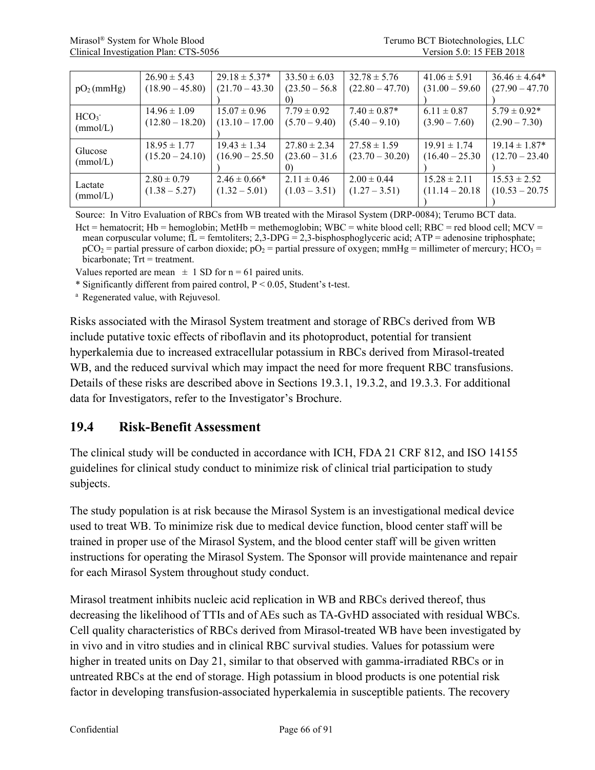|                        | $26.90 \pm 5.43$  | $29.18 \pm 5.37*$ | $33.50 \pm 6.03$ | $32.78 \pm 5.76$  | $41.06 \pm 5.91$  | $36.46 \pm 4.64*$ |
|------------------------|-------------------|-------------------|------------------|-------------------|-------------------|-------------------|
| pO <sub>2</sub> (mmHg) | $(18.90 - 45.80)$ | $(21.70 - 43.30)$ | $(23.50 - 56.8)$ | $(22.80 - 47.70)$ | $(31.00 - 59.60)$ | $(27.90 - 47.70)$ |
|                        |                   |                   |                  |                   |                   |                   |
| HCO <sub>3</sub>       | $14.96 \pm 1.09$  | $15.07 \pm 0.96$  | $7.79 \pm 0.92$  | $7.40 \pm 0.87*$  | $6.11 \pm 0.87$   | $5.79 \pm 0.92^*$ |
|                        | $(12.80 - 18.20)$ | $(13.10 - 17.00)$ | $(5.70 - 9.40)$  | $(5.40 - 9.10)$   | $(3.90 - 7.60)$   | $(2.90 - 7.30)$   |
| (mmol/L)               |                   |                   |                  |                   |                   |                   |
|                        | $18.95 \pm 1.77$  | $19.43 \pm 1.34$  | $27.80 \pm 2.34$ | $27.58 \pm 1.59$  | $19.91 \pm 1.74$  | $19.14 \pm 1.87*$ |
| Glucose                | $(15.20 - 24.10)$ | $(16.90 - 25.50)$ | $(23.60 - 31.6)$ | $(23.70 - 30.20)$ | $(16.40 - 25.30)$ | $(12.70 - 23.40)$ |
| (mmol/L)               |                   |                   |                  |                   |                   |                   |
|                        | $2.80 \pm 0.79$   | $2.46 \pm 0.66*$  | $2.11 \pm 0.46$  | $2.00 \pm 0.44$   | $15.28 \pm 2.11$  | $15.53 \pm 2.52$  |
| Lactate                | $(1.38 - 5.27)$   | $(1.32 - 5.01)$   | $(1.03 - 3.51)$  | $(1.27 - 3.51)$   | $(11.14 - 20.18$  | $(10.53 - 20.75)$ |
| (mmol/L)               |                   |                   |                  |                   |                   |                   |

Source: In Vitro Evaluation of RBCs from WB treated with the Mirasol System (DRP-0084); Terumo BCT data.

Hct = hematocrit; Hb = hemoglobin; MetHb = methemoglobin; WBC = white blood cell; RBC = red blood cell; MCV = mean corpuscular volume;  $f\overline{L}$  = femtoliters; 2,3-DPG = 2,3-bisphosphoglyceric acid; ATP = adenosine triphosphate;  $pCO<sub>2</sub>$  = partial pressure of carbon dioxide;  $pO<sub>2</sub>$  = partial pressure of oxygen; mmHg = millimeter of mercury; HCO<sub>3</sub> =  $bicarbonate$ : Trt = treatment.

Values reported are mean  $\pm$  1 SD for n = 61 paired units.

\* Significantly different from paired control, P < 0.05, Student's t-test.

<sup>a</sup> Regenerated value, with Rejuvesol.

Risks associated with the Mirasol System treatment and storage of RBCs derived from WB include putative toxic effects of riboflavin and its photoproduct, potential for transient hyperkalemia due to increased extracellular potassium in RBCs derived from Mirasol-treated WB, and the reduced survival which may impact the need for more frequent RBC transfusions. Details of these risks are described above in Sections 19.3.1, 19.3.2, and 19.3.3. For additional data for Investigators, refer to the Investigator's Brochure.

### **19.4 Risk-Benefit Assessment**

The clinical study will be conducted in accordance with ICH, FDA 21 CRF 812, and ISO 14155 guidelines for clinical study conduct to minimize risk of clinical trial participation to study subjects.

The study population is at risk because the Mirasol System is an investigational medical device used to treat WB. To minimize risk due to medical device function, blood center staff will be trained in proper use of the Mirasol System, and the blood center staff will be given written instructions for operating the Mirasol System. The Sponsor will provide maintenance and repair for each Mirasol System throughout study conduct.

Mirasol treatment inhibits nucleic acid replication in WB and RBCs derived thereof, thus decreasing the likelihood of TTIs and of AEs such as TA-GvHD associated with residual WBCs. Cell quality characteristics of RBCs derived from Mirasol-treated WB have been investigated by in vivo and in vitro studies and in clinical RBC survival studies. Values for potassium were higher in treated units on Day 21, similar to that observed with gamma-irradiated RBCs or in untreated RBCs at the end of storage. High potassium in blood products is one potential risk factor in developing transfusion-associated hyperkalemia in susceptible patients. The recovery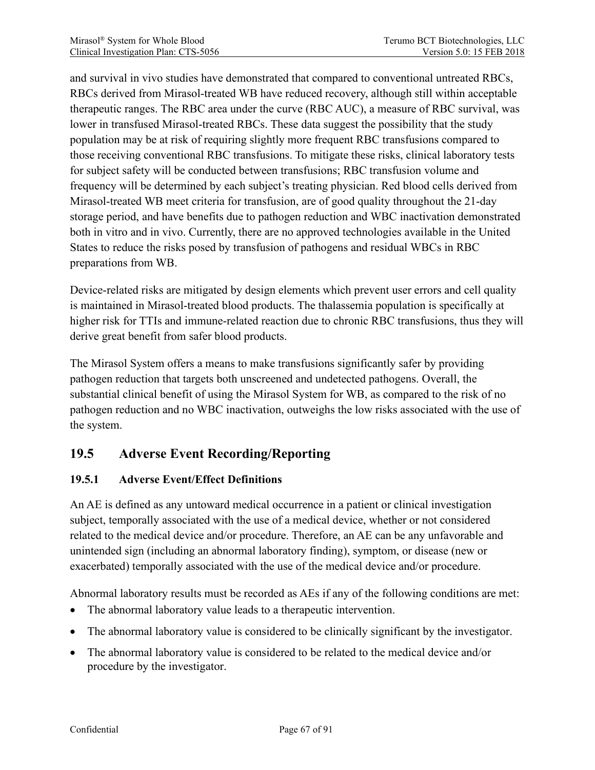and survival in vivo studies have demonstrated that compared to conventional untreated RBCs, RBCs derived from Mirasol-treated WB have reduced recovery, although still within acceptable therapeutic ranges. The RBC area under the curve (RBC AUC), a measure of RBC survival, was lower in transfused Mirasol-treated RBCs. These data suggest the possibility that the study population may be at risk of requiring slightly more frequent RBC transfusions compared to those receiving conventional RBC transfusions. To mitigate these risks, clinical laboratory tests for subject safety will be conducted between transfusions; RBC transfusion volume and frequency will be determined by each subject's treating physician. Red blood cells derived from Mirasol-treated WB meet criteria for transfusion, are of good quality throughout the 21-day storage period, and have benefits due to pathogen reduction and WBC inactivation demonstrated both in vitro and in vivo. Currently, there are no approved technologies available in the United States to reduce the risks posed by transfusion of pathogens and residual WBCs in RBC preparations from WB.

Device-related risks are mitigated by design elements which prevent user errors and cell quality is maintained in Mirasol-treated blood products. The thalassemia population is specifically at higher risk for TTIs and immune-related reaction due to chronic RBC transfusions, thus they will derive great benefit from safer blood products.

The Mirasol System offers a means to make transfusions significantly safer by providing pathogen reduction that targets both unscreened and undetected pathogens. Overall, the substantial clinical benefit of using the Mirasol System for WB, as compared to the risk of no pathogen reduction and no WBC inactivation, outweighs the low risks associated with the use of the system.

# **19.5 Adverse Event Recording/Reporting**

#### **19.5.1 Adverse Event/Effect Definitions**

An AE is defined as any untoward medical occurrence in a patient or clinical investigation subject, temporally associated with the use of a medical device, whether or not considered related to the medical device and/or procedure. Therefore, an AE can be any unfavorable and unintended sign (including an abnormal laboratory finding), symptom, or disease (new or exacerbated) temporally associated with the use of the medical device and/or procedure.

Abnormal laboratory results must be recorded as AEs if any of the following conditions are met:

- The abnormal laboratory value leads to a therapeutic intervention.
- The abnormal laboratory value is considered to be clinically significant by the investigator.
- The abnormal laboratory value is considered to be related to the medical device and/or procedure by the investigator.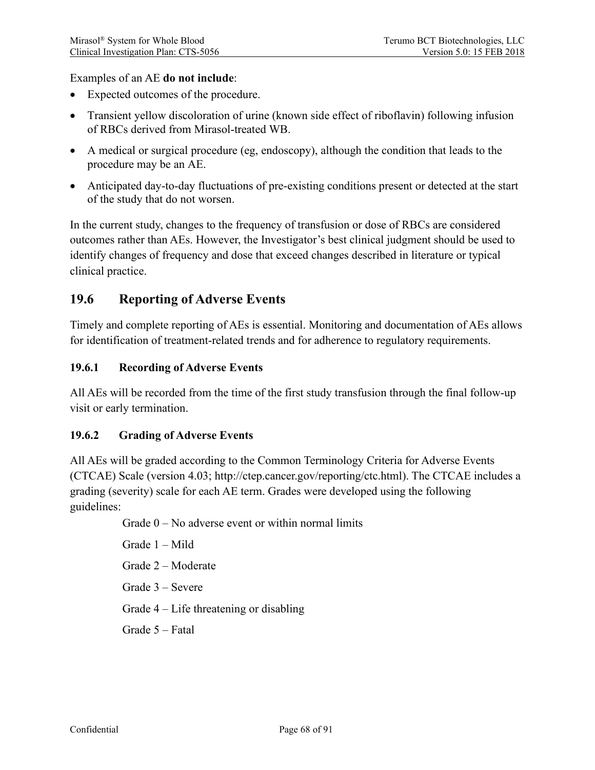Examples of an AE **do not include**:

- Expected outcomes of the procedure.
- Transient yellow discoloration of urine (known side effect of riboflavin) following infusion of RBCs derived from Mirasol-treated WB.
- A medical or surgical procedure (eg, endoscopy), although the condition that leads to the procedure may be an AE.
- Anticipated day-to-day fluctuations of pre-existing conditions present or detected at the start of the study that do not worsen.

In the current study, changes to the frequency of transfusion or dose of RBCs are considered outcomes rather than AEs. However, the Investigator's best clinical judgment should be used to identify changes of frequency and dose that exceed changes described in literature or typical clinical practice.

## **19.6 Reporting of Adverse Events**

Timely and complete reporting of AEs is essential. Monitoring and documentation of AEs allows for identification of treatment-related trends and for adherence to regulatory requirements.

#### **19.6.1 Recording of Adverse Events**

All AEs will be recorded from the time of the first study transfusion through the final follow-up visit or early termination.

#### **19.6.2 Grading of Adverse Events**

All AEs will be graded according to the Common Terminology Criteria for Adverse Events (CTCAE) Scale (version 4.03; http://ctep.cancer.gov/reporting/ctc.html). The CTCAE includes a grading (severity) scale for each AE term. Grades were developed using the following guidelines:

Grade  $0 - No$  adverse event or within normal limits

Grade 1 – Mild

Grade 2 – Moderate

Grade 3 – Severe

Grade 4 – Life threatening or disabling

Grade 5 – Fatal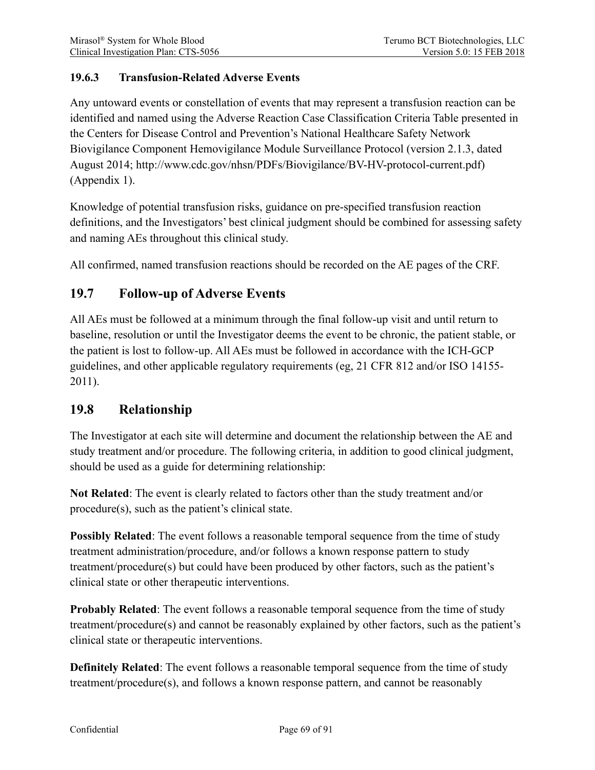### **19.6.3 Transfusion-Related Adverse Events**

Any untoward events or constellation of events that may represent a transfusion reaction can be identified and named using the Adverse Reaction Case Classification Criteria Table presented in the Centers for Disease Control and Prevention's National Healthcare Safety Network Biovigilance Component Hemovigilance Module Surveillance Protocol (version 2.1.3, dated August 2014; http://www.cdc.gov/nhsn/PDFs/Biovigilance/BV-HV-protocol-current.pdf) (Appendix 1).

Knowledge of potential transfusion risks, guidance on pre-specified transfusion reaction definitions, and the Investigators' best clinical judgment should be combined for assessing safety and naming AEs throughout this clinical study.

All confirmed, named transfusion reactions should be recorded on the AE pages of the CRF.

# **19.7 Follow-up of Adverse Events**

All AEs must be followed at a minimum through the final follow-up visit and until return to baseline, resolution or until the Investigator deems the event to be chronic, the patient stable, or the patient is lost to follow-up. All AEs must be followed in accordance with the ICH-GCP guidelines, and other applicable regulatory requirements (eg, 21 CFR 812 and/or ISO 14155- 2011).

### **19.8 Relationship**

The Investigator at each site will determine and document the relationship between the AE and study treatment and/or procedure. The following criteria, in addition to good clinical judgment, should be used as a guide for determining relationship:

**Not Related**: The event is clearly related to factors other than the study treatment and/or procedure(s), such as the patient's clinical state.

**Possibly Related**: The event follows a reasonable temporal sequence from the time of study treatment administration/procedure, and/or follows a known response pattern to study treatment/procedure(s) but could have been produced by other factors, such as the patient's clinical state or other therapeutic interventions.

**Probably Related**: The event follows a reasonable temporal sequence from the time of study treatment/procedure(s) and cannot be reasonably explained by other factors, such as the patient's clinical state or therapeutic interventions.

**Definitely Related**: The event follows a reasonable temporal sequence from the time of study treatment/procedure(s), and follows a known response pattern, and cannot be reasonably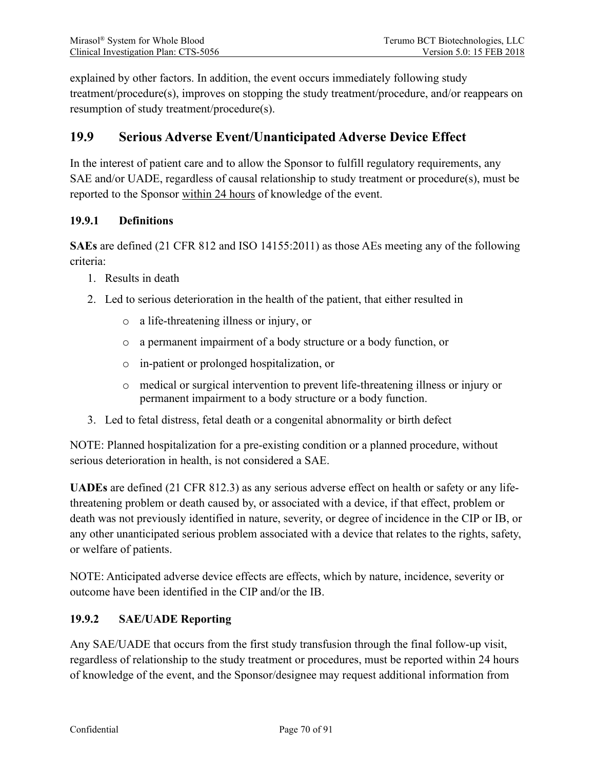explained by other factors. In addition, the event occurs immediately following study treatment/procedure(s), improves on stopping the study treatment/procedure, and/or reappears on resumption of study treatment/procedure(s).

# **19.9 Serious Adverse Event/Unanticipated Adverse Device Effect**

In the interest of patient care and to allow the Sponsor to fulfill regulatory requirements, any SAE and/or UADE, regardless of causal relationship to study treatment or procedure(s), must be reported to the Sponsor within 24 hours of knowledge of the event.

#### **19.9.1 Definitions**

**SAEs** are defined (21 CFR 812 and ISO 14155:2011) as those AEs meeting any of the following criteria:

- 1. Results in death
- 2. Led to serious deterioration in the health of the patient, that either resulted in
	- o a life-threatening illness or injury, or
	- o a permanent impairment of a body structure or a body function, or
	- o in-patient or prolonged hospitalization, or
	- o medical or surgical intervention to prevent life-threatening illness or injury or permanent impairment to a body structure or a body function.
- 3. Led to fetal distress, fetal death or a congenital abnormality or birth defect

NOTE: Planned hospitalization for a pre-existing condition or a planned procedure, without serious deterioration in health, is not considered a SAE.

**UADEs** are defined (21 CFR 812.3) as any serious adverse effect on health or safety or any lifethreatening problem or death caused by, or associated with a device, if that effect, problem or death was not previously identified in nature, severity, or degree of incidence in the CIP or IB, or any other unanticipated serious problem associated with a device that relates to the rights, safety, or welfare of patients.

NOTE: Anticipated adverse device effects are effects, which by nature, incidence, severity or outcome have been identified in the CIP and/or the IB.

#### **19.9.2 SAE/UADE Reporting**

Any SAE/UADE that occurs from the first study transfusion through the final follow-up visit, regardless of relationship to the study treatment or procedures, must be reported within 24 hours of knowledge of the event, and the Sponsor/designee may request additional information from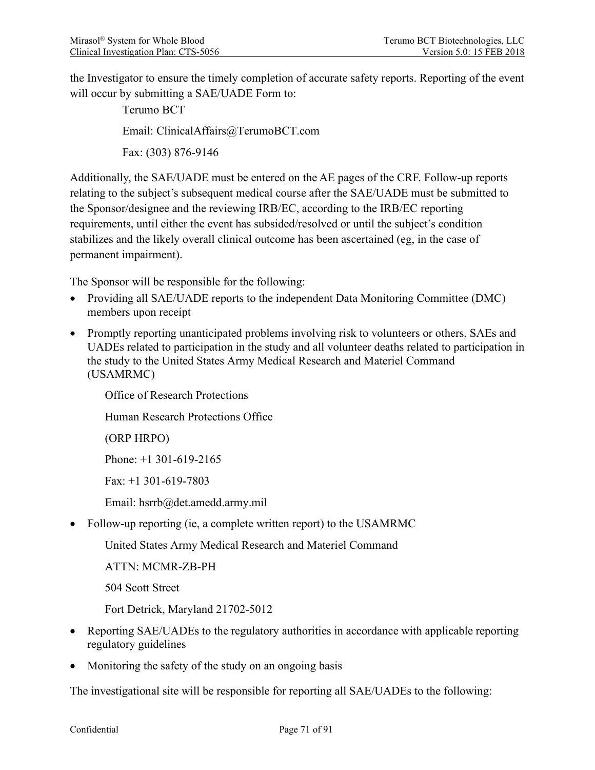the Investigator to ensure the timely completion of accurate safety reports. Reporting of the event will occur by submitting a SAE/UADE Form to:

> Terumo BCT Email: ClinicalAffairs@TerumoBCT.com Fax: (303) 876-9146

Additionally, the SAE/UADE must be entered on the AE pages of the CRF. Follow-up reports relating to the subject's subsequent medical course after the SAE/UADE must be submitted to the Sponsor/designee and the reviewing IRB/EC, according to the IRB/EC reporting requirements, until either the event has subsided/resolved or until the subject's condition stabilizes and the likely overall clinical outcome has been ascertained (eg, in the case of permanent impairment).

The Sponsor will be responsible for the following:

- Providing all SAE/UADE reports to the independent Data Monitoring Committee (DMC) members upon receipt
- Promptly reporting unanticipated problems involving risk to volunteers or others, SAEs and UADEs related to participation in the study and all volunteer deaths related to participation in the study to the United States Army Medical Research and Materiel Command (USAMRMC)

Office of Research Protections

Human Research Protections Office

(ORP HRPO)

Phone: +1 301-619-2165

Fax: +1 301-619-7803

Email: hsrrb@det.amedd.army.mil

• Follow-up reporting (ie, a complete written report) to the USAMRMC

United States Army Medical Research and Materiel Command

ATTN: MCMR-ZB-PH

504 Scott Street

Fort Detrick, Maryland 21702-5012

- Reporting SAE/UADEs to the regulatory authorities in accordance with applicable reporting regulatory guidelines
- Monitoring the safety of the study on an ongoing basis

The investigational site will be responsible for reporting all SAE/UADEs to the following: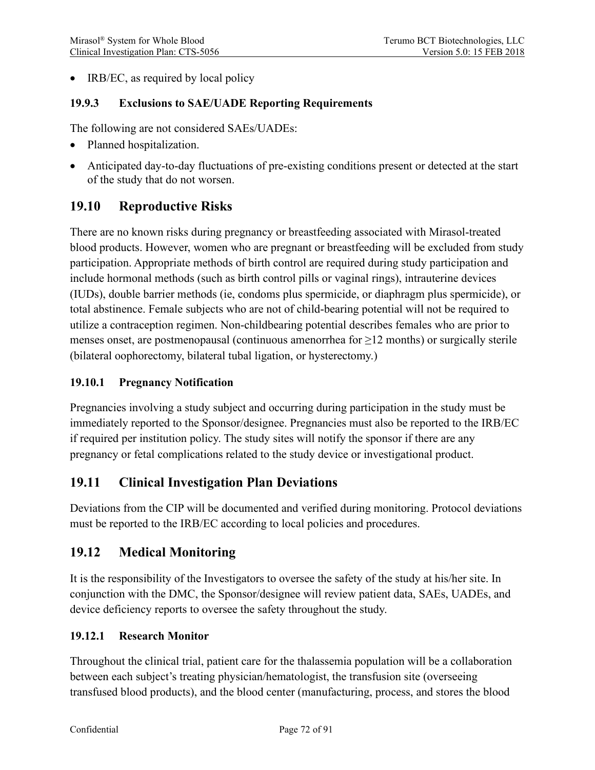• IRB/EC, as required by local policy

#### **19.9.3 Exclusions to SAE/UADE Reporting Requirements**

The following are not considered SAEs/UADEs:

- Planned hospitalization.
- Anticipated day-to-day fluctuations of pre-existing conditions present or detected at the start of the study that do not worsen.

# **19.10 Reproductive Risks**

There are no known risks during pregnancy or breastfeeding associated with Mirasol-treated blood products. However, women who are pregnant or breastfeeding will be excluded from study participation. Appropriate methods of birth control are required during study participation and include hormonal methods (such as birth control pills or vaginal rings), intrauterine devices (IUDs), double barrier methods (ie, condoms plus spermicide, or diaphragm plus spermicide), or total abstinence. Female subjects who are not of child-bearing potential will not be required to utilize a contraception regimen. Non-childbearing potential describes females who are prior to menses onset, are postmenopausal (continuous amenorrhea for  $\geq$ 12 months) or surgically sterile (bilateral oophorectomy, bilateral tubal ligation, or hysterectomy.)

### **19.10.1 Pregnancy Notification**

Pregnancies involving a study subject and occurring during participation in the study must be immediately reported to the Sponsor/designee. Pregnancies must also be reported to the IRB/EC if required per institution policy. The study sites will notify the sponsor if there are any pregnancy or fetal complications related to the study device or investigational product.

# **19.11 Clinical Investigation Plan Deviations**

Deviations from the CIP will be documented and verified during monitoring. Protocol deviations must be reported to the IRB/EC according to local policies and procedures.

# **19.12 Medical Monitoring**

It is the responsibility of the Investigators to oversee the safety of the study at his/her site. In conjunction with the DMC, the Sponsor/designee will review patient data, SAEs, UADEs, and device deficiency reports to oversee the safety throughout the study.

#### **19.12.1 Research Monitor**

Throughout the clinical trial, patient care for the thalassemia population will be a collaboration between each subject's treating physician/hematologist, the transfusion site (overseeing transfused blood products), and the blood center (manufacturing, process, and stores the blood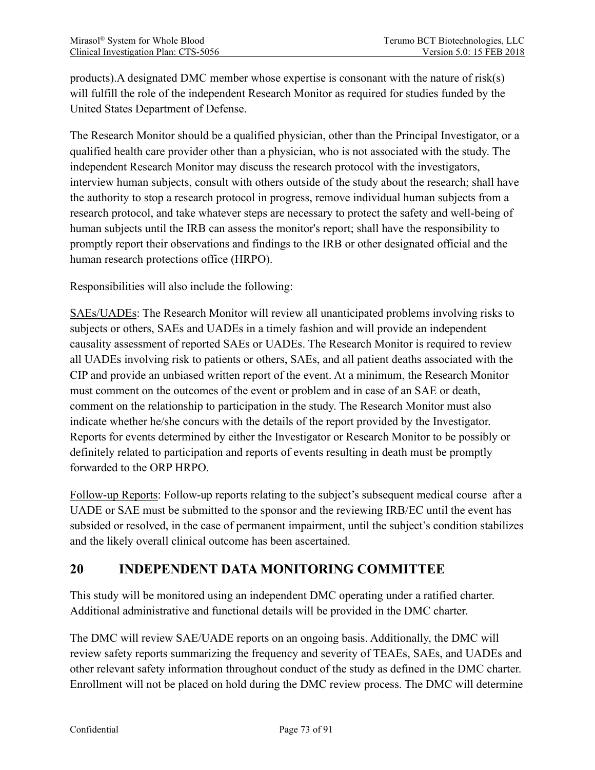products).A designated DMC member whose expertise is consonant with the nature of risk(s) will fulfill the role of the independent Research Monitor as required for studies funded by the United States Department of Defense.

The Research Monitor should be a qualified physician, other than the Principal Investigator, or a qualified health care provider other than a physician, who is not associated with the study. The independent Research Monitor may discuss the research protocol with the investigators, interview human subjects, consult with others outside of the study about the research; shall have the authority to stop a research protocol in progress, remove individual human subjects from a research protocol, and take whatever steps are necessary to protect the safety and well-being of human subjects until the IRB can assess the monitor's report; shall have the responsibility to promptly report their observations and findings to the IRB or other designated official and the human research protections office (HRPO).

Responsibilities will also include the following:

SAEs/UADEs: The Research Monitor will review all unanticipated problems involving risks to subjects or others, SAEs and UADEs in a timely fashion and will provide an independent causality assessment of reported SAEs or UADEs. The Research Monitor is required to review all UADEs involving risk to patients or others, SAEs, and all patient deaths associated with the CIP and provide an unbiased written report of the event. At a minimum, the Research Monitor must comment on the outcomes of the event or problem and in case of an SAE or death, comment on the relationship to participation in the study. The Research Monitor must also indicate whether he/she concurs with the details of the report provided by the Investigator. Reports for events determined by either the Investigator or Research Monitor to be possibly or definitely related to participation and reports of events resulting in death must be promptly forwarded to the ORP HRPO.

Follow-up Reports: Follow-up reports relating to the subject's subsequent medical course after a UADE or SAE must be submitted to the sponsor and the reviewing IRB/EC until the event has subsided or resolved, in the case of permanent impairment, until the subject's condition stabilizes and the likely overall clinical outcome has been ascertained.

# **20 INDEPENDENT DATA MONITORING COMMITTEE**

This study will be monitored using an independent DMC operating under a ratified charter. Additional administrative and functional details will be provided in the DMC charter.

The DMC will review SAE/UADE reports on an ongoing basis. Additionally, the DMC will review safety reports summarizing the frequency and severity of TEAEs, SAEs, and UADEs and other relevant safety information throughout conduct of the study as defined in the DMC charter. Enrollment will not be placed on hold during the DMC review process. The DMC will determine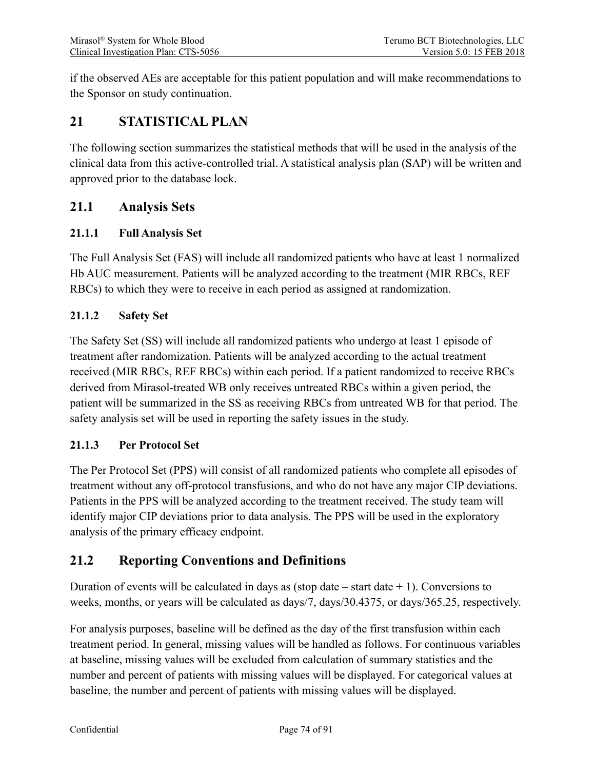if the observed AEs are acceptable for this patient population and will make recommendations to the Sponsor on study continuation.

# **21 STATISTICAL PLAN**

The following section summarizes the statistical methods that will be used in the analysis of the clinical data from this active-controlled trial. A statistical analysis plan (SAP) will be written and approved prior to the database lock.

# **21.1 Analysis Sets**

## **21.1.1 Full Analysis Set**

The Full Analysis Set (FAS) will include all randomized patients who have at least 1 normalized Hb AUC measurement. Patients will be analyzed according to the treatment (MIR RBCs, REF RBCs) to which they were to receive in each period as assigned at randomization.

## **21.1.2 Safety Set**

The Safety Set (SS) will include all randomized patients who undergo at least 1 episode of treatment after randomization. Patients will be analyzed according to the actual treatment received (MIR RBCs, REF RBCs) within each period. If a patient randomized to receive RBCs derived from Mirasol-treated WB only receives untreated RBCs within a given period, the patient will be summarized in the SS as receiving RBCs from untreated WB for that period. The safety analysis set will be used in reporting the safety issues in the study.

## **21.1.3 Per Protocol Set**

The Per Protocol Set (PPS) will consist of all randomized patients who complete all episodes of treatment without any off-protocol transfusions, and who do not have any major CIP deviations. Patients in the PPS will be analyzed according to the treatment received. The study team will identify major CIP deviations prior to data analysis. The PPS will be used in the exploratory analysis of the primary efficacy endpoint.

# **21.2 Reporting Conventions and Definitions**

Duration of events will be calculated in days as (stop date  $-$  start date  $+$  1). Conversions to weeks, months, or years will be calculated as days/7, days/30.4375, or days/365.25, respectively.

For analysis purposes, baseline will be defined as the day of the first transfusion within each treatment period. In general, missing values will be handled as follows. For continuous variables at baseline, missing values will be excluded from calculation of summary statistics and the number and percent of patients with missing values will be displayed. For categorical values at baseline, the number and percent of patients with missing values will be displayed.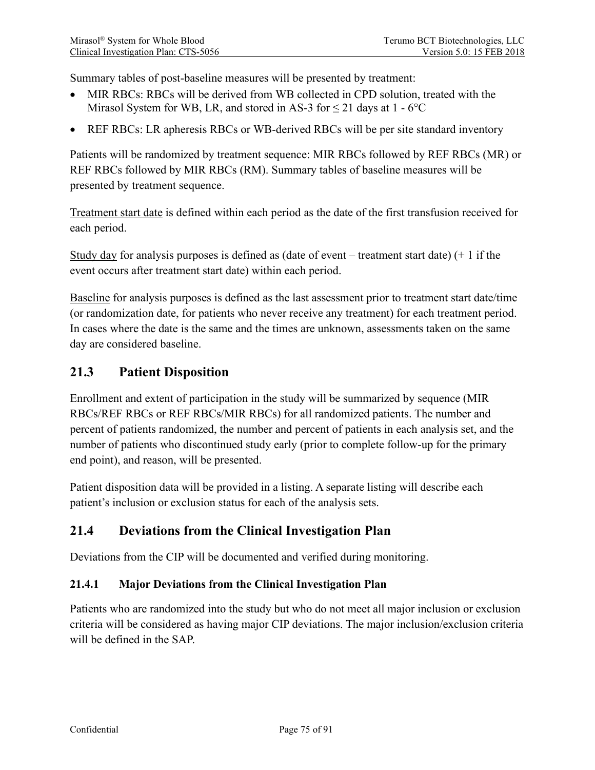Summary tables of post-baseline measures will be presented by treatment:

- MIR RBCs: RBCs will be derived from WB collected in CPD solution, treated with the Mirasol System for WB, LR, and stored in AS-3 for  $\leq$  21 days at 1 - 6<sup>o</sup>C
- REF RBCs: LR apheresis RBCs or WB-derived RBCs will be per site standard inventory

Patients will be randomized by treatment sequence: MIR RBCs followed by REF RBCs (MR) or REF RBCs followed by MIR RBCs (RM). Summary tables of baseline measures will be presented by treatment sequence.

Treatment start date is defined within each period as the date of the first transfusion received for each period.

Study day for analysis purposes is defined as (date of event – treatment start date)  $(+ 1)$  if the event occurs after treatment start date) within each period.

Baseline for analysis purposes is defined as the last assessment prior to treatment start date/time (or randomization date, for patients who never receive any treatment) for each treatment period. In cases where the date is the same and the times are unknown, assessments taken on the same day are considered baseline.

## **21.3 Patient Disposition**

Enrollment and extent of participation in the study will be summarized by sequence (MIR RBCs/REF RBCs or REF RBCs/MIR RBCs) for all randomized patients. The number and percent of patients randomized, the number and percent of patients in each analysis set, and the number of patients who discontinued study early (prior to complete follow-up for the primary end point), and reason, will be presented.

Patient disposition data will be provided in a listing. A separate listing will describe each patient's inclusion or exclusion status for each of the analysis sets.

## **21.4 Deviations from the Clinical Investigation Plan**

Deviations from the CIP will be documented and verified during monitoring.

#### **21.4.1 Major Deviations from the Clinical Investigation Plan**

Patients who are randomized into the study but who do not meet all major inclusion or exclusion criteria will be considered as having major CIP deviations. The major inclusion/exclusion criteria will be defined in the SAP.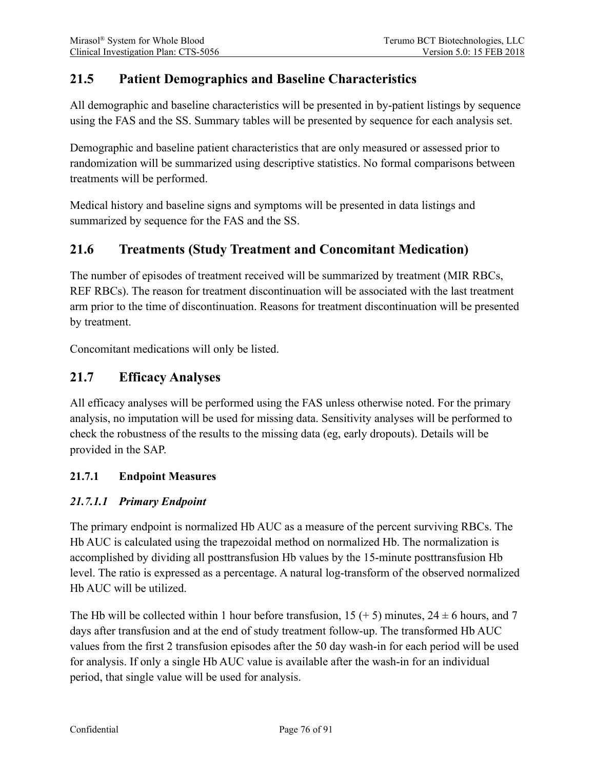# **21.5 Patient Demographics and Baseline Characteristics**

All demographic and baseline characteristics will be presented in by-patient listings by sequence using the FAS and the SS. Summary tables will be presented by sequence for each analysis set.

Demographic and baseline patient characteristics that are only measured or assessed prior to randomization will be summarized using descriptive statistics. No formal comparisons between treatments will be performed.

Medical history and baseline signs and symptoms will be presented in data listings and summarized by sequence for the FAS and the SS.

## **21.6 Treatments (Study Treatment and Concomitant Medication)**

The number of episodes of treatment received will be summarized by treatment (MIR RBCs, REF RBCs). The reason for treatment discontinuation will be associated with the last treatment arm prior to the time of discontinuation. Reasons for treatment discontinuation will be presented by treatment.

Concomitant medications will only be listed.

## **21.7 Efficacy Analyses**

All efficacy analyses will be performed using the FAS unless otherwise noted. For the primary analysis, no imputation will be used for missing data. Sensitivity analyses will be performed to check the robustness of the results to the missing data (eg, early dropouts). Details will be provided in the SAP.

#### **21.7.1 Endpoint Measures**

#### *21.7.1.1 Primary Endpoint*

The primary endpoint is normalized Hb AUC as a measure of the percent surviving RBCs. The Hb AUC is calculated using the trapezoidal method on normalized Hb. The normalization is accomplished by dividing all posttransfusion Hb values by the 15-minute posttransfusion Hb level. The ratio is expressed as a percentage. A natural log-transform of the observed normalized Hb AUC will be utilized.

The Hb will be collected within 1 hour before transfusion,  $15 (+ 5)$  minutes,  $24 \pm 6$  hours, and 7 days after transfusion and at the end of study treatment follow-up. The transformed Hb AUC values from the first 2 transfusion episodes after the 50 day wash-in for each period will be used for analysis. If only a single Hb AUC value is available after the wash-in for an individual period, that single value will be used for analysis.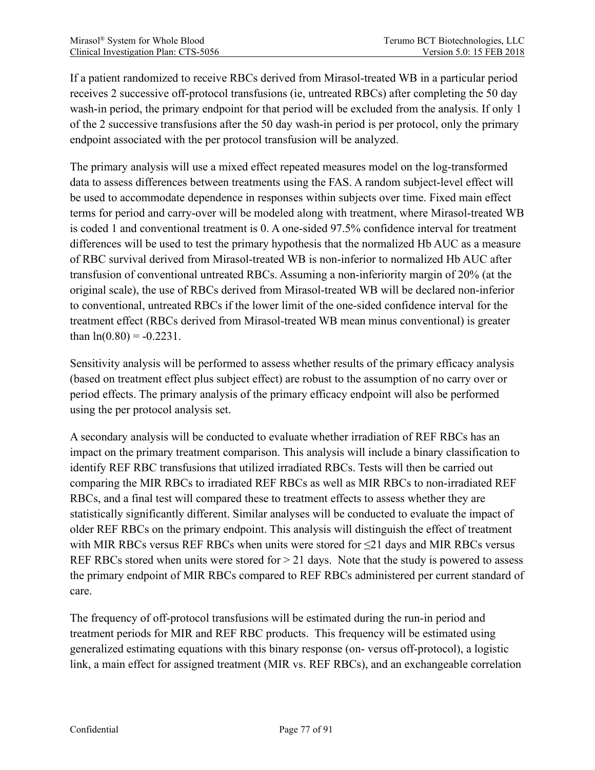If a patient randomized to receive RBCs derived from Mirasol-treated WB in a particular period receives 2 successive off-protocol transfusions (ie, untreated RBCs) after completing the 50 day wash-in period, the primary endpoint for that period will be excluded from the analysis. If only 1 of the 2 successive transfusions after the 50 day wash-in period is per protocol, only the primary endpoint associated with the per protocol transfusion will be analyzed.

The primary analysis will use a mixed effect repeated measures model on the log-transformed data to assess differences between treatments using the FAS. A random subject-level effect will be used to accommodate dependence in responses within subjects over time. Fixed main effect terms for period and carry-over will be modeled along with treatment, where Mirasol-treated WB is coded 1 and conventional treatment is 0. A one-sided 97.5% confidence interval for treatment differences will be used to test the primary hypothesis that the normalized Hb AUC as a measure of RBC survival derived from Mirasol-treated WB is non-inferior to normalized Hb AUC after transfusion of conventional untreated RBCs. Assuming a non-inferiority margin of 20% (at the original scale), the use of RBCs derived from Mirasol-treated WB will be declared non-inferior to conventional, untreated RBCs if the lower limit of the one-sided confidence interval for the treatment effect (RBCs derived from Mirasol-treated WB mean minus conventional) is greater than  $ln(0.80) = -0.2231$ .

Sensitivity analysis will be performed to assess whether results of the primary efficacy analysis (based on treatment effect plus subject effect) are robust to the assumption of no carry over or period effects. The primary analysis of the primary efficacy endpoint will also be performed using the per protocol analysis set.

A secondary analysis will be conducted to evaluate whether irradiation of REF RBCs has an impact on the primary treatment comparison. This analysis will include a binary classification to identify REF RBC transfusions that utilized irradiated RBCs. Tests will then be carried out comparing the MIR RBCs to irradiated REF RBCs as well as MIR RBCs to non-irradiated REF RBCs, and a final test will compared these to treatment effects to assess whether they are statistically significantly different. Similar analyses will be conducted to evaluate the impact of older REF RBCs on the primary endpoint. This analysis will distinguish the effect of treatment with MIR RBCs versus REF RBCs when units were stored for  $\leq$ 21 days and MIR RBCs versus REF RBCs stored when units were stored for  $> 21$  days. Note that the study is powered to assess the primary endpoint of MIR RBCs compared to REF RBCs administered per current standard of care.

The frequency of off-protocol transfusions will be estimated during the run-in period and treatment periods for MIR and REF RBC products. This frequency will be estimated using generalized estimating equations with this binary response (on- versus off-protocol), a logistic link, a main effect for assigned treatment (MIR vs. REF RBCs), and an exchangeable correlation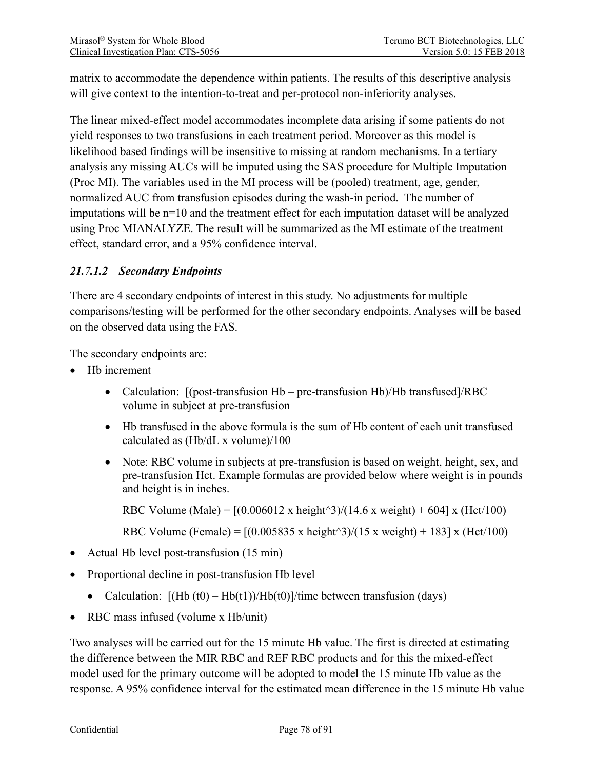matrix to accommodate the dependence within patients. The results of this descriptive analysis will give context to the intention-to-treat and per-protocol non-inferiority analyses.

The linear mixed-effect model accommodates incomplete data arising if some patients do not yield responses to two transfusions in each treatment period. Moreover as this model is likelihood based findings will be insensitive to missing at random mechanisms. In a tertiary analysis any missing AUCs will be imputed using the SAS procedure for Multiple Imputation (Proc MI). The variables used in the MI process will be (pooled) treatment, age, gender, normalized AUC from transfusion episodes during the wash-in period. The number of imputations will be n=10 and the treatment effect for each imputation dataset will be analyzed using Proc MIANALYZE. The result will be summarized as the MI estimate of the treatment effect, standard error, and a 95% confidence interval.

## *21.7.1.2 Secondary Endpoints*

There are 4 secondary endpoints of interest in this study. No adjustments for multiple comparisons/testing will be performed for the other secondary endpoints. Analyses will be based on the observed data using the FAS.

The secondary endpoints are:

- Hb increment
	- Calculation: [(post-transfusion Hb pre-transfusion Hb)/Hb transfused]/RBC volume in subject at pre-transfusion
	- Hb transfused in the above formula is the sum of Hb content of each unit transfused calculated as (Hb/dL x volume)/100
	- Note: RBC volume in subjects at pre-transfusion is based on weight, height, sex, and pre-transfusion Hct. Example formulas are provided below where weight is in pounds and height is in inches.

RBC Volume (Male) =  $[(0.006012 \times \text{height}^3)/(14.6 \times \text{weight}) + 604] \times (Het/100)$ 

RBC Volume (Female) =  $[(0.005835 \times \text{height}^3)/(15 \times \text{weight}) + 183] \times (Het/100)$ 

- Actual Hb level post-transfusion (15 min)
- Proportional decline in post-transfusion Hb level
	- Calculation:  $[(Hb (t0) Hb(t)) / Hb(t0)]/time$  between transfusion (days)
- RBC mass infused (volume x Hb/unit)

Two analyses will be carried out for the 15 minute Hb value. The first is directed at estimating the difference between the MIR RBC and REF RBC products and for this the mixed-effect model used for the primary outcome will be adopted to model the 15 minute Hb value as the response. A 95% confidence interval for the estimated mean difference in the 15 minute Hb value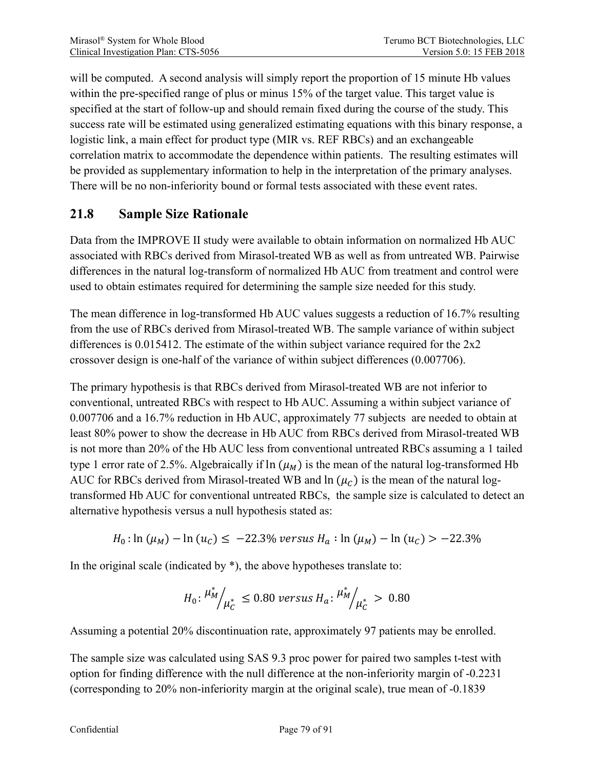will be computed. A second analysis will simply report the proportion of 15 minute Hb values within the pre-specified range of plus or minus 15% of the target value. This target value is specified at the start of follow-up and should remain fixed during the course of the study. This success rate will be estimated using generalized estimating equations with this binary response, a logistic link, a main effect for product type (MIR vs. REF RBCs) and an exchangeable correlation matrix to accommodate the dependence within patients. The resulting estimates will be provided as supplementary information to help in the interpretation of the primary analyses. There will be no non-inferiority bound or formal tests associated with these event rates.

# **21.8 Sample Size Rationale**

Data from the IMPROVE II study were available to obtain information on normalized Hb AUC associated with RBCs derived from Mirasol-treated WB as well as from untreated WB. Pairwise differences in the natural log-transform of normalized Hb AUC from treatment and control were used to obtain estimates required for determining the sample size needed for this study.

The mean difference in log-transformed Hb AUC values suggests a reduction of 16.7% resulting from the use of RBCs derived from Mirasol-treated WB. The sample variance of within subject differences is 0.015412. The estimate of the within subject variance required for the 2x2 crossover design is one-half of the variance of within subject differences (0.007706).

The primary hypothesis is that RBCs derived from Mirasol-treated WB are not inferior to conventional, untreated RBCs with respect to Hb AUC. Assuming a within subject variance of 0.007706 and a 16.7% reduction in Hb AUC, approximately 77 subjects are needed to obtain at least 80% power to show the decrease in Hb AUC from RBCs derived from Mirasol-treated WB is not more than 20% of the Hb AUC less from conventional untreated RBCs assuming a 1 tailed type 1 error rate of 2.5%. Algebraically if  $\ln(\mu_M)$  is the mean of the natural log-transformed Hb AUC for RBCs derived from Mirasol-treated WB and  $\ln(\mu_C)$  is the mean of the natural logtransformed Hb AUC for conventional untreated RBCs, the sample size is calculated to detect an alternative hypothesis versus a null hypothesis stated as:

$$
H_0: \ln (\mu_M) - \ln (u_C) \le -22.3\% \text{ versus } H_a: \ln (\mu_M) - \ln (u_C) > -22.3\%
$$

In the original scale (indicated by  $*$ ), the above hypotheses translate to:

$$
H_0: \frac{\mu_M^*}{\mu_C^*} \le 0.80 \text{ versus } H_a: \frac{\mu_M^*}{\mu_C^*} > 0.80
$$

Assuming a potential 20% discontinuation rate, approximately 97 patients may be enrolled.

The sample size was calculated using SAS 9.3 proc power for paired two samples t-test with option for finding difference with the null difference at the non-inferiority margin of -0.2231 (corresponding to 20% non-inferiority margin at the original scale), true mean of -0.1839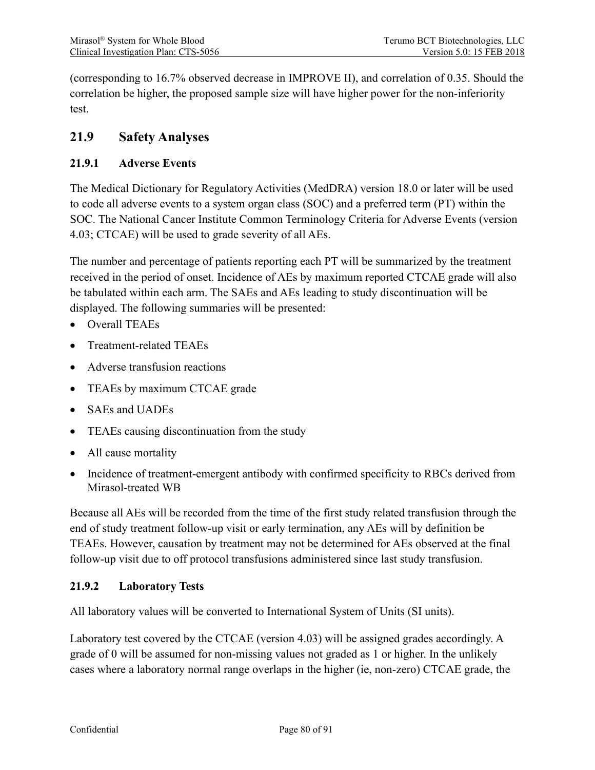(corresponding to 16.7% observed decrease in IMPROVE II), and correlation of 0.35. Should the correlation be higher, the proposed sample size will have higher power for the non-inferiority test.

# **21.9 Safety Analyses**

### **21.9.1 Adverse Events**

The Medical Dictionary for Regulatory Activities (MedDRA) version 18.0 or later will be used to code all adverse events to a system organ class (SOC) and a preferred term (PT) within the SOC. The National Cancer Institute Common Terminology Criteria for Adverse Events (version 4.03; CTCAE) will be used to grade severity of all AEs.

The number and percentage of patients reporting each PT will be summarized by the treatment received in the period of onset. Incidence of AEs by maximum reported CTCAE grade will also be tabulated within each arm. The SAEs and AEs leading to study discontinuation will be displayed. The following summaries will be presented:

- Overall TEAEs
- Treatment-related TEAEs
- Adverse transfusion reactions
- TEAEs by maximum CTCAE grade
- SAEs and UADEs
- TEAEs causing discontinuation from the study
- All cause mortality
- Incidence of treatment-emergent antibody with confirmed specificity to RBCs derived from Mirasol-treated WB

Because all AEs will be recorded from the time of the first study related transfusion through the end of study treatment follow-up visit or early termination, any AEs will by definition be TEAEs. However, causation by treatment may not be determined for AEs observed at the final follow-up visit due to off protocol transfusions administered since last study transfusion.

#### **21.9.2 Laboratory Tests**

All laboratory values will be converted to International System of Units (SI units).

Laboratory test covered by the CTCAE (version 4.03) will be assigned grades accordingly. A grade of 0 will be assumed for non-missing values not graded as 1 or higher. In the unlikely cases where a laboratory normal range overlaps in the higher (ie, non-zero) CTCAE grade, the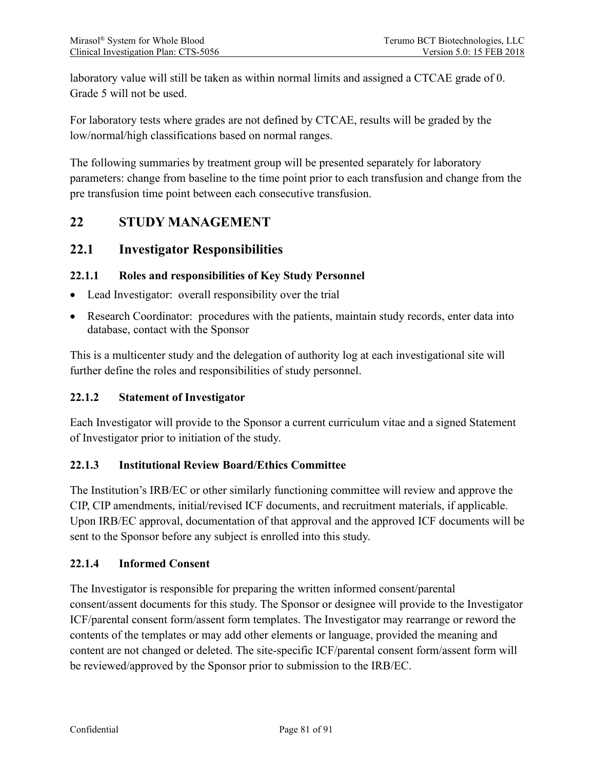laboratory value will still be taken as within normal limits and assigned a CTCAE grade of 0. Grade 5 will not be used.

For laboratory tests where grades are not defined by CTCAE, results will be graded by the low/normal/high classifications based on normal ranges.

The following summaries by treatment group will be presented separately for laboratory parameters: change from baseline to the time point prior to each transfusion and change from the pre transfusion time point between each consecutive transfusion.

## **22 STUDY MANAGEMENT**

## **22.1 Investigator Responsibilities**

#### **22.1.1 Roles and responsibilities of Key Study Personnel**

- Lead Investigator: overall responsibility over the trial
- Research Coordinator: procedures with the patients, maintain study records, enter data into database, contact with the Sponsor

This is a multicenter study and the delegation of authority log at each investigational site will further define the roles and responsibilities of study personnel.

#### **22.1.2 Statement of Investigator**

Each Investigator will provide to the Sponsor a current curriculum vitae and a signed Statement of Investigator prior to initiation of the study.

#### **22.1.3 Institutional Review Board/Ethics Committee**

The Institution's IRB/EC or other similarly functioning committee will review and approve the CIP, CIP amendments, initial/revised ICF documents, and recruitment materials, if applicable. Upon IRB/EC approval, documentation of that approval and the approved ICF documents will be sent to the Sponsor before any subject is enrolled into this study.

#### **22.1.4 Informed Consent**

The Investigator is responsible for preparing the written informed consent/parental consent/assent documents for this study. The Sponsor or designee will provide to the Investigator ICF/parental consent form/assent form templates. The Investigator may rearrange or reword the contents of the templates or may add other elements or language, provided the meaning and content are not changed or deleted. The site-specific ICF/parental consent form/assent form will be reviewed/approved by the Sponsor prior to submission to the IRB/EC.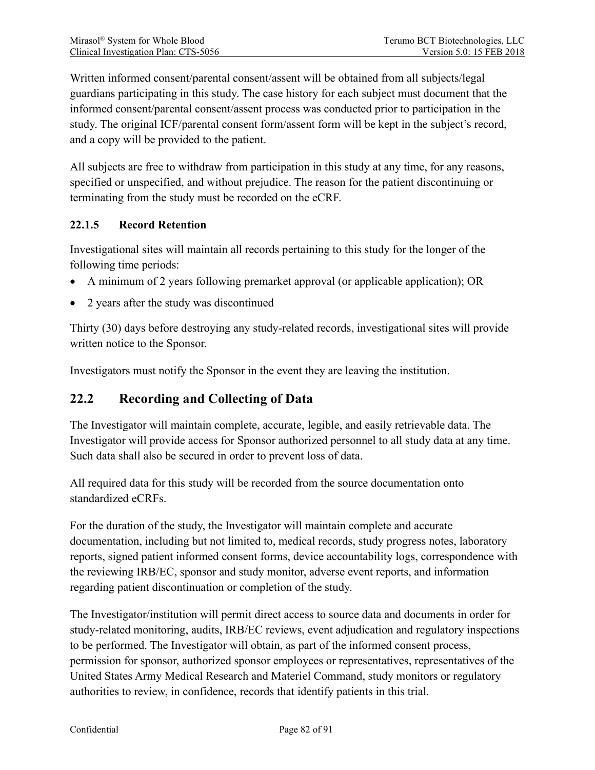Written informed consent/parental consent/assent will be obtained from all subjects/legal guardians participating in this study. The case history for each subject must document that the informed consent/parental consent/assent process was conducted prior to participation in the study. The original ICF/parental consent form/assent form will be kept in the subject's record, and a copy will be provided to the patient.

All subjects are free to withdraw from participation in this study at any time, for any reasons, specified or unspecified, and without prejudice. The reason for the patient discontinuing or terminating from the study must be recorded on the eCRF.

## **22.1.5 Record Retention**

Investigational sites will maintain all records pertaining to this study for the longer of the following time periods:

- A minimum of 2 years following premarket approval (or applicable application); OR
- 2 years after the study was discontinued

Thirty (30) days before destroying any study-related records, investigational sites will provide written notice to the Sponsor.

Investigators must notify the Sponsor in the event they are leaving the institution.

## **22.2 Recording and Collecting of Data**

The Investigator will maintain complete, accurate, legible, and easily retrievable data. The Investigator will provide access for Sponsor authorized personnel to all study data at any time. Such data shall also be secured in order to prevent loss of data.

All required data for this study will be recorded from the source documentation onto standardized eCRFs.

For the duration of the study, the Investigator will maintain complete and accurate documentation, including but not limited to, medical records, study progress notes, laboratory reports, signed patient informed consent forms, device accountability logs, correspondence with the reviewing IRB/EC, sponsor and study monitor, adverse event reports, and information regarding patient discontinuation or completion of the study.

The Investigator/institution will permit direct access to source data and documents in order for study-related monitoring, audits, IRB/EC reviews, event adjudication and regulatory inspections to be performed. The Investigator will obtain, as part of the informed consent process, permission for sponsor, authorized sponsor employees or representatives, representatives of the United States Army Medical Research and Materiel Command, study monitors or regulatory authorities to review, in confidence, records that identify patients in this trial.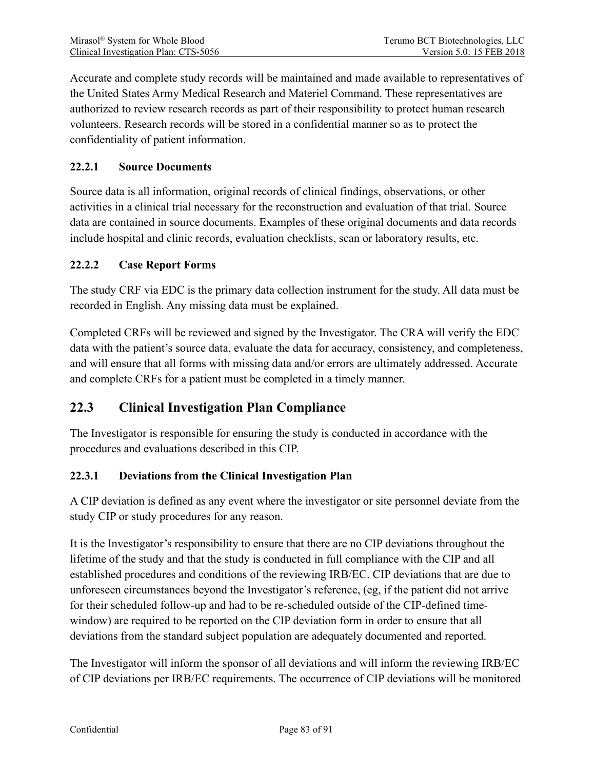Accurate and complete study records will be maintained and made available to representatives of the United States Army Medical Research and Materiel Command. These representatives are authorized to review research records as part of their responsibility to protect human research volunteers. Research records will be stored in a confidential manner so as to protect the confidentiality of patient information.

#### **22.2.1 Source Documents**

Source data is all information, original records of clinical findings, observations, or other activities in a clinical trial necessary for the reconstruction and evaluation of that trial. Source data are contained in source documents. Examples of these original documents and data records include hospital and clinic records, evaluation checklists, scan or laboratory results, etc.

#### **22.2.2 Case Report Forms**

The study CRF via EDC is the primary data collection instrument for the study. All data must be recorded in English. Any missing data must be explained.

Completed CRFs will be reviewed and signed by the Investigator. The CRA will verify the EDC data with the patient's source data, evaluate the data for accuracy, consistency, and completeness, and will ensure that all forms with missing data and/or errors are ultimately addressed. Accurate and complete CRFs for a patient must be completed in a timely manner.

# **22.3 Clinical Investigation Plan Compliance**

The Investigator is responsible for ensuring the study is conducted in accordance with the procedures and evaluations described in this CIP.

#### **22.3.1 Deviations from the Clinical Investigation Plan**

A CIP deviation is defined as any event where the investigator or site personnel deviate from the study CIP or study procedures for any reason.

It is the Investigator's responsibility to ensure that there are no CIP deviations throughout the lifetime of the study and that the study is conducted in full compliance with the CIP and all established procedures and conditions of the reviewing IRB/EC. CIP deviations that are due to unforeseen circumstances beyond the Investigator's reference, (eg, if the patient did not arrive for their scheduled follow-up and had to be re-scheduled outside of the CIP-defined timewindow) are required to be reported on the CIP deviation form in order to ensure that all deviations from the standard subject population are adequately documented and reported.

The Investigator will inform the sponsor of all deviations and will inform the reviewing IRB/EC of CIP deviations per IRB/EC requirements. The occurrence of CIP deviations will be monitored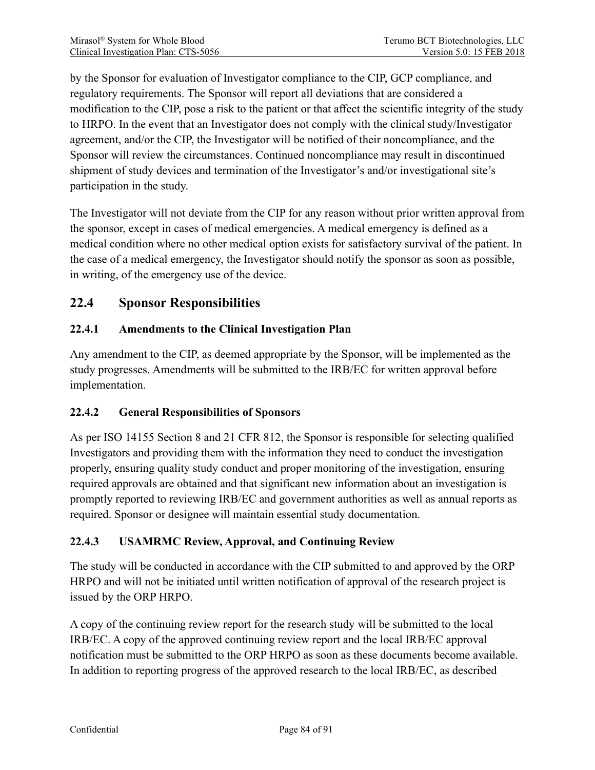by the Sponsor for evaluation of Investigator compliance to the CIP, GCP compliance, and regulatory requirements. The Sponsor will report all deviations that are considered a modification to the CIP, pose a risk to the patient or that affect the scientific integrity of the study to HRPO. In the event that an Investigator does not comply with the clinical study/Investigator agreement, and/or the CIP, the Investigator will be notified of their noncompliance, and the Sponsor will review the circumstances. Continued noncompliance may result in discontinued shipment of study devices and termination of the Investigator's and/or investigational site's participation in the study.

The Investigator will not deviate from the CIP for any reason without prior written approval from the sponsor, except in cases of medical emergencies. A medical emergency is defined as a medical condition where no other medical option exists for satisfactory survival of the patient. In the case of a medical emergency, the Investigator should notify the sponsor as soon as possible, in writing, of the emergency use of the device.

# **22.4 Sponsor Responsibilities**

## **22.4.1 Amendments to the Clinical Investigation Plan**

Any amendment to the CIP, as deemed appropriate by the Sponsor, will be implemented as the study progresses. Amendments will be submitted to the IRB/EC for written approval before implementation.

#### **22.4.2 General Responsibilities of Sponsors**

As per ISO 14155 Section 8 and 21 CFR 812, the Sponsor is responsible for selecting qualified Investigators and providing them with the information they need to conduct the investigation properly, ensuring quality study conduct and proper monitoring of the investigation, ensuring required approvals are obtained and that significant new information about an investigation is promptly reported to reviewing IRB/EC and government authorities as well as annual reports as required. Sponsor or designee will maintain essential study documentation.

#### **22.4.3 USAMRMC Review, Approval, and Continuing Review**

The study will be conducted in accordance with the CIP submitted to and approved by the ORP HRPO and will not be initiated until written notification of approval of the research project is issued by the ORP HRPO.

A copy of the continuing review report for the research study will be submitted to the local IRB/EC. A copy of the approved continuing review report and the local IRB/EC approval notification must be submitted to the ORP HRPO as soon as these documents become available. In addition to reporting progress of the approved research to the local IRB/EC, as described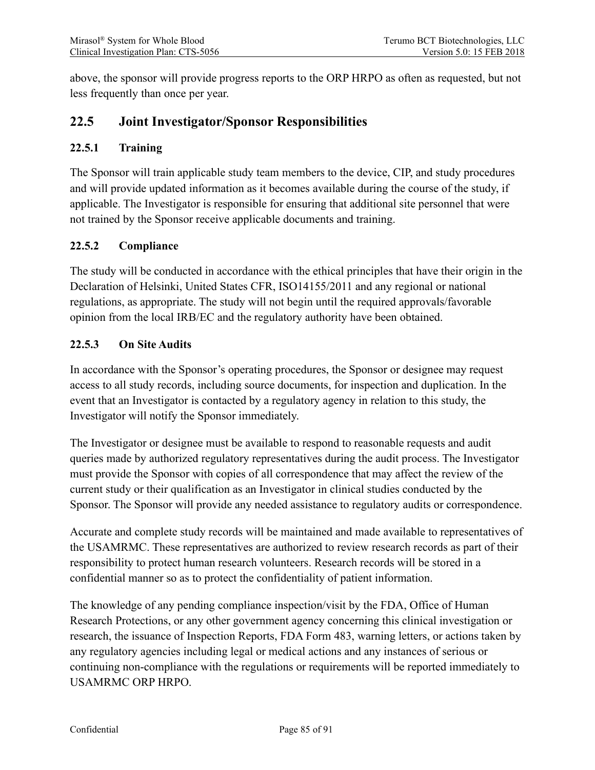above, the sponsor will provide progress reports to the ORP HRPO as often as requested, but not less frequently than once per year.

# **22.5 Joint Investigator/Sponsor Responsibilities**

#### **22.5.1 Training**

The Sponsor will train applicable study team members to the device, CIP, and study procedures and will provide updated information as it becomes available during the course of the study, if applicable. The Investigator is responsible for ensuring that additional site personnel that were not trained by the Sponsor receive applicable documents and training.

#### **22.5.2 Compliance**

The study will be conducted in accordance with the ethical principles that have their origin in the Declaration of Helsinki, United States CFR, ISO14155/2011 and any regional or national regulations, as appropriate. The study will not begin until the required approvals/favorable opinion from the local IRB/EC and the regulatory authority have been obtained.

### **22.5.3 On Site Audits**

In accordance with the Sponsor's operating procedures, the Sponsor or designee may request access to all study records, including source documents, for inspection and duplication. In the event that an Investigator is contacted by a regulatory agency in relation to this study, the Investigator will notify the Sponsor immediately.

The Investigator or designee must be available to respond to reasonable requests and audit queries made by authorized regulatory representatives during the audit process. The Investigator must provide the Sponsor with copies of all correspondence that may affect the review of the current study or their qualification as an Investigator in clinical studies conducted by the Sponsor. The Sponsor will provide any needed assistance to regulatory audits or correspondence.

Accurate and complete study records will be maintained and made available to representatives of the USAMRMC. These representatives are authorized to review research records as part of their responsibility to protect human research volunteers. Research records will be stored in a confidential manner so as to protect the confidentiality of patient information.

The knowledge of any pending compliance inspection/visit by the FDA, Office of Human Research Protections, or any other government agency concerning this clinical investigation or research, the issuance of Inspection Reports, FDA Form 483, warning letters, or actions taken by any regulatory agencies including legal or medical actions and any instances of serious or continuing non-compliance with the regulations or requirements will be reported immediately to USAMRMC ORP HRPO.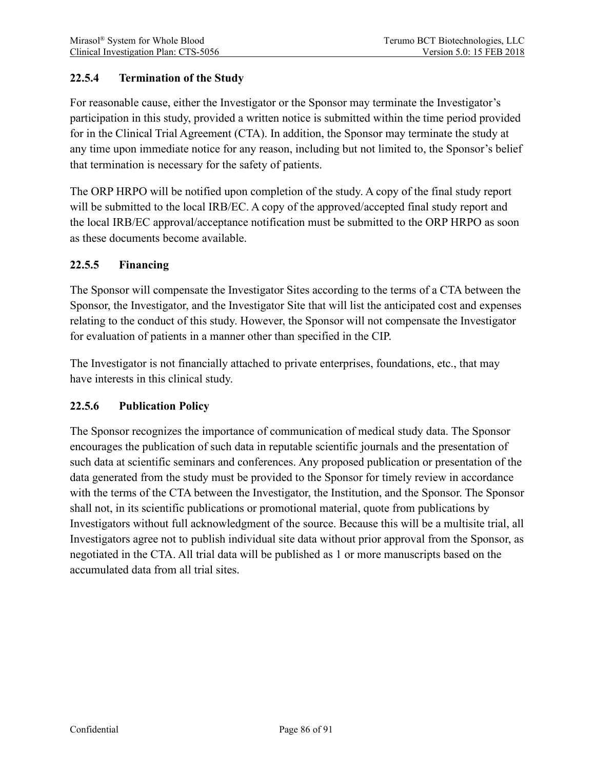### **22.5.4 Termination of the Study**

For reasonable cause, either the Investigator or the Sponsor may terminate the Investigator's participation in this study, provided a written notice is submitted within the time period provided for in the Clinical Trial Agreement (CTA). In addition, the Sponsor may terminate the study at any time upon immediate notice for any reason, including but not limited to, the Sponsor's belief that termination is necessary for the safety of patients.

The ORP HRPO will be notified upon completion of the study. A copy of the final study report will be submitted to the local IRB/EC. A copy of the approved/accepted final study report and the local IRB/EC approval/acceptance notification must be submitted to the ORP HRPO as soon as these documents become available.

#### **22.5.5 Financing**

The Sponsor will compensate the Investigator Sites according to the terms of a CTA between the Sponsor, the Investigator, and the Investigator Site that will list the anticipated cost and expenses relating to the conduct of this study. However, the Sponsor will not compensate the Investigator for evaluation of patients in a manner other than specified in the CIP.

The Investigator is not financially attached to private enterprises, foundations, etc., that may have interests in this clinical study.

#### **22.5.6 Publication Policy**

The Sponsor recognizes the importance of communication of medical study data. The Sponsor encourages the publication of such data in reputable scientific journals and the presentation of such data at scientific seminars and conferences. Any proposed publication or presentation of the data generated from the study must be provided to the Sponsor for timely review in accordance with the terms of the CTA between the Investigator, the Institution, and the Sponsor. The Sponsor shall not, in its scientific publications or promotional material, quote from publications by Investigators without full acknowledgment of the source. Because this will be a multisite trial, all Investigators agree not to publish individual site data without prior approval from the Sponsor, as negotiated in the CTA. All trial data will be published as 1 or more manuscripts based on the accumulated data from all trial sites.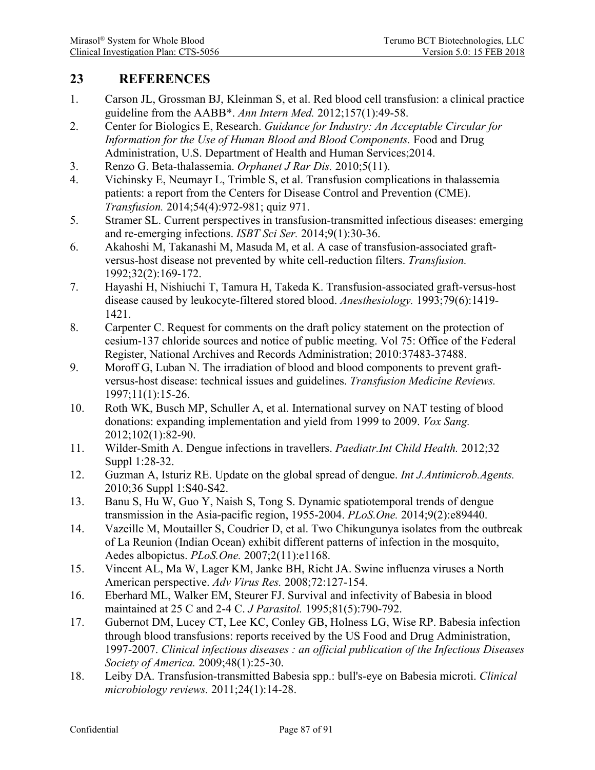# **23 REFERENCES**

- 1. Carson JL, Grossman BJ, Kleinman S, et al. Red blood cell transfusion: a clinical practice guideline from the AABB\*. *Ann Intern Med.* 2012;157(1):49-58.
- 2. Center for Biologics E, Research. *Guidance for Industry: An Acceptable Circular for Information for the Use of Human Blood and Blood Components.* Food and Drug Administration, U.S. Department of Health and Human Services;2014.
- 3. Renzo G. Beta-thalassemia. *Orphanet J Rar Dis.* 2010;5(11).
- 4. Vichinsky E, Neumayr L, Trimble S, et al. Transfusion complications in thalassemia patients: a report from the Centers for Disease Control and Prevention (CME). *Transfusion.* 2014;54(4):972-981; quiz 971.
- 5. Stramer SL. Current perspectives in transfusion-transmitted infectious diseases: emerging and re-emerging infections. *ISBT Sci Ser.* 2014;9(1):30-36.
- 6. Akahoshi M, Takanashi M, Masuda M, et al. A case of transfusion-associated graftversus-host disease not prevented by white cell-reduction filters. *Transfusion.*  1992;32(2):169-172.
- 7. Hayashi H, Nishiuchi T, Tamura H, Takeda K. Transfusion-associated graft-versus-host disease caused by leukocyte-filtered stored blood. *Anesthesiology.* 1993;79(6):1419- 1421.
- 8. Carpenter C. Request for comments on the draft policy statement on the protection of cesium-137 chloride sources and notice of public meeting. Vol 75: Office of the Federal Register, National Archives and Records Administration; 2010:37483-37488.
- 9. Moroff G, Luban N. The irradiation of blood and blood components to prevent graftversus-host disease: technical issues and guidelines. *Transfusion Medicine Reviews.*  1997;11(1):15-26.
- 10. Roth WK, Busch MP, Schuller A, et al. International survey on NAT testing of blood donations: expanding implementation and yield from 1999 to 2009. *Vox Sang.*  2012;102(1):82-90.
- 11. Wilder-Smith A. Dengue infections in travellers. *Paediatr.Int Child Health.* 2012;32 Suppl 1:28-32.
- 12. Guzman A, Isturiz RE. Update on the global spread of dengue. *Int J.Antimicrob.Agents.*  2010;36 Suppl 1:S40-S42.
- 13. Banu S, Hu W, Guo Y, Naish S, Tong S. Dynamic spatiotemporal trends of dengue transmission in the Asia-pacific region, 1955-2004. *PLoS.One.* 2014;9(2):e89440.
- 14. Vazeille M, Moutailler S, Coudrier D, et al. Two Chikungunya isolates from the outbreak of La Reunion (Indian Ocean) exhibit different patterns of infection in the mosquito, Aedes albopictus. *PLoS.One.* 2007;2(11):e1168.
- 15. Vincent AL, Ma W, Lager KM, Janke BH, Richt JA. Swine influenza viruses a North American perspective. *Adv Virus Res.* 2008;72:127-154.
- 16. Eberhard ML, Walker EM, Steurer FJ. Survival and infectivity of Babesia in blood maintained at 25 C and 2-4 C. *J Parasitol.* 1995;81(5):790-792.
- 17. Gubernot DM, Lucey CT, Lee KC, Conley GB, Holness LG, Wise RP. Babesia infection through blood transfusions: reports received by the US Food and Drug Administration, 1997-2007. *Clinical infectious diseases : an official publication of the Infectious Diseases Society of America.* 2009;48(1):25-30.
- 18. Leiby DA. Transfusion-transmitted Babesia spp.: bull's-eye on Babesia microti. *Clinical microbiology reviews.* 2011;24(1):14-28.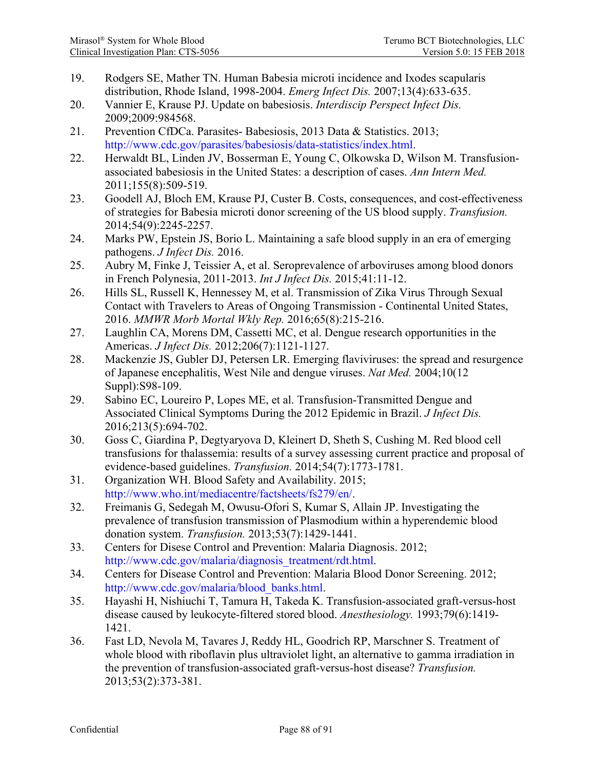- 19. Rodgers SE, Mather TN. Human Babesia microti incidence and Ixodes scapularis distribution, Rhode Island, 1998-2004. *Emerg Infect Dis.* 2007;13(4):633-635.
- 20. Vannier E, Krause PJ. Update on babesiosis. *Interdiscip Perspect Infect Dis.*  2009;2009:984568.
- 21. Prevention CfDCa. Parasites- Babesiosis, 2013 Data & Statistics. 2013; [http://www.cdc.gov/parasites/babesiosis/data-statistics/index.html.](http://www.cdc.gov/parasites/babesiosis/data-statistics/index.html)
- 22. Herwaldt BL, Linden JV, Bosserman E, Young C, Olkowska D, Wilson M. Transfusionassociated babesiosis in the United States: a description of cases. *Ann Intern Med.*  2011;155(8):509-519.
- 23. Goodell AJ, Bloch EM, Krause PJ, Custer B. Costs, consequences, and cost-effectiveness of strategies for Babesia microti donor screening of the US blood supply. *Transfusion.*  2014;54(9):2245-2257.
- 24. Marks PW, Epstein JS, Borio L. Maintaining a safe blood supply in an era of emerging pathogens. *J Infect Dis.* 2016.
- 25. Aubry M, Finke J, Teissier A, et al. Seroprevalence of arboviruses among blood donors in French Polynesia, 2011-2013. *Int J Infect Dis.* 2015;41:11-12.
- 26. Hills SL, Russell K, Hennessey M, et al. Transmission of Zika Virus Through Sexual Contact with Travelers to Areas of Ongoing Transmission - Continental United States, 2016. *MMWR Morb Mortal Wkly Rep.* 2016;65(8):215-216.
- 27. Laughlin CA, Morens DM, Cassetti MC, et al. Dengue research opportunities in the Americas. *J Infect Dis.* 2012;206(7):1121-1127.
- 28. Mackenzie JS, Gubler DJ, Petersen LR. Emerging flaviviruses: the spread and resurgence of Japanese encephalitis, West Nile and dengue viruses. *Nat Med.* 2004;10(12 Suppl): S98-109.
- 29. Sabino EC, Loureiro P, Lopes ME, et al. Transfusion-Transmitted Dengue and Associated Clinical Symptoms During the 2012 Epidemic in Brazil. *J Infect Dis.*  2016;213(5):694-702.
- 30. Goss C, Giardina P, Degtyaryova D, Kleinert D, Sheth S, Cushing M. Red blood cell transfusions for thalassemia: results of a survey assessing current practice and proposal of evidence-based guidelines. *Transfusion.* 2014;54(7):1773-1781.
- 31. Organization WH. Blood Safety and Availability. 2015; [http://www.who.int/mediacentre/factsheets/fs279/en/.](http://www.who.int/mediacentre/factsheets/fs279/en/)
- 32. Freimanis G, Sedegah M, Owusu-Ofori S, Kumar S, Allain JP. Investigating the prevalence of transfusion transmission of Plasmodium within a hyperendemic blood donation system. *Transfusion.* 2013;53(7):1429-1441.
- 33. Centers for Disese Control and Prevention: Malaria Diagnosis. 2012; [http://www.cdc.gov/malaria/diagnosis\\_treatment/rdt.html.](http://www.cdc.gov/malaria/diagnosis_treatment/rdt.html)
- 34. Centers for Disease Control and Prevention: Malaria Blood Donor Screening. 2012; [http://www.cdc.gov/malaria/blood\\_banks.html.](http://www.cdc.gov/malaria/blood_banks.html)
- 35. Hayashi H, Nishiuchi T, Tamura H, Takeda K. Transfusion-associated graft-versus-host disease caused by leukocyte-filtered stored blood. *Anesthesiology.* 1993;79(6):1419- 1421.
- 36. Fast LD, Nevola M, Tavares J, Reddy HL, Goodrich RP, Marschner S. Treatment of whole blood with riboflavin plus ultraviolet light, an alternative to gamma irradiation in the prevention of transfusion-associated graft-versus-host disease? *Transfusion.*  2013;53(2):373-381.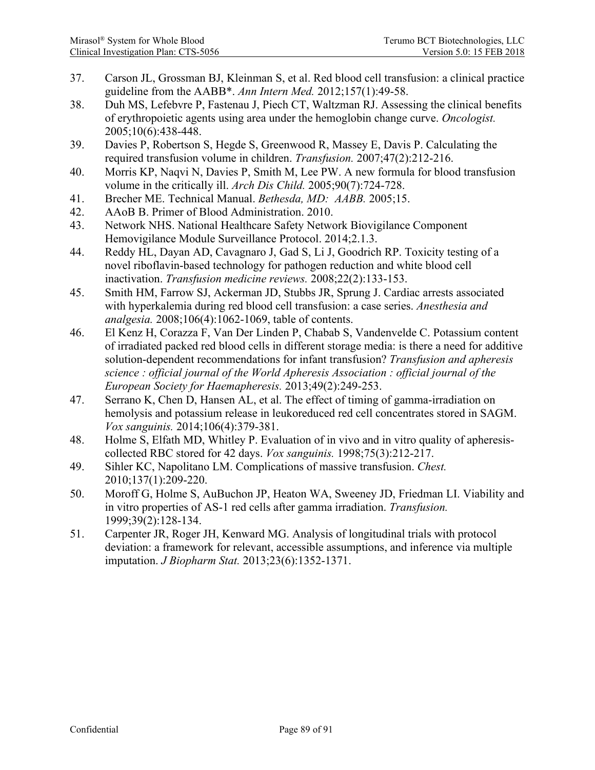- 37. Carson JL, Grossman BJ, Kleinman S, et al. Red blood cell transfusion: a clinical practice guideline from the AABB\*. *Ann Intern Med.* 2012;157(1):49-58.
- 38. Duh MS, Lefebvre P, Fastenau J, Piech CT, Waltzman RJ. Assessing the clinical benefits of erythropoietic agents using area under the hemoglobin change curve. *Oncologist.*  2005;10(6):438-448.
- 39. Davies P, Robertson S, Hegde S, Greenwood R, Massey E, Davis P. Calculating the required transfusion volume in children. *Transfusion.* 2007;47(2):212-216.
- 40. Morris KP, Naqvi N, Davies P, Smith M, Lee PW. A new formula for blood transfusion volume in the critically ill. *Arch Dis Child.* 2005;90(7):724-728.
- 41. Brecher ME. Technical Manual. *Bethesda, MD: AABB.* 2005;15.
- 42. AAoB B. Primer of Blood Administration. 2010.
- 43. Network NHS. National Healthcare Safety Network Biovigilance Component Hemovigilance Module Surveillance Protocol. 2014;2.1.3.
- 44. Reddy HL, Dayan AD, Cavagnaro J, Gad S, Li J, Goodrich RP. Toxicity testing of a novel riboflavin-based technology for pathogen reduction and white blood cell inactivation. *Transfusion medicine reviews.* 2008;22(2):133-153.
- 45. Smith HM, Farrow SJ, Ackerman JD, Stubbs JR, Sprung J. Cardiac arrests associated with hyperkalemia during red blood cell transfusion: a case series. *Anesthesia and analgesia.* 2008;106(4):1062-1069, table of contents.
- 46. El Kenz H, Corazza F, Van Der Linden P, Chabab S, Vandenvelde C. Potassium content of irradiated packed red blood cells in different storage media: is there a need for additive solution-dependent recommendations for infant transfusion? *Transfusion and apheresis science : official journal of the World Apheresis Association : official journal of the European Society for Haemapheresis.* 2013;49(2):249-253.
- 47. Serrano K, Chen D, Hansen AL, et al. The effect of timing of gamma-irradiation on hemolysis and potassium release in leukoreduced red cell concentrates stored in SAGM. *Vox sanguinis.* 2014;106(4):379-381.
- 48. Holme S, Elfath MD, Whitley P. Evaluation of in vivo and in vitro quality of apheresiscollected RBC stored for 42 days. *Vox sanguinis.* 1998;75(3):212-217.
- 49. Sihler KC, Napolitano LM. Complications of massive transfusion. *Chest.*  2010;137(1):209-220.
- 50. Moroff G, Holme S, AuBuchon JP, Heaton WA, Sweeney JD, Friedman LI. Viability and in vitro properties of AS-1 red cells after gamma irradiation. *Transfusion.*  1999;39(2):128-134.
- 51. Carpenter JR, Roger JH, Kenward MG. Analysis of longitudinal trials with protocol deviation: a framework for relevant, accessible assumptions, and inference via multiple imputation. *J Biopharm Stat.* 2013;23(6):1352-1371.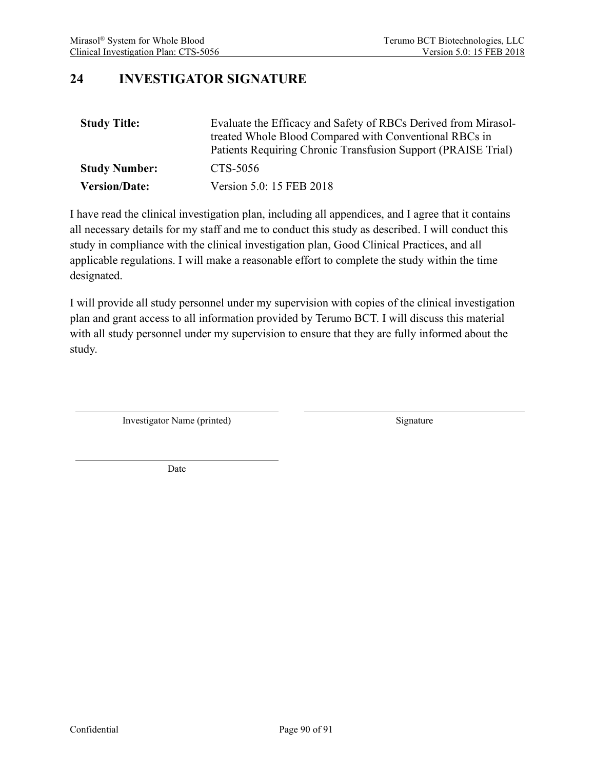# **24 INVESTIGATOR SIGNATURE**

| <b>Study Title:</b>  | Evaluate the Efficacy and Safety of RBCs Derived from Mirasol-<br>treated Whole Blood Compared with Conventional RBCs in<br>Patients Requiring Chronic Transfusion Support (PRAISE Trial) |
|----------------------|-------------------------------------------------------------------------------------------------------------------------------------------------------------------------------------------|
| <b>Study Number:</b> | CTS-5056                                                                                                                                                                                  |
| <b>Version/Date:</b> | Version 5.0: 15 FEB 2018                                                                                                                                                                  |

I have read the clinical investigation plan, including all appendices, and I agree that it contains all necessary details for my staff and me to conduct this study as described. I will conduct this study in compliance with the clinical investigation plan, Good Clinical Practices, and all applicable regulations. I will make a reasonable effort to complete the study within the time designated.

I will provide all study personnel under my supervision with copies of the clinical investigation plan and grant access to all information provided by Terumo BCT. I will discuss this material with all study personnel under my supervision to ensure that they are fully informed about the study.

Investigator Name (printed) Signature

Date